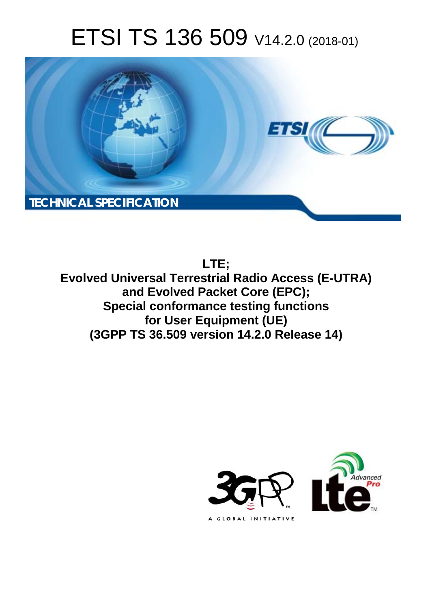# ETSI TS 136 509 V14.2.0 (2018-01)



**LTE;** 

**Evolved Universal Terrestrial Radio Access (E-UTRA) and Evolved Packet Core (EPC); Special conformance testing functions for User Equipment (UE) (3GPP TS 36.509 version 14.2.0 Release 14)** 

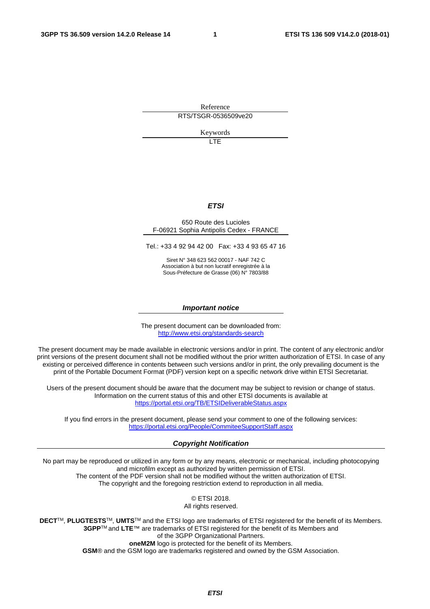Reference RTS/TSGR-0536509ve20

Keywords

**LTE** 

### *ETSI*

#### 650 Route des Lucioles F-06921 Sophia Antipolis Cedex - FRANCE

Tel.: +33 4 92 94 42 00 Fax: +33 4 93 65 47 16

Siret N° 348 623 562 00017 - NAF 742 C Association à but non lucratif enregistrée à la Sous-Préfecture de Grasse (06) N° 7803/88

#### *Important notice*

The present document can be downloaded from: <http://www.etsi.org/standards-search>

The present document may be made available in electronic versions and/or in print. The content of any electronic and/or print versions of the present document shall not be modified without the prior written authorization of ETSI. In case of any existing or perceived difference in contents between such versions and/or in print, the only prevailing document is the print of the Portable Document Format (PDF) version kept on a specific network drive within ETSI Secretariat.

Users of the present document should be aware that the document may be subject to revision or change of status. Information on the current status of this and other ETSI documents is available at <https://portal.etsi.org/TB/ETSIDeliverableStatus.aspx>

If you find errors in the present document, please send your comment to one of the following services: <https://portal.etsi.org/People/CommiteeSupportStaff.aspx>

#### *Copyright Notification*

No part may be reproduced or utilized in any form or by any means, electronic or mechanical, including photocopying and microfilm except as authorized by written permission of ETSI. The content of the PDF version shall not be modified without the written authorization of ETSI. The copyright and the foregoing restriction extend to reproduction in all media.

> © ETSI 2018. All rights reserved.

**DECT**TM, **PLUGTESTS**TM, **UMTS**TM and the ETSI logo are trademarks of ETSI registered for the benefit of its Members. **3GPP**TM and **LTE**™ are trademarks of ETSI registered for the benefit of its Members and of the 3GPP Organizational Partners. **oneM2M** logo is protected for the benefit of its Members.

**GSM**® and the GSM logo are trademarks registered and owned by the GSM Association.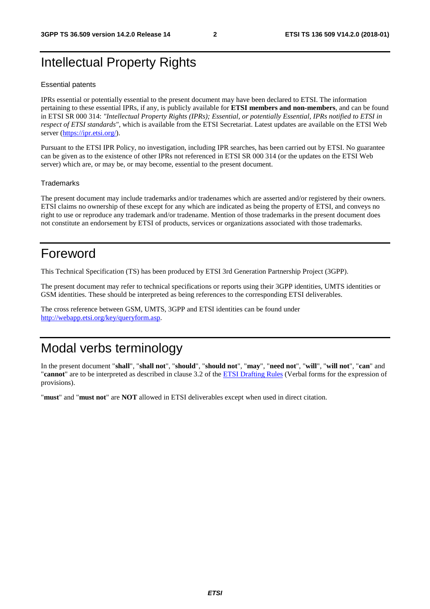# Intellectual Property Rights

#### Essential patents

IPRs essential or potentially essential to the present document may have been declared to ETSI. The information pertaining to these essential IPRs, if any, is publicly available for **ETSI members and non-members**, and can be found in ETSI SR 000 314: *"Intellectual Property Rights (IPRs); Essential, or potentially Essential, IPRs notified to ETSI in respect of ETSI standards"*, which is available from the ETSI Secretariat. Latest updates are available on the ETSI Web server ([https://ipr.etsi.org/\)](https://ipr.etsi.org/).

Pursuant to the ETSI IPR Policy, no investigation, including IPR searches, has been carried out by ETSI. No guarantee can be given as to the existence of other IPRs not referenced in ETSI SR 000 314 (or the updates on the ETSI Web server) which are, or may be, or may become, essential to the present document.

#### **Trademarks**

The present document may include trademarks and/or tradenames which are asserted and/or registered by their owners. ETSI claims no ownership of these except for any which are indicated as being the property of ETSI, and conveys no right to use or reproduce any trademark and/or tradename. Mention of those trademarks in the present document does not constitute an endorsement by ETSI of products, services or organizations associated with those trademarks.

## Foreword

This Technical Specification (TS) has been produced by ETSI 3rd Generation Partnership Project (3GPP).

The present document may refer to technical specifications or reports using their 3GPP identities, UMTS identities or GSM identities. These should be interpreted as being references to the corresponding ETSI deliverables.

The cross reference between GSM, UMTS, 3GPP and ETSI identities can be found under [http://webapp.etsi.org/key/queryform.asp.](http://webapp.etsi.org/key/queryform.asp)

# Modal verbs terminology

In the present document "**shall**", "**shall not**", "**should**", "**should not**", "**may**", "**need not**", "**will**", "**will not**", "**can**" and "**cannot**" are to be interpreted as described in clause 3.2 of the [ETSI Drafting Rules](https://portal.etsi.org/Services/editHelp!/Howtostart/ETSIDraftingRules.aspx) (Verbal forms for the expression of provisions).

"**must**" and "**must not**" are **NOT** allowed in ETSI deliverables except when used in direct citation.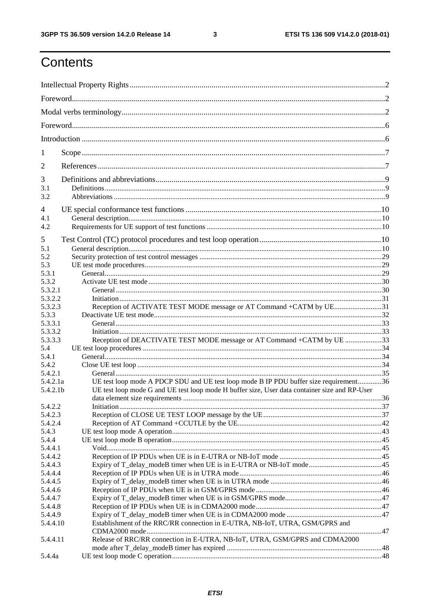ETSI TS 136 509 V14.2.0 (2018-01)

# Contents

| 1                  |                                                                                               |  |  |  |
|--------------------|-----------------------------------------------------------------------------------------------|--|--|--|
| $\overline{2}$     |                                                                                               |  |  |  |
| 3                  |                                                                                               |  |  |  |
| 3.1                |                                                                                               |  |  |  |
| 3.2                |                                                                                               |  |  |  |
| 4                  |                                                                                               |  |  |  |
| 4.1                |                                                                                               |  |  |  |
| 4.2                |                                                                                               |  |  |  |
| 5                  |                                                                                               |  |  |  |
| 5.1                |                                                                                               |  |  |  |
| 5.2                |                                                                                               |  |  |  |
| 5.3                |                                                                                               |  |  |  |
| 5.3.1              |                                                                                               |  |  |  |
| 5.3.2              |                                                                                               |  |  |  |
| 5.3.2.1            |                                                                                               |  |  |  |
| 5.3.2.2            |                                                                                               |  |  |  |
| 5.3.2.3            | Reception of ACTIVATE TEST MODE message or AT Command +CATM by UE31                           |  |  |  |
| 5.3.3              |                                                                                               |  |  |  |
| 5.3.3.1            |                                                                                               |  |  |  |
| 5.3.3.2<br>5.3.3.3 | Reception of DEACTIVATE TEST MODE message or AT Command +CATM by UE 33                        |  |  |  |
| 5.4                |                                                                                               |  |  |  |
| 5.4.1              |                                                                                               |  |  |  |
| 5.4.2              |                                                                                               |  |  |  |
| 5.4.2.1            |                                                                                               |  |  |  |
| 5.4.2.1a           | UE test loop mode A PDCP SDU and UE test loop mode B IP PDU buffer size requirement36         |  |  |  |
| 5.4.2.1b           | UE test loop mode G and UE test loop mode H buffer size, User data container size and RP-User |  |  |  |
|                    |                                                                                               |  |  |  |
| 5.4.2.2            |                                                                                               |  |  |  |
| 5.4.2.3            |                                                                                               |  |  |  |
| 5.4.2.4            |                                                                                               |  |  |  |
| 5.4.3              |                                                                                               |  |  |  |
| 5.4.4              |                                                                                               |  |  |  |
| 5.4.4.1            |                                                                                               |  |  |  |
| 5.4.4.2            |                                                                                               |  |  |  |
| 5.4.4.3            | Expiry of T_delay_modeB timer when UE is in E-UTRA or NB-IoT mode45                           |  |  |  |
| 5.4.4.4            |                                                                                               |  |  |  |
| 5.4.4.5<br>5.4.4.6 |                                                                                               |  |  |  |
| 5.4.4.7            |                                                                                               |  |  |  |
| 5.4.4.8            |                                                                                               |  |  |  |
| 5.4.4.9            |                                                                                               |  |  |  |
| 5.4.4.10           | Establishment of the RRC/RR connection in E-UTRA, NB-IoT, UTRA, GSM/GPRS and                  |  |  |  |
|                    |                                                                                               |  |  |  |
| 5.4.4.11           | Release of RRC/RR connection in E-UTRA, NB-IoT, UTRA, GSM/GPRS and CDMA2000                   |  |  |  |
| 5.4.4a             |                                                                                               |  |  |  |
|                    |                                                                                               |  |  |  |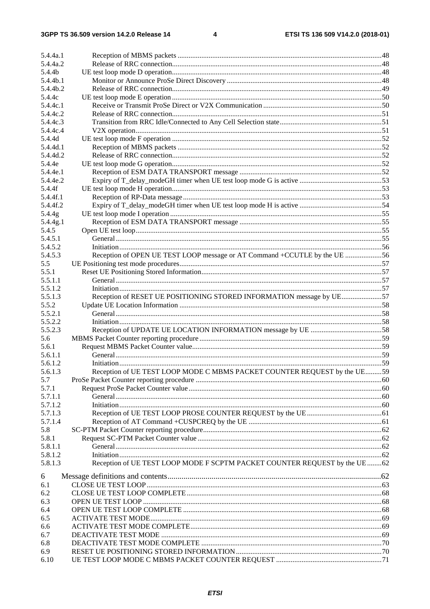| 5.4.4a.1 |                                                                             |  |
|----------|-----------------------------------------------------------------------------|--|
| 5.4.4a.2 |                                                                             |  |
| 5.4.4b   |                                                                             |  |
| 5.4.4b.1 |                                                                             |  |
| 5.4.4b.2 |                                                                             |  |
| 5.4.4c   |                                                                             |  |
| 5.4.4c.1 |                                                                             |  |
| 5.4.4c.2 |                                                                             |  |
| 5.4.4c.3 |                                                                             |  |
| 5.4.4c.4 |                                                                             |  |
| 5.4.4d   |                                                                             |  |
| 5.4.4d.1 |                                                                             |  |
| 5.4.4d.2 |                                                                             |  |
| 5.4.4e   |                                                                             |  |
| 5.4.4e.1 |                                                                             |  |
| 5.4.4e.2 |                                                                             |  |
| 5.4.4f   |                                                                             |  |
| 5.4.4f.1 |                                                                             |  |
| 5.4.4f.2 |                                                                             |  |
| 5.4.4g   |                                                                             |  |
| 5.4.4g.1 |                                                                             |  |
| 5.4.5    |                                                                             |  |
| 5.4.5.1  |                                                                             |  |
| 5.4.5.2  |                                                                             |  |
|          |                                                                             |  |
| 5.4.5.3  | Reception of OPEN UE TEST LOOP message or AT Command +CCUTLE by the UE 56   |  |
| 5.5      |                                                                             |  |
| 5.5.1    |                                                                             |  |
| 5.5.1.1  |                                                                             |  |
| 5.5.1.2  |                                                                             |  |
| 5.5.1.3  | Reception of RESET UE POSITIONING STORED INFORMATION message by UE57        |  |
| 5.5.2    |                                                                             |  |
| 5.5.2.1  |                                                                             |  |
| 5.5.2.2  |                                                                             |  |
| 5.5.2.3  |                                                                             |  |
| 5.6      |                                                                             |  |
| 5.6.1    |                                                                             |  |
| 5.6.1.1  |                                                                             |  |
| 5.6.1.2  |                                                                             |  |
| 5.6.1.3  | Reception of UE TEST LOOP MODE C MBMS PACKET COUNTER REOUEST by the UE59    |  |
| 5.7      |                                                                             |  |
| 5.7.1    |                                                                             |  |
| 5.7.1.1  |                                                                             |  |
| 5.7.1.2  |                                                                             |  |
| 5.7.1.3  |                                                                             |  |
| 5.7.1.4  |                                                                             |  |
| 5.8      |                                                                             |  |
| 5.8.1    |                                                                             |  |
| 5.8.1.1  |                                                                             |  |
| 5.8.1.2  |                                                                             |  |
| 5.8.1.3  | Reception of UE TEST LOOP MODE F SCPTM PACKET COUNTER REQUEST by the UE  62 |  |
|          |                                                                             |  |
| 6        |                                                                             |  |
| 6.1      |                                                                             |  |
| 6.2      |                                                                             |  |
| 6.3      |                                                                             |  |
| 6.4      |                                                                             |  |
| 6.5      |                                                                             |  |
| 6.6      |                                                                             |  |
| 6.7      |                                                                             |  |
| 6.8      |                                                                             |  |
| 6.9      |                                                                             |  |
| 6.10     |                                                                             |  |
|          |                                                                             |  |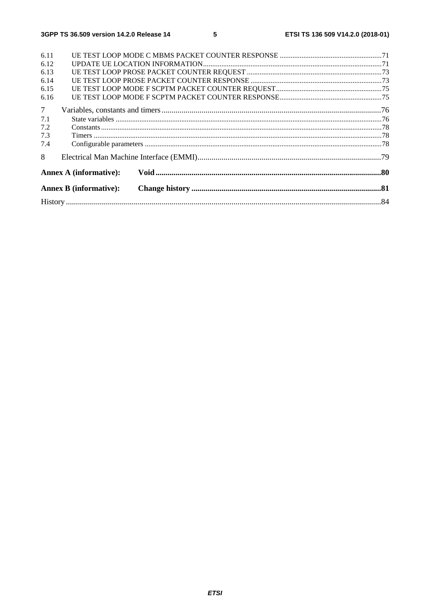| 6.11            |                               |  |
|-----------------|-------------------------------|--|
| 6.12            |                               |  |
| 6.13            |                               |  |
| 6.14            |                               |  |
| 6.15            |                               |  |
| 6.16            |                               |  |
| $7\overline{ }$ |                               |  |
| 7.1             |                               |  |
| 7.2             |                               |  |
| 7.3             |                               |  |
| 7.4             |                               |  |
| 8               |                               |  |
|                 | <b>Annex A (informative):</b> |  |
|                 | <b>Annex B</b> (informative): |  |
|                 |                               |  |
|                 |                               |  |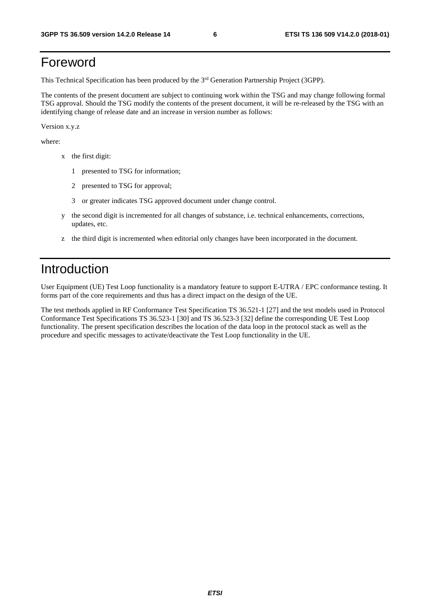# Foreword

This Technical Specification has been produced by the 3rd Generation Partnership Project (3GPP).

The contents of the present document are subject to continuing work within the TSG and may change following formal TSG approval. Should the TSG modify the contents of the present document, it will be re-released by the TSG with an identifying change of release date and an increase in version number as follows:

Version x.y.z

where:

- x the first digit:
	- 1 presented to TSG for information;
	- 2 presented to TSG for approval;
	- 3 or greater indicates TSG approved document under change control.
- y the second digit is incremented for all changes of substance, i.e. technical enhancements, corrections, updates, etc.
- z the third digit is incremented when editorial only changes have been incorporated in the document.

# Introduction

User Equipment (UE) Test Loop functionality is a mandatory feature to support E-UTRA / EPC conformance testing. It forms part of the core requirements and thus has a direct impact on the design of the UE.

The test methods applied in RF Conformance Test Specification TS 36.521-1 [27] and the test models used in Protocol Conformance Test Specifications TS 36.523-1 [30] and TS 36.523-3 [32] define the corresponding UE Test Loop functionality. The present specification describes the location of the data loop in the protocol stack as well as the procedure and specific messages to activate/deactivate the Test Loop functionality in the UE.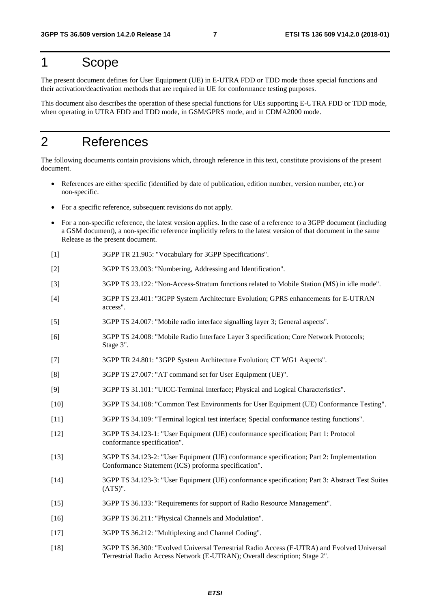# 1 Scope

The present document defines for User Equipment (UE) in E-UTRA FDD or TDD mode those special functions and their activation/deactivation methods that are required in UE for conformance testing purposes.

This document also describes the operation of these special functions for UEs supporting E-UTRA FDD or TDD mode, when operating in UTRA FDD and TDD mode, in GSM/GPRS mode, and in CDMA2000 mode.

# 2 References

The following documents contain provisions which, through reference in this text, constitute provisions of the present document.

- References are either specific (identified by date of publication, edition number, version number, etc.) or non-specific.
- For a specific reference, subsequent revisions do not apply.
- For a non-specific reference, the latest version applies. In the case of a reference to a 3GPP document (including a GSM document), a non-specific reference implicitly refers to the latest version of that document in the same Release as the present document.
- [1] 3GPP TR 21.905: "Vocabulary for 3GPP Specifications".
- [2] 3GPP TS 23.003: "Numbering, Addressing and Identification".
- [3] 3GPP TS 23.122: "Non-Access-Stratum functions related to Mobile Station (MS) in idle mode".
- [4] 3GPP TS 23.401: "3GPP System Architecture Evolution; GPRS enhancements for E-UTRAN access".
- [5] 3GPP TS 24.007: "Mobile radio interface signalling layer 3; General aspects".
- [6] 3GPP TS 24.008: "Mobile Radio Interface Layer 3 specification; Core Network Protocols; Stage 3".
- [7] 3GPP TR 24.801: "3GPP System Architecture Evolution; CT WG1 Aspects".
- [8] 3GPP TS 27.007: "AT command set for User Equipment (UE)".
- [9] 3GPP TS 31.101: "UICC-Terminal Interface; Physical and Logical Characteristics".
- [10] 3GPP TS 34.108: "Common Test Environments for User Equipment (UE) Conformance Testing".
- [11] 3GPP TS 34.109: "Terminal logical test interface; Special conformance testing functions".
- [12] 3GPP TS 34.123-1: "User Equipment (UE) conformance specification; Part 1: Protocol conformance specification".
- [13] 3GPP TS 34.123-2: "User Equipment (UE) conformance specification; Part 2: Implementation Conformance Statement (ICS) proforma specification".
- [14] 3GPP TS 34.123-3: "User Equipment (UE) conformance specification; Part 3: Abstract Test Suites  $(ATS)$ ".
- [15] 3GPP TS 36.133: "Requirements for support of Radio Resource Management".
- [16] 3GPP TS 36.211: "Physical Channels and Modulation".
- [17] 3GPP TS 36.212: "Multiplexing and Channel Coding".
- [18] 3GPP TS 36.300: "Evolved Universal Terrestrial Radio Access (E-UTRA) and Evolved Universal Terrestrial Radio Access Network (E-UTRAN); Overall description; Stage 2".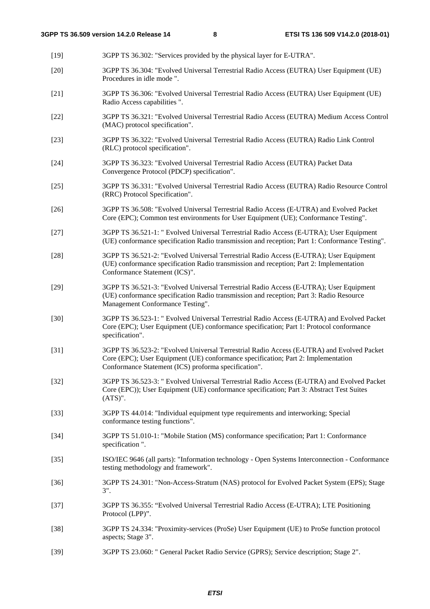- [19] 3GPP TS 36.302: "Services provided by the physical layer for E-UTRA". [20] 3GPP TS 36.304: "Evolved Universal Terrestrial Radio Access (EUTRA) User Equipment (UE) Procedures in idle mode ". [21] 3GPP TS 36.306: "Evolved Universal Terrestrial Radio Access (EUTRA) User Equipment (UE) Radio Access capabilities ". [22] 3GPP TS 36.321: "Evolved Universal Terrestrial Radio Access (EUTRA) Medium Access Control (MAC) protocol specification". [23] 3GPP TS 36.322: "Evolved Universal Terrestrial Radio Access (EUTRA) Radio Link Control (RLC) protocol specification". [24] 3GPP TS 36.323: "Evolved Universal Terrestrial Radio Access (EUTRA) Packet Data Convergence Protocol (PDCP) specification". [25] 3GPP TS 36.331: "Evolved Universal Terrestrial Radio Access (EUTRA) Radio Resource Control (RRC) Protocol Specification". [26] 3GPP TS 36.508: "Evolved Universal Terrestrial Radio Access (E-UTRA) and Evolved Packet Core (EPC); Common test environments for User Equipment (UE); Conformance Testing". [27] 3GPP TS 36.521-1: " Evolved Universal Terrestrial Radio Access (E-UTRA); User Equipment (UE) conformance specification Radio transmission and reception; Part 1: Conformance Testing". [28] 3GPP TS 36.521-2: "Evolved Universal Terrestrial Radio Access (E-UTRA); User Equipment (UE) conformance specification Radio transmission and reception; Part 2: Implementation Conformance Statement (ICS)". [29] 3GPP TS 36.521-3: "Evolved Universal Terrestrial Radio Access (E-UTRA); User Equipment (UE) conformance specification Radio transmission and reception; Part 3: Radio Resource Management Conformance Testing". [30] 3GPP TS 36.523-1: " Evolved Universal Terrestrial Radio Access (E-UTRA) and Evolved Packet Core (EPC); User Equipment (UE) conformance specification; Part 1: Protocol conformance specification". [31] 3GPP TS 36.523-2: "Evolved Universal Terrestrial Radio Access (E-UTRA) and Evolved Packet Core (EPC); User Equipment (UE) conformance specification; Part 2: Implementation Conformance Statement (ICS) proforma specification". [32] 3GPP TS 36.523-3: " Evolved Universal Terrestrial Radio Access (E-UTRA) and Evolved Packet Core (EPC)); User Equipment (UE) conformance specification; Part 3: Abstract Test Suites (ATS)". [33] 3GPP TS 44.014: "Individual equipment type requirements and interworking; Special conformance testing functions". [34] 3GPP TS 51.010-1: "Mobile Station (MS) conformance specification; Part 1: Conformance specification ". [35] ISO/IEC 9646 (all parts): "Information technology - Open Systems Interconnection - Conformance testing methodology and framework". [36] 3GPP TS 24.301: "Non-Access-Stratum (NAS) protocol for Evolved Packet System (EPS); Stage 3". [37] 3GPP TS 36.355: "Evolved Universal Terrestrial Radio Access (E-UTRA); LTE Positioning Protocol (LPP)". [38] 3GPP TS 24.334: "Proximity-services (ProSe) User Equipment (UE) to ProSe function protocol aspects; Stage 3".
- [39] 3GPP TS 23.060: " General Packet Radio Service (GPRS); Service description; Stage 2".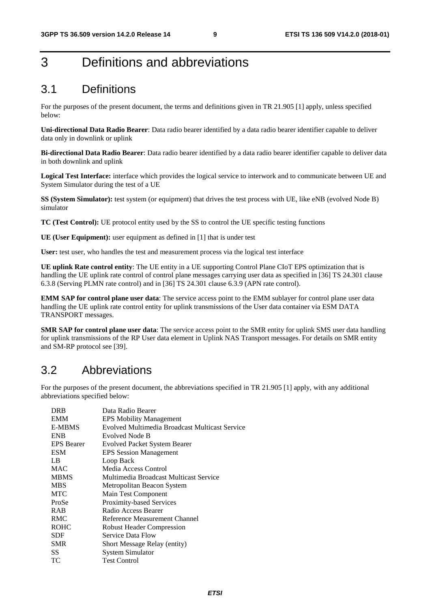# 3 Definitions and abbreviations

### 3.1 Definitions

For the purposes of the present document, the terms and definitions given in TR 21.905 [1] apply, unless specified below:

**Uni-directional Data Radio Bearer**: Data radio bearer identified by a data radio bearer identifier capable to deliver data only in downlink or uplink

**Bi-directional Data Radio Bearer**: Data radio bearer identified by a data radio bearer identifier capable to deliver data in both downlink and uplink

**Logical Test Interface:** interface which provides the logical service to interwork and to communicate between UE and System Simulator during the test of a UE

**SS (System Simulator):** test system (or equipment) that drives the test process with UE, like eNB (evolved Node B) simulator

**TC (Test Control):** UE protocol entity used by the SS to control the UE specific testing functions

**UE (User Equipment):** user equipment as defined in [1] that is under test

**User:** test user, who handles the test and measurement process via the logical test interface

**UE uplink Rate control entity**: The UE entity in a UE supporting Control Plane CIoT EPS optimization that is handling the UE uplink rate control of control plane messages carrying user data as specified in [36] TS 24.301 clause 6.3.8 (Serving PLMN rate control) and in [36] TS 24.301 clause 6.3.9 (APN rate control).

**EMM SAP for control plane user data**: The service access point to the EMM sublayer for control plane user data handling the UE uplink rate control entity for uplink transmissions of the User data container via ESM DATA TRANSPORT messages.

**SMR SAP for control plane user data**: The service access point to the SMR entity for uplink SMS user data handling for uplink transmissions of the RP User data element in Uplink NAS Transport messages. For details on SMR entity and SM-RP protocol see [39].

### 3.2 Abbreviations

For the purposes of the present document, the abbreviations specified in TR 21.905 [1] apply, with any additional abbreviations specified below:

| <b>DRB</b>        | Data Radio Bearer                              |
|-------------------|------------------------------------------------|
| <b>EMM</b>        | <b>EPS Mobility Management</b>                 |
| <b>E-MBMS</b>     | Evolved Multimedia Broadcast Multicast Service |
| <b>ENB</b>        | Evolved Node B                                 |
| <b>EPS</b> Bearer | <b>Evolved Packet System Bearer</b>            |
| <b>ESM</b>        | <b>EPS</b> Session Management                  |
| LB                | Loop Back                                      |
| <b>MAC</b>        | Media Access Control                           |
| <b>MBMS</b>       | Multimedia Broadcast Multicast Service         |
| <b>MBS</b>        | Metropolitan Beacon System                     |
| <b>MTC</b>        | Main Test Component                            |
| ProSe             | Proximity-based Services                       |
| <b>RAB</b>        | Radio Access Bearer                            |
| RMC               | Reference Measurement Channel                  |
| <b>ROHC</b>       | <b>Robust Header Compression</b>               |
| <b>SDF</b>        | Service Data Flow                              |
| <b>SMR</b>        | Short Message Relay (entity)                   |
| SS                | <b>System Simulator</b>                        |
| ТC                | <b>Test Control</b>                            |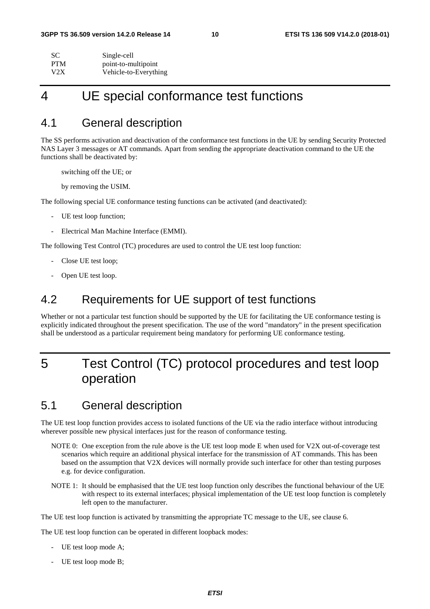| SC         | Single-cell           |
|------------|-----------------------|
| <b>PTM</b> | point-to-multipoint   |
| V2X        | Vehicle-to-Everything |

# 4 UE special conformance test functions

### 4.1 General description

The SS performs activation and deactivation of the conformance test functions in the UE by sending Security Protected NAS Layer 3 messages or AT commands. Apart from sending the appropriate deactivation command to the UE the functions shall be deactivated by:

switching off the UE; or

by removing the USIM.

The following special UE conformance testing functions can be activated (and deactivated):

- UE test loop function;
- Electrical Man Machine Interface (EMMI).

The following Test Control (TC) procedures are used to control the UE test loop function:

- Close UE test loop;
- Open UE test loop.

### 4.2 Requirements for UE support of test functions

Whether or not a particular test function should be supported by the UE for facilitating the UE conformance testing is explicitly indicated throughout the present specification. The use of the word "mandatory" in the present specification shall be understood as a particular requirement being mandatory for performing UE conformance testing.

# 5 Test Control (TC) protocol procedures and test loop operation

### 5.1 General description

The UE test loop function provides access to isolated functions of the UE via the radio interface without introducing wherever possible new physical interfaces just for the reason of conformance testing.

- NOTE 0: One exception from the rule above is the UE test loop mode E when used for V2X out-of-coverage test scenarios which require an additional physical interface for the transmission of AT commands. This has been based on the assumption that V2X devices will normally provide such interface for other than testing purposes e.g. for device configuration.
- NOTE 1: It should be emphasised that the UE test loop function only describes the functional behaviour of the UE with respect to its external interfaces; physical implementation of the UE test loop function is completely left open to the manufacturer.

The UE test loop function is activated by transmitting the appropriate TC message to the UE, see clause 6.

The UE test loop function can be operated in different loopback modes:

- UE test loop mode A;
- UE test loop mode B;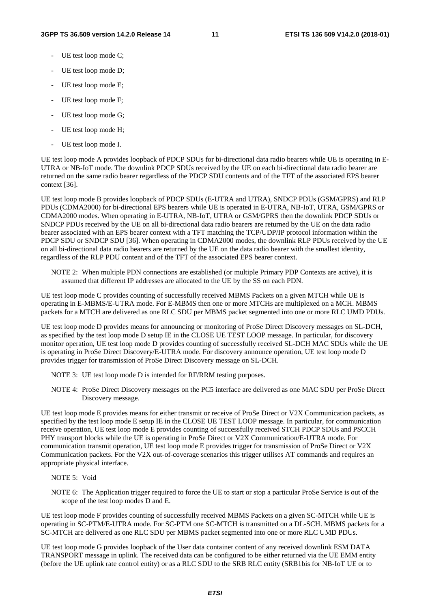- UE test loop mode C;
- UE test loop mode D;
- UE test loop mode E;
- UE test loop mode F;
- UE test loop mode G;
- UE test loop mode H;
- UE test loop mode I.

UE test loop mode A provides loopback of PDCP SDUs for bi-directional data radio bearers while UE is operating in E-UTRA or NB-IoT mode. The downlink PDCP SDUs received by the UE on each bi-directional data radio bearer are returned on the same radio bearer regardless of the PDCP SDU contents and of the TFT of the associated EPS bearer context [36].

UE test loop mode B provides loopback of PDCP SDUs (E-UTRA and UTRA), SNDCP PDUs (GSM/GPRS) and RLP PDUs (CDMA2000) for bi-directional EPS bearers while UE is operated in E-UTRA, NB-IoT, UTRA, GSM/GPRS or CDMA2000 modes. When operating in E-UTRA, NB-IoT, UTRA or GSM/GPRS then the downlink PDCP SDUs or SNDCP PDUs received by the UE on all bi-directional data radio bearers are returned by the UE on the data radio bearer associated with an EPS bearer context with a TFT matching the TCP/UDP/IP protocol information within the PDCP SDU or SNDCP SDU [36]. When operating in CDMA2000 modes, the downlink RLP PDUs received by the UE on all bi-directional data radio bearers are returned by the UE on the data radio bearer with the smallest identity, regardless of the RLP PDU content and of the TFT of the associated EPS bearer context.

NOTE 2: When multiple PDN connections are established (or multiple Primary PDP Contexts are active), it is assumed that different IP addresses are allocated to the UE by the SS on each PDN.

UE test loop mode C provides counting of successfully received MBMS Packets on a given MTCH while UE is operating in E-MBMS/E-UTRA mode. For E-MBMS then one or more MTCHs are multiplexed on a MCH. MBMS packets for a MTCH are delivered as one RLC SDU per MBMS packet segmented into one or more RLC UMD PDUs.

UE test loop mode D provides means for announcing or monitoring of ProSe Direct Discovery messages on SL-DCH, as specified by the test loop mode D setup IE in the CLOSE UE TEST LOOP message. In particular, for discovery monitor operation, UE test loop mode D provides counting of successfully received SL-DCH MAC SDUs while the UE is operating in ProSe Direct Discovery/E-UTRA mode. For discovery announce operation, UE test loop mode D provides trigger for transmission of ProSe Direct Discovery message on SL-DCH.

- NOTE 3: UE test loop mode D is intended for RF/RRM testing purposes.
- NOTE 4: ProSe Direct Discovery messages on the PC5 interface are delivered as one MAC SDU per ProSe Direct Discovery message.

UE test loop mode E provides means for either transmit or receive of ProSe Direct or V2X Communication packets, as specified by the test loop mode E setup IE in the CLOSE UE TEST LOOP message. In particular, for communication receive operation, UE test loop mode E provides counting of successfully received STCH PDCP SDUs and PSCCH PHY transport blocks while the UE is operating in ProSe Direct or V2X Communication/E-UTRA mode. For communication transmit operation, UE test loop mode E provides trigger for transmission of ProSe Direct or V2X Communication packets. For the V2X out-of-coverage scenarios this trigger utilises AT commands and requires an appropriate physical interface.

- NOTE 5: Void
- NOTE 6: The Application trigger required to force the UE to start or stop a particular ProSe Service is out of the scope of the test loop modes D and E.

UE test loop mode F provides counting of successfully received MBMS Packets on a given SC-MTCH while UE is operating in SC-PTM/E-UTRA mode. For SC-PTM one SC-MTCH is transmitted on a DL-SCH. MBMS packets for a SC-MTCH are delivered as one RLC SDU per MBMS packet segmented into one or more RLC UMD PDUs.

UE test loop mode G provides loopback of the User data container content of any received downlink ESM DATA TRANSPORT message in uplink. The received data can be configured to be either returned via the UE EMM entity (before the UE uplink rate control entity) or as a RLC SDU to the SRB RLC entity (SRB1bis for NB-IoT UE or to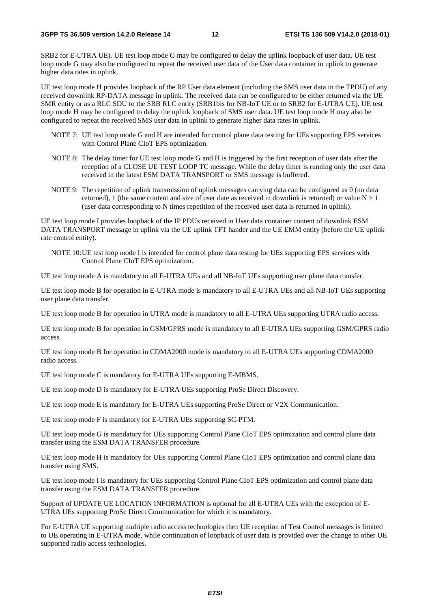SRB2 for E-UTRA UE). UE test loop mode G may be configured to delay the uplink loopback of user data. UE test loop mode G may also be configured to repeat the received user data of the User data container in uplink to generate higher data rates in uplink.

UE test loop mode H provides loopback of the RP User data element (including the SMS user data in the TPDU) of any received downlink RP-DATA message in uplink. The received data can be configured to be either returned via the UE SMR entity or as a RLC SDU to the SRB RLC entity (SRB1bis for NB-IoT UE or to SRB2 for E-UTRA UE). UE test loop mode H may be configured to delay the uplink loopback of SMS user data. UE test loop mode H may also be configured to repeat the received SMS user data in uplink to generate higher data rates in uplink.

- NOTE 7: UE test loop mode G and H are intended for control plane data testing for UEs supporting EPS services with Control Plane CIoT EPS optimization.
- NOTE 8: The delay timer for UE test loop mode G and H is triggered by the first reception of user data after the reception of a CLOSE UE TEST LOOP TC message. While the delay timer is running only the user data received in the latest ESM DATA TRANSPORT or SMS message is buffered.
- NOTE 9: The repetition of uplink transmission of uplink messages carrying data can be configured as 0 (no data returned), 1 (the same content and size of user date as received in downlink is returned) or value  $N > 1$ (user data corresponding to N times repetition of the received user data is returned in uplink).

UE test loop mode I provides loopback of the IP PDUs received in User data container content of downlink ESM DATA TRANSPORT message in uplink via the UE uplink TFT hander and the UE EMM entity (before the UE uplink rate control entity).

NOTE 10: UE test loop mode I is intended for control plane data testing for UEs supporting EPS services with Control Plane CIoT EPS optimization.

UE test loop mode A is mandatory to all E-UTRA UEs and all NB-IoT UEs supporting user plane data transfer.

UE test loop mode B for operation in E-UTRA mode is mandatory to all E-UTRA UEs and all NB-IoT UEs supporting user plane data transfer.

UE test loop mode B for operation in UTRA mode is mandatory to all E-UTRA UEs supporting UTRA radio access.

UE test loop mode B for operation in GSM/GPRS mode is mandatory to all E-UTRA UEs supporting GSM/GPRS radio access.

UE test loop mode B for operation in CDMA2000 mode is mandatory to all E-UTRA UEs supporting CDMA2000 radio access.

UE test loop mode C is mandatory for E-UTRA UEs supporting E-MBMS.

UE test loop mode D is mandatory for E-UTRA UEs supporting ProSe Direct Discovery.

UE test loop mode E is mandatory for E-UTRA UEs supporting ProSe Direct or V2X Communication.

UE test loop mode F is mandatory for E-UTRA UEs supporting SC-PTM.

UE test loop mode G is mandatory for UEs supporting Control Plane CIoT EPS optimization and control plane data transfer using the ESM DATA TRANSFER procedure.

UE test loop mode H is mandatory for UEs supporting Control Plane CIoT EPS optimization and control plane data transfer using SMS.

UE test loop mode I is mandatory for UEs supporting Control Plane CIoT EPS optimization and control plane data transfer using the ESM DATA TRANSFER procedure.

Support of UPDATE UE LOCATION INFORMATION is optional for all E-UTRA UEs with the exception of E-UTRA UEs supporting ProSe Direct Communication for which it is mandatory.

For E-UTRA UE supporting multiple radio access technologies then UE reception of Test Control messages is limited to UE operating in E-UTRA mode, while continuation of loopback of user data is provided over the change to other UE supported radio access technologies.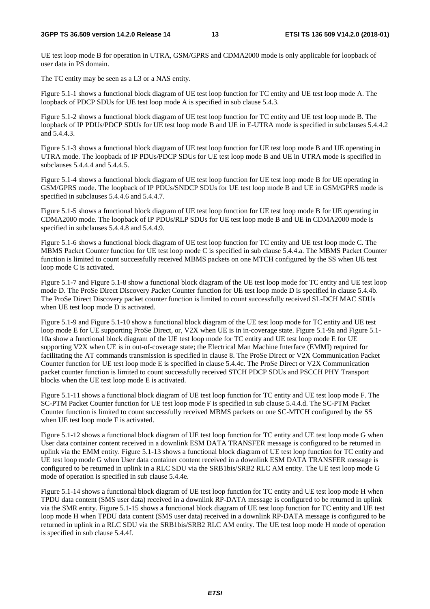#### **3GPP TS 36.509 version 14.2.0 Release 14 13 ETSI TS 136 509 V14.2.0 (2018-01)**

UE test loop mode B for operation in UTRA, GSM/GPRS and CDMA2000 mode is only applicable for loopback of user data in PS domain.

The TC entity may be seen as a L3 or a NAS entity.

Figure 5.1-1 shows a functional block diagram of UE test loop function for TC entity and UE test loop mode A. The loopback of PDCP SDUs for UE test loop mode A is specified in sub clause 5.4.3.

Figure 5.1-2 shows a functional block diagram of UE test loop function for TC entity and UE test loop mode B. The loopback of IP PDUs/PDCP SDUs for UE test loop mode B and UE in E-UTRA mode is specified in subclauses 5.4.4.2 and 5.4.4.3.

Figure 5.1-3 shows a functional block diagram of UE test loop function for UE test loop mode B and UE operating in UTRA mode. The loopback of IP PDUs/PDCP SDUs for UE test loop mode B and UE in UTRA mode is specified in subclauses 5.4.4.4 and 5.4.4.5.

Figure 5.1-4 shows a functional block diagram of UE test loop function for UE test loop mode B for UE operating in GSM/GPRS mode. The loopback of IP PDUs/SNDCP SDUs for UE test loop mode B and UE in GSM/GPRS mode is specified in subclauses 5.4.4.6 and 5.4.4.7.

Figure 5.1-5 shows a functional block diagram of UE test loop function for UE test loop mode B for UE operating in CDMA2000 mode. The loopback of IP PDUs/RLP SDUs for UE test loop mode B and UE in CDMA2000 mode is specified in subclauses 5.4.4.8 and 5.4.4.9.

Figure 5.1-6 shows a functional block diagram of UE test loop function for TC entity and UE test loop mode C. The MBMS Packet Counter function for UE test loop mode C is specified in sub clause 5.4.4.a. The MBMS Packet Counter function is limited to count successfully received MBMS packets on one MTCH configured by the SS when UE test loop mode C is activated.

Figure 5.1-7 and Figure 5.1-8 show a functional block diagram of the UE test loop mode for TC entity and UE test loop mode D. The ProSe Direct Discovery Packet Counter function for UE test loop mode D is specified in clause 5.4.4b. The ProSe Direct Discovery packet counter function is limited to count successfully received SL-DCH MAC SDUs when UE test loop mode D is activated.

Figure 5.1-9 and Figure 5.1-10 show a functional block diagram of the UE test loop mode for TC entity and UE test loop mode E for UE supporting ProSe Direct, or, V2X when UE is in in-coverage state. Figure 5.1-9a and Figure 5.1- 10a show a functional block diagram of the UE test loop mode for TC entity and UE test loop mode E for UE supporting V2X when UE is in out-of-coverage state; the Electrical Man Machine Interface (EMMI) required for facilitating the AT commands transmission is specified in clause 8. The ProSe Direct or V2X Communication Packet Counter function for UE test loop mode E is specified in clause 5.4.4c. The ProSe Direct or V2X Communication packet counter function is limited to count successfully received STCH PDCP SDUs and PSCCH PHY Transport blocks when the UE test loop mode E is activated.

Figure 5.1-11 shows a functional block diagram of UE test loop function for TC entity and UE test loop mode F. The SC-PTM Packet Counter function for UE test loop mode F is specified in sub clause 5.4.4.d. The SC-PTM Packet Counter function is limited to count successfully received MBMS packets on one SC-MTCH configured by the SS when UE test loop mode F is activated.

Figure 5.1-12 shows a functional block diagram of UE test loop function for TC entity and UE test loop mode G when User data container content received in a downlink ESM DATA TRANSFER message is configured to be returned in uplink via the EMM entity. Figure 5.1-13 shows a functional block diagram of UE test loop function for TC entity and UE test loop mode G when User data container content received in a downlink ESM DATA TRANSFER message is configured to be returned in uplink in a RLC SDU via the SRB1bis/SRB2 RLC AM entity. The UE test loop mode G mode of operation is specified in sub clause 5.4.4e.

Figure 5.1-14 shows a functional block diagram of UE test loop function for TC entity and UE test loop mode H when TPDU data content (SMS user data) received in a downlink RP-DATA message is configured to be returned in uplink via the SMR entity. Figure 5.1-15 shows a functional block diagram of UE test loop function for TC entity and UE test loop mode H when TPDU data content (SMS user data) received in a downlink RP-DATA message is configured to be returned in uplink in a RLC SDU via the SRB1bis/SRB2 RLC AM entity. The UE test loop mode H mode of operation is specified in sub clause 5.4.4f.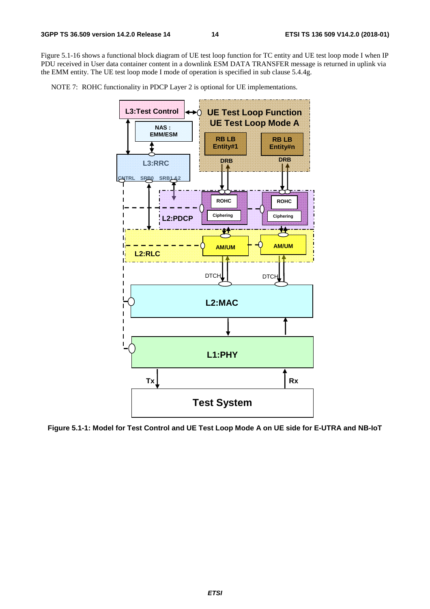Figure 5.1-16 shows a functional block diagram of UE test loop function for TC entity and UE test loop mode I when IP PDU received in User data container content in a downlink ESM DATA TRANSFER message is returned in uplink via the EMM entity. The UE test loop mode I mode of operation is specified in sub clause 5.4.4g.

NOTE 7: ROHC functionality in PDCP Layer 2 is optional for UE implementations.



**Figure 5.1-1: Model for Test Control and UE Test Loop Mode A on UE side for E-UTRA and NB-IoT**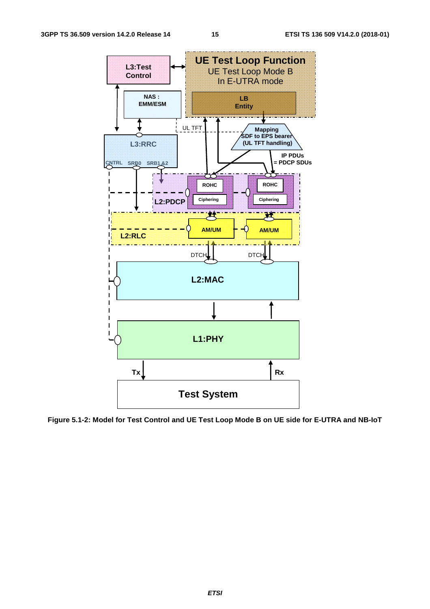

**Figure 5.1-2: Model for Test Control and UE Test Loop Mode B on UE side for E-UTRA and NB-IoT**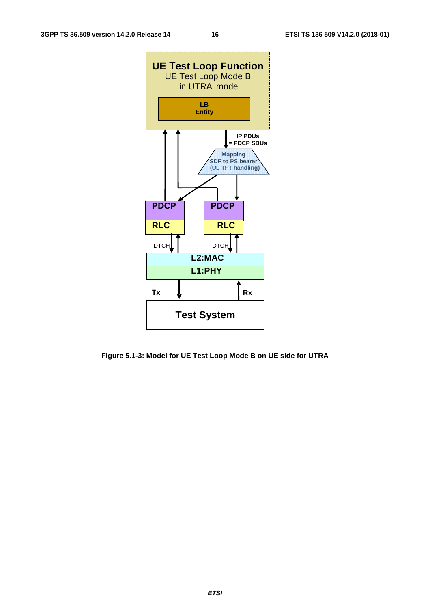

**Figure 5.1-3: Model for UE Test Loop Mode B on UE side for UTRA**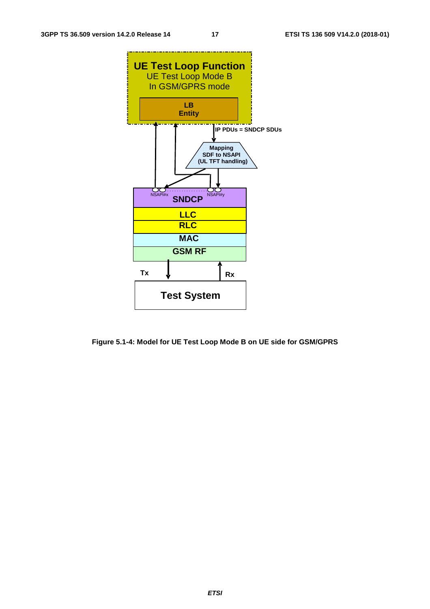

**Figure 5.1-4: Model for UE Test Loop Mode B on UE side for GSM/GPRS**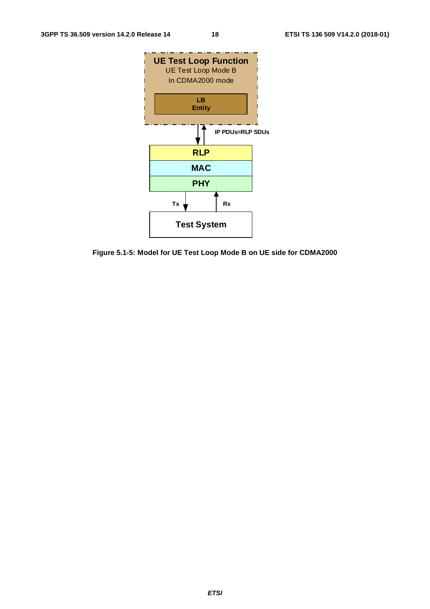

**Figure 5.1-5: Model for UE Test Loop Mode B on UE side for CDMA2000**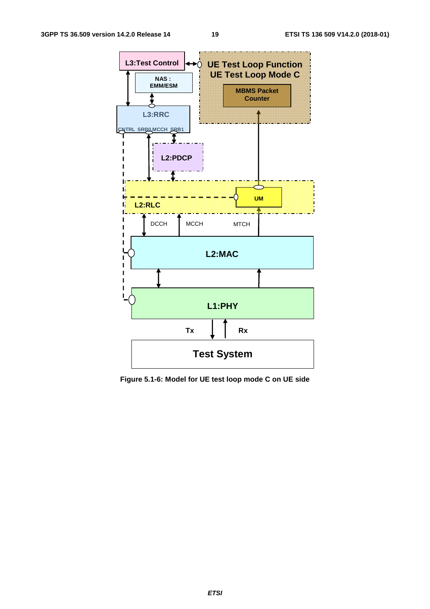

**Figure 5.1-6: Model for UE test loop mode C on UE side**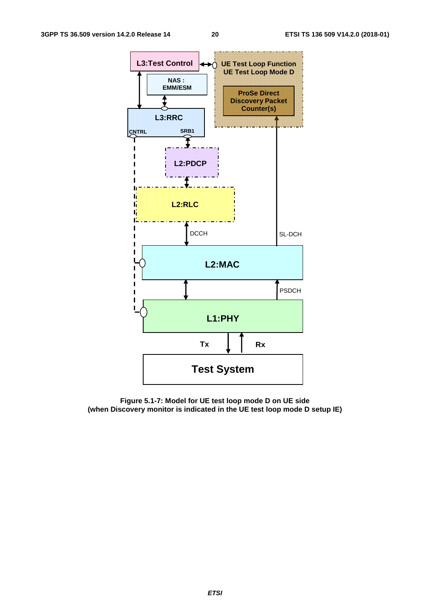

**Figure 5.1-7: Model for UE test loop mode D on UE side (when Discovery monitor is indicated in the UE test loop mode D setup IE)**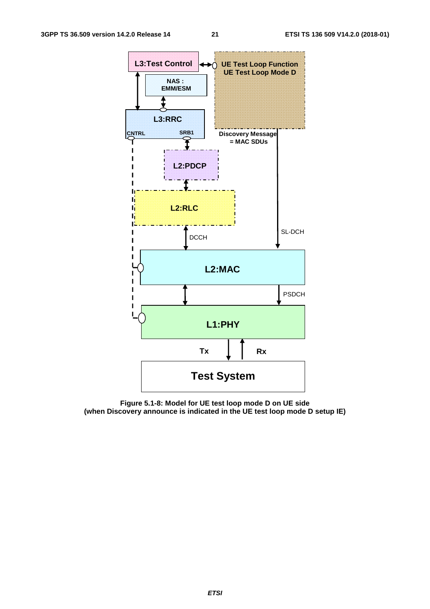

**Figure 5.1-8: Model for UE test loop mode D on UE side (when Discovery announce is indicated in the UE test loop mode D setup IE)**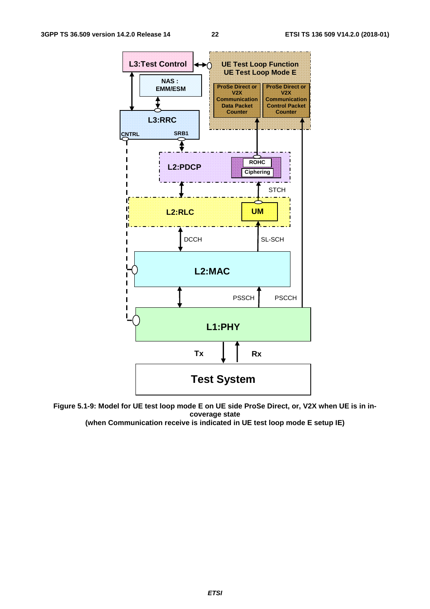

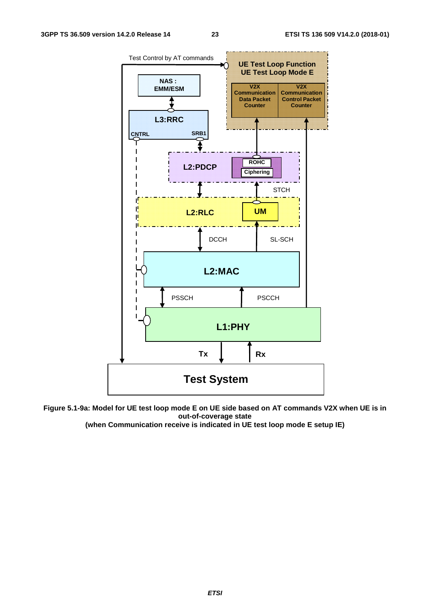

**Figure 5.1-9a: Model for UE test loop mode E on UE side based on AT commands V2X when UE is in out-of-coverage state** 

**(when Communication receive is indicated in UE test loop mode E setup IE)**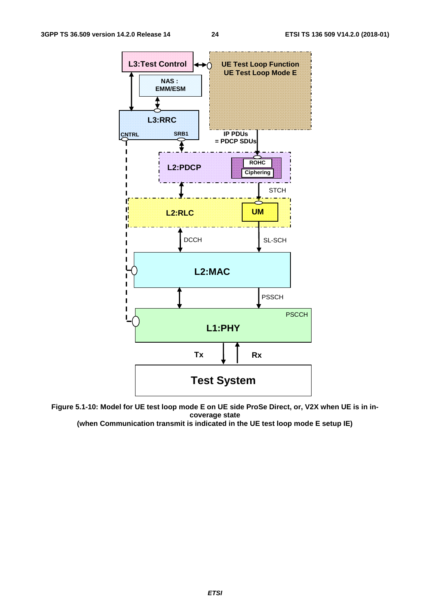



**(when Communication transmit is indicated in the UE test loop mode E setup IE)**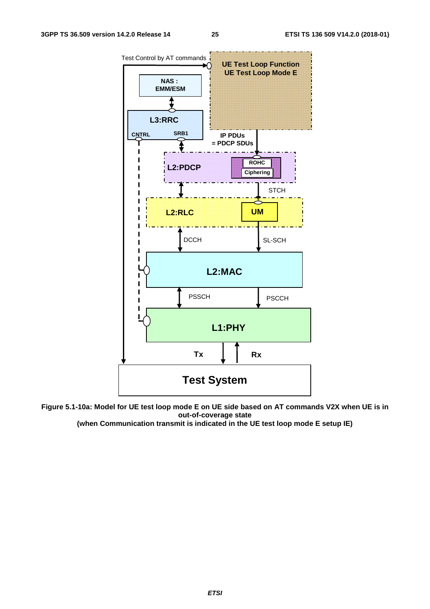



**(when Communication transmit is indicated in the UE test loop mode E setup IE)**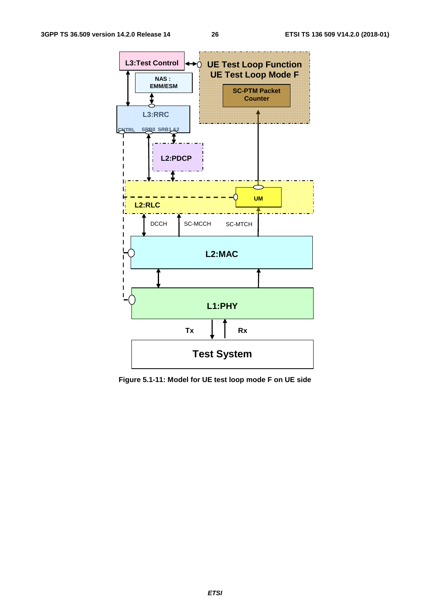

**Figure 5.1-11: Model for UE test loop mode F on UE side** 

*ETSI*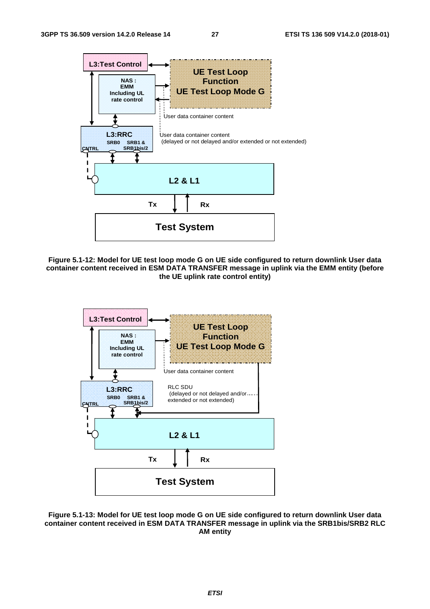

**Figure 5.1-12: Model for UE test loop mode G on UE side configured to return downlink User data container content received in ESM DATA TRANSFER message in uplink via the EMM entity (before the UE uplink rate control entity)** 



**Figure 5.1-13: Model for UE test loop mode G on UE side configured to return downlink User data container content received in ESM DATA TRANSFER message in uplink via the SRB1bis/SRB2 RLC AM entity**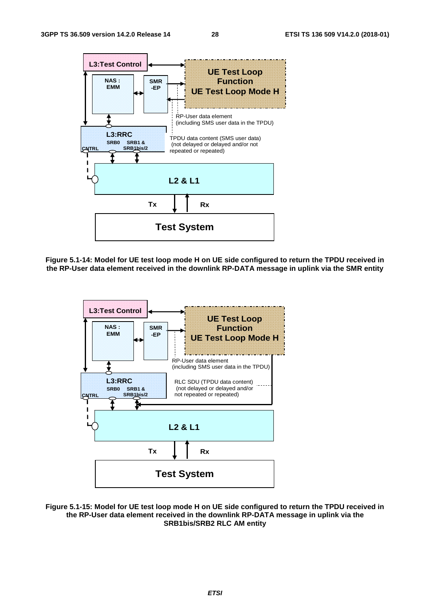

**Figure 5.1-14: Model for UE test loop mode H on UE side configured to return the TPDU received in the RP-User data element received in the downlink RP-DATA message in uplink via the SMR entity** 



**Figure 5.1-15: Model for UE test loop mode H on UE side configured to return the TPDU received in the RP-User data element received in the downlink RP-DATA message in uplink via the SRB1bis/SRB2 RLC AM entity**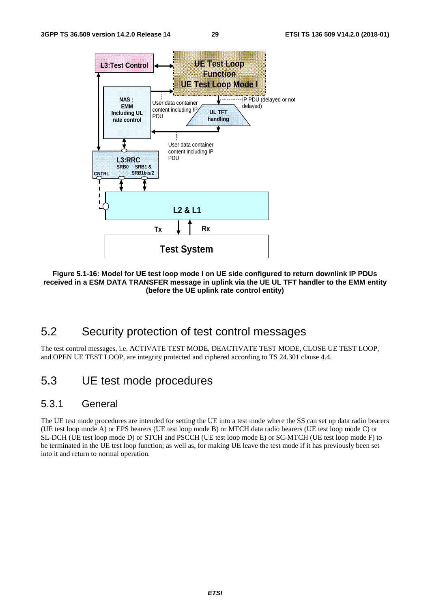

**Figure 5.1-16: Model for UE test loop mode I on UE side configured to return downlink IP PDUs received in a ESM DATA TRANSFER message in uplink via the UE UL TFT handler to the EMM entity (before the UE uplink rate control entity)** 

# 5.2 Security protection of test control messages

The test control messages, i.e. ACTIVATE TEST MODE, DEACTIVATE TEST MODE, CLOSE UE TEST LOOP, and OPEN UE TEST LOOP, are integrity protected and ciphered according to TS 24.301 clause 4.4.

### 5.3 UE test mode procedures

### 5.3.1 General

The UE test mode procedures are intended for setting the UE into a test mode where the SS can set up data radio bearers (UE test loop mode A) or EPS bearers (UE test loop mode B) or MTCH data radio bearers (UE test loop mode C) or SL-DCH (UE test loop mode D) or STCH and PSCCH (UE test loop mode E) or SC-MTCH (UE test loop mode F) to be terminated in the UE test loop function; as well as, for making UE leave the test mode if it has previously been set into it and return to normal operation.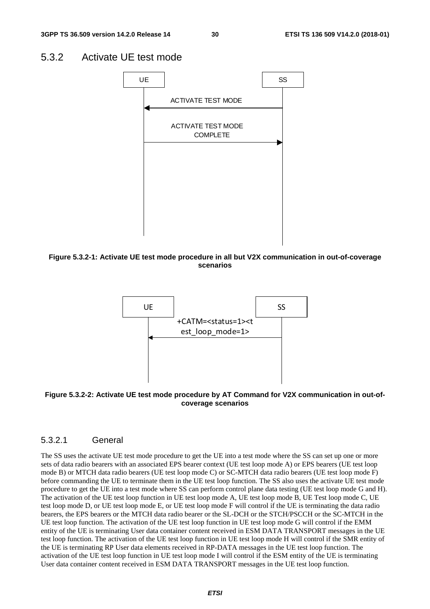### 5.3.2 Activate UE test mode



**Figure 5.3.2-1: Activate UE test mode procedure in all but V2X communication in out-of-coverage scenarios** 



**Figure 5.3.2-2: Activate UE test mode procedure by AT Command for V2X communication in out-ofcoverage scenarios** 

### 5.3.2.1 General

The SS uses the activate UE test mode procedure to get the UE into a test mode where the SS can set up one or more sets of data radio bearers with an associated EPS bearer context (UE test loop mode A) or EPS bearers (UE test loop mode B) or MTCH data radio bearers (UE test loop mode C) or SC-MTCH data radio bearers (UE test loop mode F) before commanding the UE to terminate them in the UE test loop function. The SS also uses the activate UE test mode procedure to get the UE into a test mode where SS can perform control plane data testing (UE test loop mode G and H). The activation of the UE test loop function in UE test loop mode A, UE test loop mode B, UE Test loop mode C, UE test loop mode D, or UE test loop mode E, or UE test loop mode F will control if the UE is terminating the data radio bearers, the EPS bearers or the MTCH data radio bearer or the SL-DCH or the STCH/PSCCH or the SC-MTCH in the UE test loop function. The activation of the UE test loop function in UE test loop mode G will control if the EMM entity of the UE is terminating User data container content received in ESM DATA TRANSPORT messages in the UE test loop function. The activation of the UE test loop function in UE test loop mode H will control if the SMR entity of the UE is terminating RP User data elements received in RP-DATA messages in the UE test loop function. The activation of the UE test loop function in UE test loop mode I will control if the ESM entity of the UE is terminating User data container content received in ESM DATA TRANSPORT messages in the UE test loop function.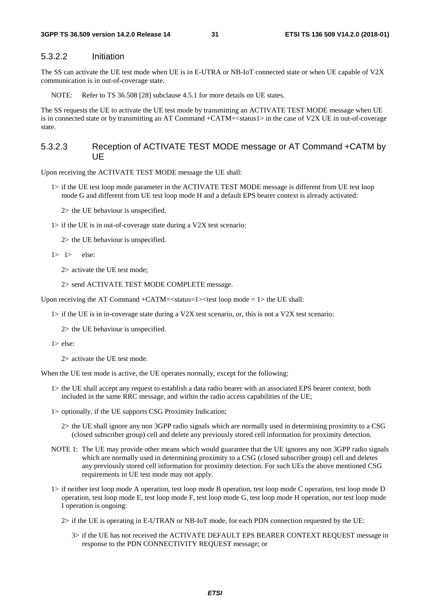### 5.3.2.2 Initiation

The SS can activate the UE test mode when UE is in E-UTRA or NB-IoT connected state or when UE capable of V2X communication is in out-of-coverage state.

NOTE: Refer to TS 36.508 [28] subclause 4.5.1 for more details on UE states.

The SS requests the UE to activate the UE test mode by transmitting an ACTIVATE TEST MODE message when UE is in connected state or by transmitting an AT Command +CATM=<status1> in the case of V2X UE in out-of-coverage state.

### 5.3.2.3 Reception of ACTIVATE TEST MODE message or AT Command +CATM by UE

Upon receiving the ACTIVATE TEST MODE message the UE shall:

- 1> if the UE test loop mode parameter in the ACTIVATE TEST MODE message is different from UE test loop mode G and different from UE test loop mode H and a default EPS bearer context is already activated:
	- 2> the UE behaviour is unspecified.
- 1> if the UE is in out-of-coverage state during a V2X test scenario:

2> the UE behaviour is unspecified.

 $1> 1>$  else:

2> activate the UE test mode;

2> send ACTIVATE TEST MODE COMPLETE message.

Upon receiving the AT Command  $+CATM = <$ status=1 $>$ test loop mode = 1 $>$  the UE shall:

 $1$  if the UE is in in-coverage state during a V2X test scenario, or, this is not a V2X test scenario:

2> the UE behaviour is unspecified.

1> else:

2> activate the UE test mode.

When the UE test mode is active, the UE operates normally, except for the following:

- 1> the UE shall accept any request to establish a data radio bearer with an associated EPS bearer context, both included in the same RRC message, and within the radio access capabilities of the UE;
- 1> optionally, if the UE supports CSG Proximity Indication;
	- 2> the UE shall ignore any non 3GPP radio signals which are normally used in determining proximity to a CSG (closed subscriber group) cell and delete any previously stored cell information for proximity detection.
- NOTE 1: The UE may provide other means which would guarantee that the UE ignores any non 3GPP radio signals which are normally used in determining proximity to a CSG (closed subscriber group) cell and deletes any previously stored cell information for proximity detection. For such UEs the above mentioned CSG requirements in UE test mode may not apply.
- 1> if neither test loop mode A operation, test loop mode B operation, test loop mode C operation, test loop mode D operation, test loop mode E, test loop mode F, test loop mode G, test loop mode H operation, nor test loop mode I operation is ongoing:
	- 2> if the UE is operating in E-UTRAN or NB-IoT mode, for each PDN connection requested by the UE:
		- 3> if the UE has not received the ACTIVATE DEFAULT EPS BEARER CONTEXT REQUEST message in response to the PDN CONNECTIVITY REQUEST message; or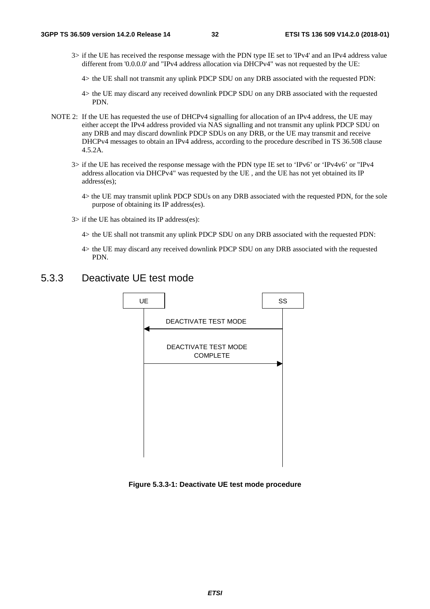- 3> if the UE has received the response message with the PDN type IE set to 'IPv4' and an IPv4 address value different from '0.0.0.0' and "IPv4 address allocation via DHCPv4" was not requested by the UE:
	- 4> the UE shall not transmit any uplink PDCP SDU on any DRB associated with the requested PDN:
	- 4> the UE may discard any received downlink PDCP SDU on any DRB associated with the requested PDN.
- NOTE 2: If the UE has requested the use of DHCPv4 signalling for allocation of an IPv4 address, the UE may either accept the IPv4 address provided via NAS signalling and not transmit any uplink PDCP SDU on any DRB and may discard downlink PDCP SDUs on any DRB, or the UE may transmit and receive DHCPv4 messages to obtain an IPv4 address, according to the procedure described in TS 36.508 clause 4.5.2A.
	- 3> if the UE has received the response message with the PDN type IE set to 'IPv6' or 'IPv4v6' or "IPv4 address allocation via DHCPv4" was requested by the UE , and the UE has not yet obtained its IP address(es);
		- 4> the UE may transmit uplink PDCP SDUs on any DRB associated with the requested PDN, for the sole purpose of obtaining its IP address(es).
	- 3> if the UE has obtained its IP address(es):
		- 4> the UE shall not transmit any uplink PDCP SDU on any DRB associated with the requested PDN:
		- 4> the UE may discard any received downlink PDCP SDU on any DRB associated with the requested PDN.

### 5.3.3 Deactivate UE test mode



**Figure 5.3.3-1: Deactivate UE test mode procedure**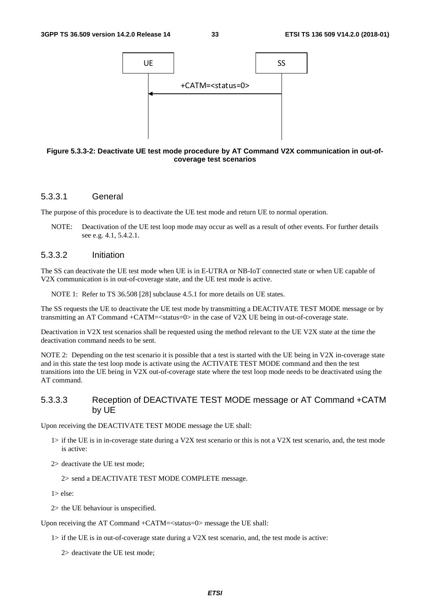

#### **Figure 5.3.3-2: Deactivate UE test mode procedure by AT Command V2X communication in out-ofcoverage test scenarios**

### 5.3.3.1 General

The purpose of this procedure is to deactivate the UE test mode and return UE to normal operation.

NOTE: Deactivation of the UE test loop mode may occur as well as a result of other events. For further details see e.g. 4.1, 5.4.2.1.

### 5.3.3.2 Initiation

The SS can deactivate the UE test mode when UE is in E-UTRA or NB-IoT connected state or when UE capable of V2X communication is in out-of-coverage state, and the UE test mode is active.

NOTE 1: Refer to TS 36.508 [28] subclause 4.5.1 for more details on UE states.

The SS requests the UE to deactivate the UE test mode by transmitting a DEACTIVATE TEST MODE message or by transmitting an AT Command +CATM=<status=0> in the case of V2X UE being in out-of-coverage state.

Deactivation in V2X test scenarios shall be requested using the method relevant to the UE V2X state at the time the deactivation command needs to be sent.

NOTE 2: Depending on the test scenario it is possible that a test is started with the UE being in V2X in-coverage state and in this state the test loop mode is activate using the ACTIVATE TEST MODE command and then the test transitions into the UE being in V2X out-of-coverage state where the test loop mode needs to be deactivated using the AT command.

### 5.3.3.3 Reception of DEACTIVATE TEST MODE message or AT Command +CATM by UE

Upon receiving the DEACTIVATE TEST MODE message the UE shall:

- $1>$  if the UE is in in-coverage state during a V2X test scenario or this is not a V2X test scenario, and, the test mode is active:
- 2> deactivate the UE test mode;

2> send a DEACTIVATE TEST MODE COMPLETE message.

 $1$ > else:

2> the UE behaviour is unspecified.

Upon receiving the AT Command +CATM=<status=0> message the UE shall:

1> if the UE is in out-of-coverage state during a V2X test scenario, and, the test mode is active:

2> deactivate the UE test mode;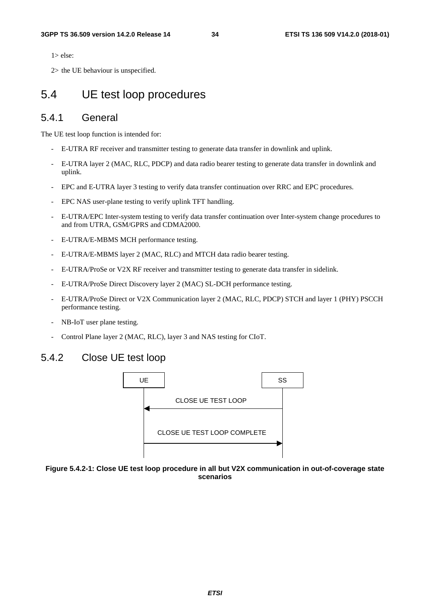$1$  > else:

2> the UE behaviour is unspecified.

### 5.4 UE test loop procedures

### 5.4.1 General

The UE test loop function is intended for:

- E-UTRA RF receiver and transmitter testing to generate data transfer in downlink and uplink.
- E-UTRA layer 2 (MAC, RLC, PDCP) and data radio bearer testing to generate data transfer in downlink and uplink.
- EPC and E-UTRA layer 3 testing to verify data transfer continuation over RRC and EPC procedures.
- EPC NAS user-plane testing to verify uplink TFT handling.
- E-UTRA/EPC Inter-system testing to verify data transfer continuation over Inter-system change procedures to and from UTRA, GSM/GPRS and CDMA2000.
- E-UTRA/E-MBMS MCH performance testing.
- E-UTRA/E-MBMS layer 2 (MAC, RLC) and MTCH data radio bearer testing.
- E-UTRA/ProSe or V2X RF receiver and transmitter testing to generate data transfer in sidelink.
- E-UTRA/ProSe Direct Discovery layer 2 (MAC) SL-DCH performance testing.
- E-UTRA/ProSe Direct or V2X Communication layer 2 (MAC, RLC, PDCP) STCH and layer 1 (PHY) PSCCH performance testing.
- NB-IoT user plane testing.
- Control Plane layer 2 (MAC, RLC), layer 3 and NAS testing for CIoT.

### 5.4.2 Close UE test loop



#### **Figure 5.4.2-1: Close UE test loop procedure in all but V2X communication in out-of-coverage state scenarios**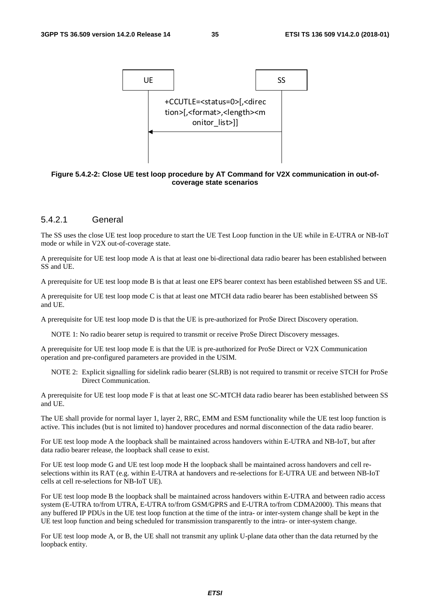

**Figure 5.4.2-2: Close UE test loop procedure by AT Command for V2X communication in out-ofcoverage state scenarios** 

### 5.4.2.1 General

The SS uses the close UE test loop procedure to start the UE Test Loop function in the UE while in E-UTRA or NB-IoT mode or while in V2X out-of-coverage state.

A prerequisite for UE test loop mode A is that at least one bi-directional data radio bearer has been established between SS and UE.

A prerequisite for UE test loop mode B is that at least one EPS bearer context has been established between SS and UE.

A prerequisite for UE test loop mode C is that at least one MTCH data radio bearer has been established between SS and UE.

A prerequisite for UE test loop mode D is that the UE is pre-authorized for ProSe Direct Discovery operation.

NOTE 1: No radio bearer setup is required to transmit or receive ProSe Direct Discovery messages.

A prerequisite for UE test loop mode E is that the UE is pre-authorized for ProSe Direct or V2X Communication operation and pre-configured parameters are provided in the USIM.

NOTE 2: Explicit signalling for sidelink radio bearer (SLRB) is not required to transmit or receive STCH for ProSe Direct Communication.

A prerequisite for UE test loop mode F is that at least one SC-MTCH data radio bearer has been established between SS and UE.

The UE shall provide for normal layer 1, layer 2, RRC, EMM and ESM functionality while the UE test loop function is active. This includes (but is not limited to) handover procedures and normal disconnection of the data radio bearer.

For UE test loop mode A the loopback shall be maintained across handovers within E-UTRA and NB-IoT, but after data radio bearer release, the loopback shall cease to exist.

For UE test loop mode G and UE test loop mode H the loopback shall be maintained across handovers and cell reselections within its RAT (e.g. within E-UTRA at handovers and re-selections for E-UTRA UE and between NB-IoT cells at cell re-selections for NB-IoT UE).

For UE test loop mode B the loopback shall be maintained across handovers within E-UTRA and between radio access system (E-UTRA to/from UTRA, E-UTRA to/from GSM/GPRS and E-UTRA to/from CDMA2000). This means that any buffered IP PDUs in the UE test loop function at the time of the intra- or inter-system change shall be kept in the UE test loop function and being scheduled for transmission transparently to the intra- or inter-system change.

For UE test loop mode A, or B, the UE shall not transmit any uplink U-plane data other than the data returned by the loopback entity.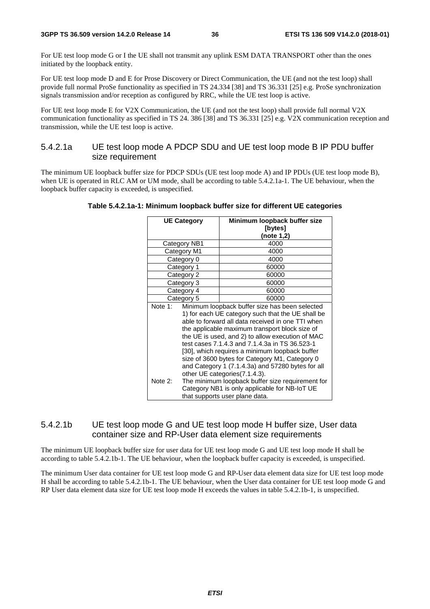For UE test loop mode G or I the UE shall not transmit any uplink ESM DATA TRANSPORT other than the ones initiated by the loopback entity.

For UE test loop mode D and E for Prose Discovery or Direct Communication, the UE (and not the test loop) shall provide full normal ProSe functionality as specified in TS 24.334 [38] and TS 36.331 [25] e.g. ProSe synchronization signals transmission and/or reception as configured by RRC, while the UE test loop is active.

For UE test loop mode E for V2X Communication, the UE (and not the test loop) shall provide full normal V2X communication functionality as specified in TS 24. 386 [38] and TS 36.331 [25] e.g. V2X communication reception and transmission, while the UE test loop is active.

### 5.4.2.1a UE test loop mode A PDCP SDU and UE test loop mode B IP PDU buffer size requirement

The minimum UE loopback buffer size for PDCP SDUs (UE test loop mode A) and IP PDUs (UE test loop mode B), when UE is operated in RLC AM or UM mode, shall be according to table 5.4.2.1a-1. The UE behaviour, when the loopback buffer capacity is exceeded, is unspecified.

|         | <b>UE Category</b> | Minimum loopback buffer size                      |  |  |  |
|---------|--------------------|---------------------------------------------------|--|--|--|
|         |                    | [bytes]                                           |  |  |  |
|         |                    | (note 1,2)                                        |  |  |  |
|         | Category NB1       | 4000                                              |  |  |  |
|         | Category M1        | 4000                                              |  |  |  |
|         | Category 0         | 4000                                              |  |  |  |
|         | Category 1         | 60000                                             |  |  |  |
|         | Category 2         | 60000                                             |  |  |  |
|         | Category 3         | 60000                                             |  |  |  |
|         | Category 4         | 60000                                             |  |  |  |
|         | Category 5         | 60000                                             |  |  |  |
| Note 1: |                    | Minimum loopback buffer size has been selected    |  |  |  |
|         |                    | 1) for each UE category such that the UE shall be |  |  |  |
|         |                    | able to forward all data received in one TTI when |  |  |  |
|         |                    | the applicable maximum transport block size of    |  |  |  |
|         |                    | the UE is used, and 2) to allow execution of MAC  |  |  |  |
|         |                    | test cases 7.1.4.3 and 7.1.4.3a in TS 36.523-1    |  |  |  |
|         |                    | [30], which requires a minimum loopback buffer    |  |  |  |
|         |                    | size of 3600 bytes for Category M1, Category 0    |  |  |  |
|         |                    | and Category 1 (7.1.4.3a) and 57280 bytes for all |  |  |  |
|         |                    | other UE categories(7.1.4.3).                     |  |  |  |
| Note 2: |                    | The minimum loopback buffer size requirement for  |  |  |  |
|         |                    | Category NB1 is only applicable for NB-IoT UE     |  |  |  |
|         |                    | that supports user plane data.                    |  |  |  |

**Table 5.4.2.1a-1: Minimum loopback buffer size for different UE categories** 

### 5.4.2.1b UE test loop mode G and UE test loop mode H buffer size, User data container size and RP-User data element size requirements

The minimum UE loopback buffer size for user data for UE test loop mode G and UE test loop mode H shall be according to table 5.4.2.1b-1. The UE behaviour, when the loopback buffer capacity is exceeded, is unspecified.

The minimum User data container for UE test loop mode G and RP-User data element data size for UE test loop mode H shall be according to table 5.4.2.1b-1. The UE behaviour, when the User data container for UE test loop mode G and RP User data element data size for UE test loop mode H exceeds the values in table 5.4.2.1b-1, is unspecified.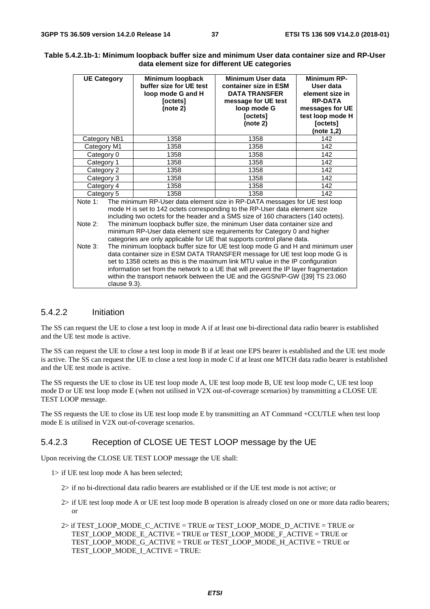| <b>UE Category</b>    |              | Minimum loopback<br>buffer size for UE test<br>loop mode G and H<br>[octets]<br>(note 2)                                                                                                                                                                                                                                                                                                                                                                                                                                                                                            | Minimum User data<br>container size in ESM<br><b>DATA TRANSFER</b><br>message for UE test<br>loop mode G<br>[octets]<br>(note 2) | Minimum RP-<br>User data<br>element size in<br><b>RP-DATA</b><br>messages for UE<br>test loop mode H<br>[octets]<br>(note 1,2) |
|-----------------------|--------------|-------------------------------------------------------------------------------------------------------------------------------------------------------------------------------------------------------------------------------------------------------------------------------------------------------------------------------------------------------------------------------------------------------------------------------------------------------------------------------------------------------------------------------------------------------------------------------------|----------------------------------------------------------------------------------------------------------------------------------|--------------------------------------------------------------------------------------------------------------------------------|
| Category NB1          |              | 1358                                                                                                                                                                                                                                                                                                                                                                                                                                                                                                                                                                                | 1358                                                                                                                             | 142                                                                                                                            |
| Category M1           |              | 1358                                                                                                                                                                                                                                                                                                                                                                                                                                                                                                                                                                                | 1358                                                                                                                             | 142                                                                                                                            |
| Category 0            |              | 1358                                                                                                                                                                                                                                                                                                                                                                                                                                                                                                                                                                                | 1358                                                                                                                             | 142                                                                                                                            |
| Category 1            |              | 1358<br>1358                                                                                                                                                                                                                                                                                                                                                                                                                                                                                                                                                                        |                                                                                                                                  | 142                                                                                                                            |
| Category 2            |              | 1358                                                                                                                                                                                                                                                                                                                                                                                                                                                                                                                                                                                | 1358                                                                                                                             | 142                                                                                                                            |
| Category 3            |              | 1358<br>1358                                                                                                                                                                                                                                                                                                                                                                                                                                                                                                                                                                        |                                                                                                                                  | 142                                                                                                                            |
| Category 4            |              | 1358                                                                                                                                                                                                                                                                                                                                                                                                                                                                                                                                                                                | 1358                                                                                                                             | 142                                                                                                                            |
| Category 5            |              | 1358                                                                                                                                                                                                                                                                                                                                                                                                                                                                                                                                                                                | 1358                                                                                                                             | 142                                                                                                                            |
| Note $1$ :<br>Note 2: |              | The minimum RP-User data element size in RP-DATA messages for UE test loop<br>mode H is set to 142 octets corresponding to the RP-User data element size<br>including two octets for the header and a SMS size of 160 characters (140 octets).<br>The minimum loopback buffer size, the minimum User data container size and                                                                                                                                                                                                                                                        |                                                                                                                                  |                                                                                                                                |
| Note 3:               | clause 9.3). | minimum RP-User data element size requirements for Category 0 and higher<br>categories are only applicable for UE that supports control plane data.<br>The minimum loopback buffer size for UE test loop mode G and H and minimum user<br>data container size in ESM DATA TRANSFER message for UE test loop mode G is<br>set to 1358 octets as this is the maximum link MTU value in the IP configuration<br>information set from the network to a UE that will prevent the IP layer fragmentation<br>within the transport network between the UE and the GGSN/P-GW ([39] TS 23.060 |                                                                                                                                  |                                                                                                                                |

#### **Table 5.4.2.1b-1: Minimum loopback buffer size and minimum User data container size and RP-User data element size for different UE categories**

#### 5.4.2.2 Initiation

The SS can request the UE to close a test loop in mode A if at least one bi-directional data radio bearer is established and the UE test mode is active.

The SS can request the UE to close a test loop in mode B if at least one EPS bearer is established and the UE test mode is active. The SS can request the UE to close a test loop in mode C if at least one MTCH data radio bearer is established and the UE test mode is active.

The SS requests the UE to close its UE test loop mode A, UE test loop mode B, UE test loop mode C, UE test loop mode D or UE test loop mode E (when not utilised in V2X out-of-coverage scenarios) by transmitting a CLOSE UE TEST LOOP message.

The SS requests the UE to close its UE test loop mode E by transmitting an AT Command +CCUTLE when test loop mode E is utilised in V2X out-of-coverage scenarios.

### 5.4.2.3 Reception of CLOSE UE TEST LOOP message by the UE

Upon receiving the CLOSE UE TEST LOOP message the UE shall:

- 1> if UE test loop mode A has been selected;
	- 2> if no bi-directional data radio bearers are established or if the UE test mode is not active; or
	- 2> if UE test loop mode A or UE test loop mode B operation is already closed on one or more data radio bearers; or
	- 2> if TEST\_LOOP\_MODE\_C\_ACTIVE = TRUE or TEST\_LOOP\_MODE\_D\_ACTIVE = TRUE or TEST\_LOOP\_MODE\_E\_ACTIVE = TRUE or TEST\_LOOP\_MODE\_F\_ACTIVE = TRUE or TEST\_LOOP\_MODE\_G\_ACTIVE = TRUE or TEST\_LOOP\_MODE\_H\_ACTIVE = TRUE or TEST\_LOOP\_MODE\_I\_ACTIVE = TRUE: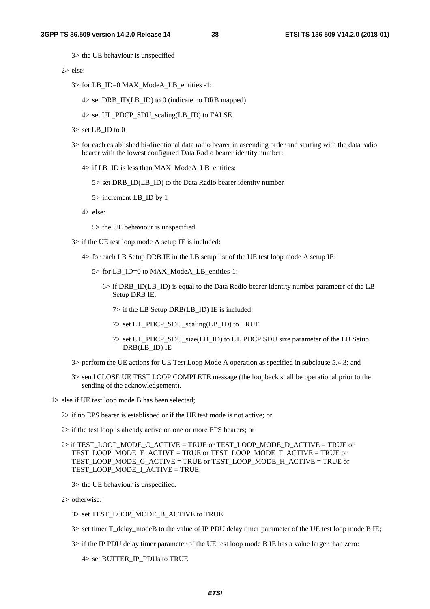3> the UE behaviour is unspecified

2> else:

- 3> for LB\_ID=0 MAX\_ModeA\_LB\_entities -1:
	- $4>$  set DRB ID(LB ID) to 0 (indicate no DRB mapped)
	- 4> set UL\_PDCP\_SDU\_scaling(LB\_ID) to FALSE
- $3$  set LB ID to 0
- 3> for each established bi-directional data radio bearer in ascending order and starting with the data radio bearer with the lowest configured Data Radio bearer identity number:
	- 4> if LB\_ID is less than MAX\_ModeA\_LB\_entities:
		- 5> set DRB\_ID(LB\_ID) to the Data Radio bearer identity number
		- 5> increment LB\_ID by 1

4> else:

- 5> the UE behaviour is unspecified
- 3> if the UE test loop mode A setup IE is included:
	- 4> for each LB Setup DRB IE in the LB setup list of the UE test loop mode A setup IE:
		- 5> for LB\_ID=0 to MAX\_ModeA\_LB\_entities-1:
			- 6> if DRB\_ID(LB\_ID) is equal to the Data Radio bearer identity number parameter of the LB Setup DRB IE:
				- 7> if the LB Setup DRB(LB\_ID) IE is included:
				- 7> set UL\_PDCP\_SDU\_scaling(LB\_ID) to TRUE
				- 7> set UL\_PDCP\_SDU\_size(LB\_ID) to UL PDCP SDU size parameter of the LB Setup DRB(LB\_ID) IE
- 3> perform the UE actions for UE Test Loop Mode A operation as specified in subclause 5.4.3; and
- 3> send CLOSE UE TEST LOOP COMPLETE message (the loopback shall be operational prior to the sending of the acknowledgement).

1> else if UE test loop mode B has been selected;

- 2> if no EPS bearer is established or if the UE test mode is not active; or
- 2> if the test loop is already active on one or more EPS bearers; or
- 2> if TEST\_LOOP\_MODE\_C\_ACTIVE = TRUE or TEST\_LOOP\_MODE\_D\_ACTIVE = TRUE or TEST\_LOOP\_MODE\_E\_ACTIVE = TRUE or TEST\_LOOP\_MODE\_F\_ACTIVE = TRUE or TEST\_LOOP\_MODE\_G\_ACTIVE = TRUE or TEST\_LOOP\_MODE\_H\_ACTIVE = TRUE or TEST\_LOOP\_MODE\_I\_ACTIVE = TRUE:
	- 3> the UE behaviour is unspecified.
- 2> otherwise:
	- 3> set TEST\_LOOP\_MODE\_B\_ACTIVE to TRUE
	- 3> set timer T\_delay\_modeB to the value of IP PDU delay timer parameter of the UE test loop mode B IE;
	- 3> if the IP PDU delay timer parameter of the UE test loop mode B IE has a value larger than zero:

4> set BUFFER\_IP\_PDUs to TRUE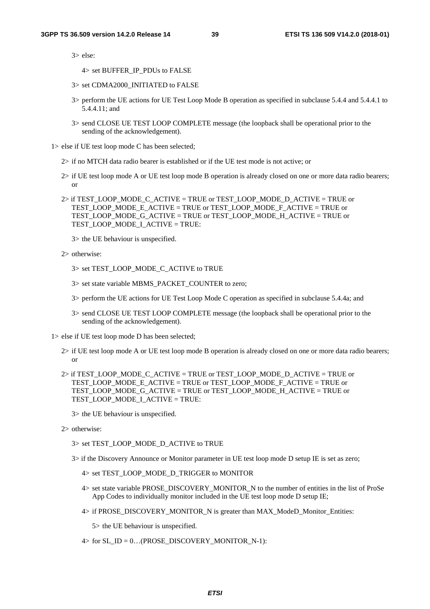3> else:

4> set BUFFER\_IP\_PDUs to FALSE

- 3> set CDMA2000\_INITIATED to FALSE
- 3> perform the UE actions for UE Test Loop Mode B operation as specified in subclause 5.4.4 and 5.4.4.1 to 5.4.4.11; and
- 3> send CLOSE UE TEST LOOP COMPLETE message (the loopback shall be operational prior to the sending of the acknowledgement).

1> else if UE test loop mode C has been selected;

- 2> if no MTCH data radio bearer is established or if the UE test mode is not active; or
- 2> if UE test loop mode A or UE test loop mode B operation is already closed on one or more data radio bearers; or
- 2> if TEST\_LOOP\_MODE\_C\_ACTIVE = TRUE or TEST\_LOOP\_MODE\_D\_ACTIVE = TRUE or TEST\_LOOP\_MODE\_E\_ACTIVE = TRUE or TEST\_LOOP\_MODE\_F\_ACTIVE = TRUE or TEST\_LOOP\_MODE\_G\_ACTIVE = TRUE or TEST\_LOOP\_MODE\_H\_ACTIVE = TRUE or TEST\_LOOP\_MODE\_I\_ACTIVE = TRUE:

3> the UE behaviour is unspecified.

2> otherwise:

3> set TEST\_LOOP\_MODE\_C\_ACTIVE to TRUE

- 3> set state variable MBMS\_PACKET\_COUNTER to zero;
- 3> perform the UE actions for UE Test Loop Mode C operation as specified in subclause 5.4.4a; and
- 3> send CLOSE UE TEST LOOP COMPLETE message (the loopback shall be operational prior to the sending of the acknowledgement).

1> else if UE test loop mode D has been selected;

- 2> if UE test loop mode A or UE test loop mode B operation is already closed on one or more data radio bearers; or
- 2> if TEST\_LOOP\_MODE\_C\_ACTIVE = TRUE or TEST\_LOOP\_MODE\_D\_ACTIVE = TRUE or TEST\_LOOP\_MODE\_E\_ACTIVE = TRUE or TEST\_LOOP\_MODE\_F\_ACTIVE = TRUE or TEST\_LOOP\_MODE\_G\_ACTIVE = TRUE or TEST\_LOOP\_MODE\_H\_ACTIVE = TRUE or TEST\_LOOP\_MODE\_I\_ACTIVE = TRUE:

3> the UE behaviour is unspecified.

2> otherwise:

3> set TEST\_LOOP\_MODE\_D\_ACTIVE to TRUE

- 3> if the Discovery Announce or Monitor parameter in UE test loop mode D setup IE is set as zero;
	- 4> set TEST\_LOOP\_MODE\_D\_TRIGGER to MONITOR
	- 4> set state variable PROSE\_DISCOVERY\_MONITOR\_N to the number of entities in the list of ProSe App Codes to individually monitor included in the UE test loop mode D setup IE;
	- 4> if PROSE\_DISCOVERY\_MONITOR\_N is greater than MAX\_ModeD\_Monitor\_Entities:

5> the UE behaviour is unspecified.

 $4>$  for SL\_ID = 0...(PROSE\_DISCOVERY\_MONITOR\_N-1):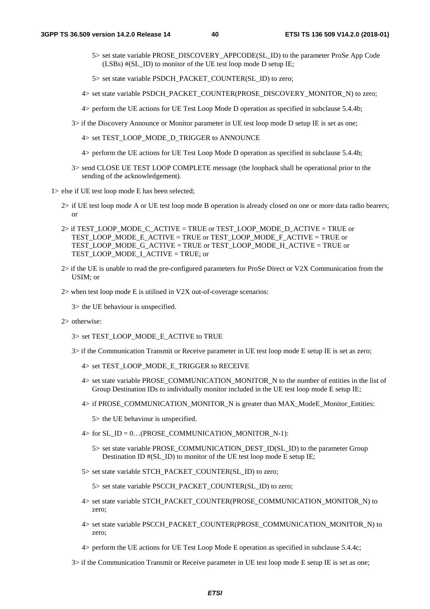- 5> set state variable PROSE\_DISCOVERY\_APPCODE(SL\_ID) to the parameter ProSe App Code (LSBs) #(SL\_ID) to monitor of the UE test loop mode D setup IE;
- 5> set state variable PSDCH\_PACKET\_COUNTER(SL\_ID) to zero;
- 4> set state variable PSDCH\_PACKET\_COUNTER(PROSE\_DISCOVERY\_MONITOR\_N) to zero;
- 4> perform the UE actions for UE Test Loop Mode D operation as specified in subclause 5.4.4b;
- 3> if the Discovery Announce or Monitor parameter in UE test loop mode D setup IE is set as one;
	- 4> set TEST\_LOOP\_MODE\_D\_TRIGGER to ANNOUNCE
	- 4> perform the UE actions for UE Test Loop Mode D operation as specified in subclause 5.4.4b;
- 3> send CLOSE UE TEST LOOP COMPLETE message (the loopback shall be operational prior to the sending of the acknowledgement).

1> else if UE test loop mode E has been selected;

- 2> if UE test loop mode A or UE test loop mode B operation is already closed on one or more data radio bearers; or
- $2$  if TEST\_LOOP\_MODE\_C\_ACTIVE = TRUE or TEST\_LOOP\_MODE\_D\_ACTIVE = TRUE or TEST\_LOOP\_MODE\_E\_ACTIVE = TRUE or TEST\_LOOP\_MODE\_F\_ACTIVE = TRUE or TEST\_LOOP\_MODE\_G\_ACTIVE = TRUE or TEST\_LOOP\_MODE\_H\_ACTIVE = TRUE or TEST\_LOOP\_MODE\_I\_ACTIVE = TRUE; or
- 2> if the UE is unable to read the pre-configured parameters for ProSe Direct or V2X Communication from the USIM; or
- 2> when test loop mode E is utilised in V2X out-of-coverage scenarios:
	- 3> the UE behaviour is unspecified.
- 2> otherwise:
	- 3> set TEST\_LOOP\_MODE\_E\_ACTIVE to TRUE
	- 3> if the Communication Transmit or Receive parameter in UE test loop mode E setup IE is set as zero;
		- 4> set TEST\_LOOP\_MODE\_E\_TRIGGER to RECEIVE
		- 4> set state variable PROSE\_COMMUNICATION\_MONITOR\_N to the number of entities in the list of Group Destination IDs to individually monitor included in the UE test loop mode E setup IE;
		- 4> if PROSE\_COMMUNICATION\_MONITOR\_N is greater than MAX\_ModeE\_Monitor\_Entities:
			- 5> the UE behaviour is unspecified.
		- $4>$  for SL\_ID = 0...(PROSE\_COMMUNICATION\_MONITOR\_N-1):
			- 5> set state variable PROSE\_COMMUNICATION\_DEST\_ID(SL\_ID) to the parameter Group Destination ID  $\#$ (SL ID) to monitor of the UE test loop mode E setup IE;
		- 5> set state variable STCH\_PACKET\_COUNTER(SL\_ID) to zero;

5> set state variable PSCCH\_PACKET\_COUNTER(SL\_ID) to zero;

- 4> set state variable STCH\_PACKET\_COUNTER(PROSE\_COMMUNICATION\_MONITOR\_N) to zero;
- 4> set state variable PSCCH\_PACKET\_COUNTER(PROSE\_COMMUNICATION\_MONITOR\_N) to zero;
- 4> perform the UE actions for UE Test Loop Mode E operation as specified in subclause 5.4.4c;
- 3> if the Communication Transmit or Receive parameter in UE test loop mode E setup IE is set as one;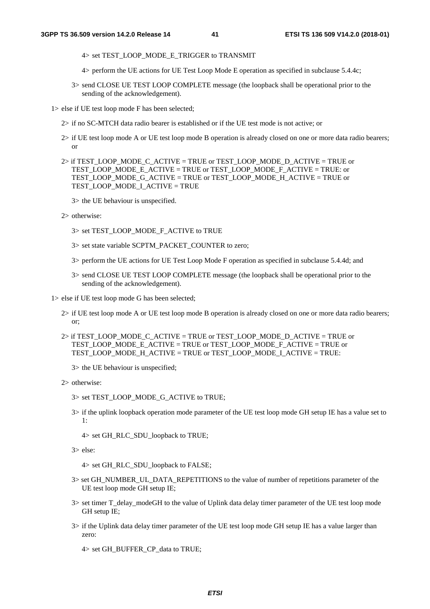- 4> set TEST\_LOOP\_MODE\_E\_TRIGGER to TRANSMIT
- 4> perform the UE actions for UE Test Loop Mode E operation as specified in subclause 5.4.4c;
- 3> send CLOSE UE TEST LOOP COMPLETE message (the loopback shall be operational prior to the sending of the acknowledgement).

1> else if UE test loop mode F has been selected;

- 2> if no SC-MTCH data radio bearer is established or if the UE test mode is not active; or
- 2> if UE test loop mode A or UE test loop mode B operation is already closed on one or more data radio bearers; or
- 2> if TEST\_LOOP\_MODE\_C\_ACTIVE = TRUE or TEST\_LOOP\_MODE\_D\_ACTIVE = TRUE or TEST\_LOOP\_MODE\_E\_ACTIVE = TRUE or TEST\_LOOP\_MODE\_F\_ACTIVE = TRUE: or TEST\_LOOP\_MODE\_G\_ACTIVE = TRUE or TEST\_LOOP\_MODE\_H\_ACTIVE = TRUE or TEST\_LOOP\_MODE\_I\_ACTIVE = TRUE

3> the UE behaviour is unspecified.

2> otherwise:

- 3> set TEST\_LOOP\_MODE\_F\_ACTIVE to TRUE
- 3> set state variable SCPTM\_PACKET\_COUNTER to zero;
- 3> perform the UE actions for UE Test Loop Mode F operation as specified in subclause 5.4.4d; and
- 3> send CLOSE UE TEST LOOP COMPLETE message (the loopback shall be operational prior to the sending of the acknowledgement).

1> else if UE test loop mode G has been selected;

- 2> if UE test loop mode A or UE test loop mode B operation is already closed on one or more data radio bearers; or;
- 2> if TEST\_LOOP\_MODE\_C\_ACTIVE = TRUE or TEST\_LOOP\_MODE\_D\_ACTIVE = TRUE or TEST\_LOOP\_MODE\_E\_ACTIVE = TRUE or TEST\_LOOP\_MODE\_F\_ACTIVE = TRUE or TEST\_LOOP\_MODE\_H\_ACTIVE = TRUE or TEST\_LOOP\_MODE\_I\_ACTIVE = TRUE:

3> the UE behaviour is unspecified;

- 2> otherwise:
	- 3> set TEST\_LOOP\_MODE\_G\_ACTIVE to TRUE;
	- 3> if the uplink loopback operation mode parameter of the UE test loop mode GH setup IE has a value set to 1:

4> set GH\_RLC\_SDU\_loopback to TRUE;

3> else:

4> set GH\_RLC\_SDU\_loopback to FALSE;

- 3> set GH\_NUMBER\_UL\_DATA\_REPETITIONS to the value of number of repetitions parameter of the UE test loop mode GH setup IE;
- 3> set timer T\_delay\_modeGH to the value of Uplink data delay timer parameter of the UE test loop mode GH setup IE;
- 3> if the Uplink data delay timer parameter of the UE test loop mode GH setup IE has a value larger than zero:

4> set GH\_BUFFER\_CP\_data to TRUE;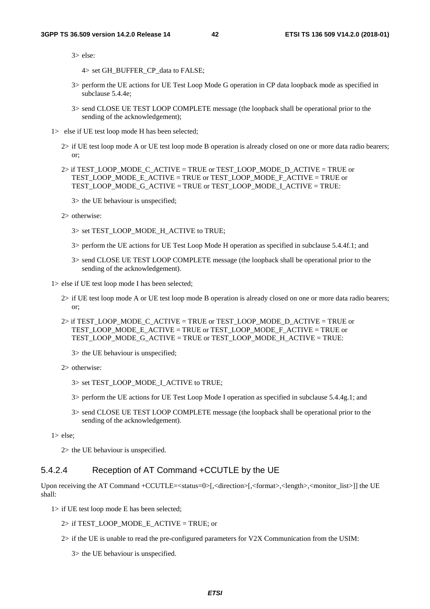#### **3GPP TS 36.509 version 14.2.0 Release 14 42 ETSI TS 136 509 V14.2.0 (2018-01)**

3> else:

4> set GH\_BUFFER\_CP\_data to FALSE;

- 3> perform the UE actions for UE Test Loop Mode G operation in CP data loopback mode as specified in subclause 5.4.4e;
- 3> send CLOSE UE TEST LOOP COMPLETE message (the loopback shall be operational prior to the sending of the acknowledgement);
- 1> else if UE test loop mode H has been selected;
	- 2> if UE test loop mode A or UE test loop mode B operation is already closed on one or more data radio bearers; or;
	- 2> if TEST\_LOOP\_MODE\_C\_ACTIVE = TRUE or TEST\_LOOP\_MODE\_D\_ACTIVE = TRUE or TEST\_LOOP\_MODE\_E\_ACTIVE = TRUE or TEST\_LOOP\_MODE\_F\_ACTIVE = TRUE or TEST\_LOOP\_MODE\_G\_ACTIVE = TRUE or TEST\_LOOP\_MODE\_I\_ACTIVE = TRUE:

3> the UE behaviour is unspecified;

2> otherwise:

- 3> set TEST\_LOOP\_MODE\_H\_ACTIVE to TRUE;
- 3> perform the UE actions for UE Test Loop Mode H operation as specified in subclause 5.4.4f.1; and
- 3> send CLOSE UE TEST LOOP COMPLETE message (the loopback shall be operational prior to the sending of the acknowledgement).

1> else if UE test loop mode I has been selected;

- 2> if UE test loop mode A or UE test loop mode B operation is already closed on one or more data radio bearers; or;
- $2$  if TEST\_LOOP\_MODE\_C\_ACTIVE = TRUE or TEST\_LOOP\_MODE\_D\_ACTIVE = TRUE or TEST\_LOOP\_MODE\_E\_ACTIVE = TRUE or TEST\_LOOP\_MODE\_F\_ACTIVE = TRUE or TEST\_LOOP\_MODE\_G\_ACTIVE = TRUE or TEST\_LOOP\_MODE\_H\_ACTIVE = TRUE:

3> the UE behaviour is unspecified;

- 2> otherwise:
	- 3> set TEST\_LOOP\_MODE\_I\_ACTIVE to TRUE;
	- 3> perform the UE actions for UE Test Loop Mode I operation as specified in subclause 5.4.4g.1; and
	- 3> send CLOSE UE TEST LOOP COMPLETE message (the loopback shall be operational prior to the sending of the acknowledgement).

1> else;

2> the UE behaviour is unspecified.

#### 5.4.2.4 Reception of AT Command +CCUTLE by the UE

Upon receiving the AT Command +CCUTLE= $\lt$ status=0 $\gt$ [, $\lt$ direction $\gt$ [, $\lt$ format $\gt$ , $\lt$ length $\gt$ , $\lt$ monitor\_list $\gt$ ]] the UE shall:

1> if UE test loop mode E has been selected;

 $2>$  if TEST\_LOOP\_MODE\_E\_ACTIVE = TRUE; or

2> if the UE is unable to read the pre-configured parameters for V2X Communication from the USIM:

3> the UE behaviour is unspecified.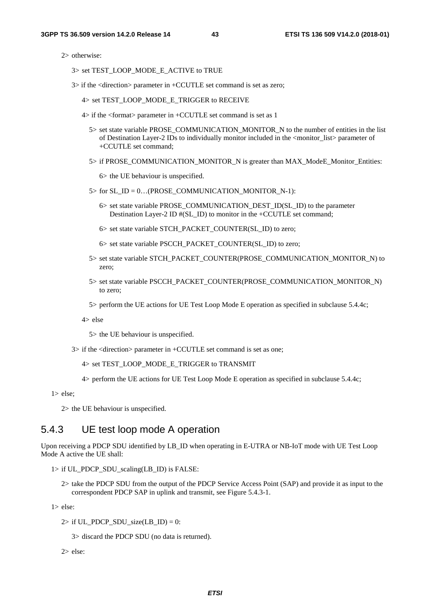2> otherwise:

- 3> set TEST\_LOOP\_MODE\_E\_ACTIVE to TRUE
- 3> if the <direction> parameter in +CCUTLE set command is set as zero;
	- 4> set TEST\_LOOP\_MODE\_E\_TRIGGER to RECEIVE
	- 4> if the <format> parameter in +CCUTLE set command is set as 1
		- 5> set state variable PROSE\_COMMUNICATION\_MONITOR\_N to the number of entities in the list of Destination Layer-2 IDs to individually monitor included in the <monitor\_list> parameter of +CCUTLE set command;
		- 5> if PROSE\_COMMUNICATION\_MONITOR\_N is greater than MAX\_ModeE\_Monitor\_Entities:
			- 6> the UE behaviour is unspecified.
		- 5> for SL\_ID = 0…(PROSE\_COMMUNICATION\_MONITOR\_N-1):
			- 6> set state variable PROSE\_COMMUNICATION\_DEST\_ID(SL\_ID) to the parameter Destination Layer-2 ID #(SL\_ID) to monitor in the +CCUTLE set command;
			- 6> set state variable STCH\_PACKET\_COUNTER(SL\_ID) to zero;
			- 6> set state variable PSCCH\_PACKET\_COUNTER(SL\_ID) to zero;
		- 5> set state variable STCH\_PACKET\_COUNTER(PROSE\_COMMUNICATION\_MONITOR\_N) to zero;
		- 5> set state variable PSCCH\_PACKET\_COUNTER(PROSE\_COMMUNICATION\_MONITOR\_N) to zero;
		- 5> perform the UE actions for UE Test Loop Mode E operation as specified in subclause 5.4.4c;

4> else

5> the UE behaviour is unspecified.

- 3> if the <direction> parameter in +CCUTLE set command is set as one;
	- 4> set TEST\_LOOP\_MODE\_E\_TRIGGER to TRANSMIT
	- 4> perform the UE actions for UE Test Loop Mode E operation as specified in subclause 5.4.4c;

1> else;

2> the UE behaviour is unspecified.

## 5.4.3 UE test loop mode A operation

Upon receiving a PDCP SDU identified by LB\_ID when operating in E-UTRA or NB-IoT mode with UE Test Loop Mode A active the UE shall:

- $1>$  if UL\_PDCP\_SDU\_scaling(LB\_ID) is FALSE:
	- 2> take the PDCP SDU from the output of the PDCP Service Access Point (SAP) and provide it as input to the correspondent PDCP SAP in uplink and transmit, see Figure 5.4.3-1.

1> else:

2> if UL\_PDCP\_SDU\_size(LB\_ID) = 0:

3> discard the PDCP SDU (no data is returned).

 $2 \times$  else: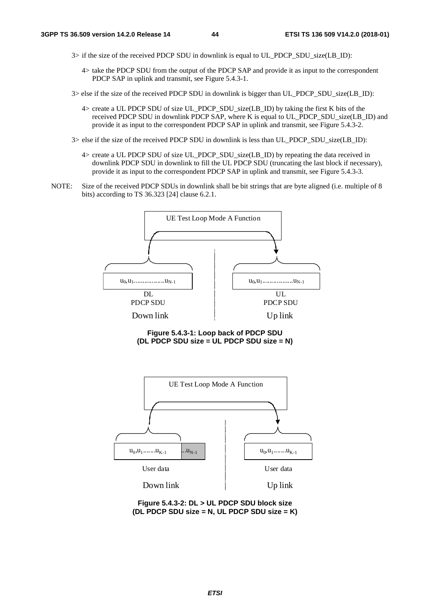- 3> if the size of the received PDCP SDU in downlink is equal to UL\_PDCP\_SDU\_size(LB\_ID):
	- 4> take the PDCP SDU from the output of the PDCP SAP and provide it as input to the correspondent PDCP SAP in uplink and transmit, see Figure 5.4.3-1.
- 3> else if the size of the received PDCP SDU in downlink is bigger than UL\_PDCP\_SDU\_size(LB\_ID):
	- 4> create a UL PDCP SDU of size UL PDCP SDU size(LB ID) by taking the first K bits of the received PDCP SDU in downlink PDCP SAP, where K is equal to UL\_PDCP\_SDU\_size(LB\_ID) and provide it as input to the correspondent PDCP SAP in uplink and transmit, see Figure 5.4.3-2.
- 3> else if the size of the received PDCP SDU in downlink is less than UL\_PDCP\_SDU\_size(LB\_ID):
	- 4> create a UL PDCP SDU of size UL\_PDCP\_SDU\_size(LB\_ID) by repeating the data received in downlink PDCP SDU in downlink to fill the UL PDCP SDU (truncating the last block if necessary), provide it as input to the correspondent PDCP SAP in uplink and transmit, see Figure 5.4.3-3.
- NOTE: Size of the received PDCP SDUs in downlink shall be bit strings that are byte aligned (i.e. multiple of 8 bits) according to TS 36.323 [24] clause 6.2.1.



**Figure 5.4.3-1: Loop back of PDCP SDU (DL PDCP SDU size = UL PDCP SDU size = N)** 



**Figure 5.4.3-2: DL > UL PDCP SDU block size (DL PDCP SDU size = N, UL PDCP SDU size = K)**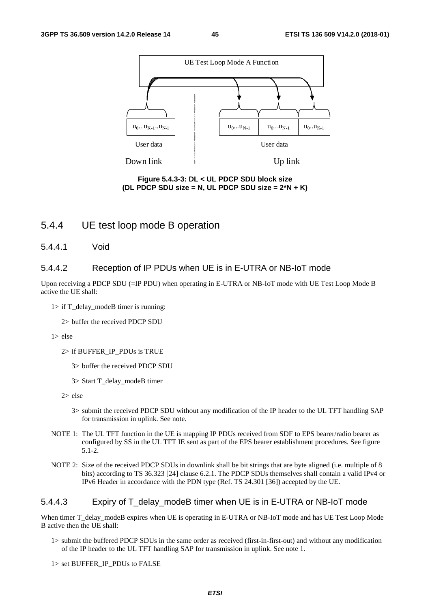

**Figure 5.4.3-3: DL < UL PDCP SDU block size (DL PDCP SDU size = N, UL PDCP SDU size = 2\*N + K)** 

## 5.4.4 UE test loop mode B operation

5.4.4.1 Void

#### 5.4.4.2 Reception of IP PDUs when UE is in E-UTRA or NB-IoT mode

Upon receiving a PDCP SDU (=IP PDU) when operating in E-UTRA or NB-IoT mode with UE Test Loop Mode B active the UE shall:

 $1>$  if T\_delay\_modeB timer is running:

2> buffer the received PDCP SDU

1> else

- 2> if BUFFER\_IP\_PDUs is TRUE
	- 3> buffer the received PDCP SDU
	- 3> Start T\_delay\_modeB timer
- 2> else
	- 3> submit the received PDCP SDU without any modification of the IP header to the UL TFT handling SAP for transmission in uplink. See note.
- NOTE 1: The UL TFT function in the UE is mapping IP PDUs received from SDF to EPS bearer/radio bearer as configured by SS in the UL TFT IE sent as part of the EPS bearer establishment procedures. See figure 5.1-2.
- NOTE 2: Size of the received PDCP SDUs in downlink shall be bit strings that are byte aligned (i.e. multiple of 8 bits) according to TS 36.323 [24] clause 6.2.1. The PDCP SDUs themselves shall contain a valid IPv4 or IPv6 Header in accordance with the PDN type (Ref. TS 24.301 [36]) accepted by the UE.

#### 5.4.4.3 Expiry of T\_delay\_modeB timer when UE is in E-UTRA or NB-IoT mode

When timer T\_delay\_modeB expires when UE is operating in E-UTRA or NB-IoT mode and has UE Test Loop Mode B active then the UE shall:

1> submit the buffered PDCP SDUs in the same order as received (first-in-first-out) and without any modification of the IP header to the UL TFT handling SAP for transmission in uplink. See note 1.

1> set BUFFER\_IP\_PDUs to FALSE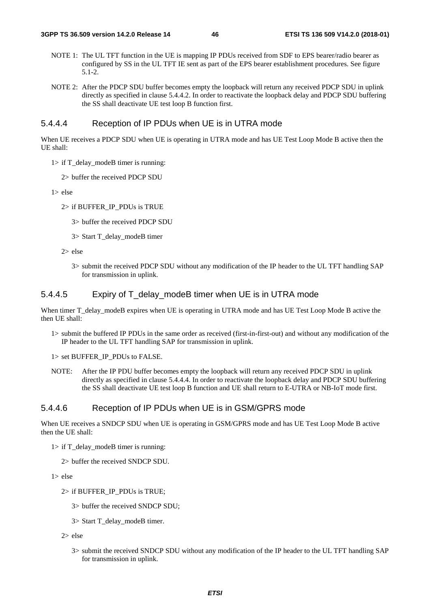- NOTE 1: The UL TFT function in the UE is mapping IP PDUs received from SDF to EPS bearer/radio bearer as configured by SS in the UL TFT IE sent as part of the EPS bearer establishment procedures. See figure 5.1-2.
- NOTE 2: After the PDCP SDU buffer becomes empty the loopback will return any received PDCP SDU in uplink directly as specified in clause 5.4.4.2. In order to reactivate the loopback delay and PDCP SDU buffering the SS shall deactivate UE test loop B function first.

#### 5.4.4.4 Reception of IP PDUs when UE is in UTRA mode

When UE receives a PDCP SDU when UE is operating in UTRA mode and has UE Test Loop Mode B active then the UE shall:

- $1>$  if T\_delay\_modeB timer is running:
	- 2> buffer the received PDCP SDU
- 1> else
	- 2> if BUFFER\_IP\_PDUs is TRUE
		- 3> buffer the received PDCP SDU
		- 3> Start T\_delay\_modeB timer

2> else

3> submit the received PDCP SDU without any modification of the IP header to the UL TFT handling SAP for transmission in uplink.

#### 5.4.4.5 Expiry of T\_delay\_modeB timer when UE is in UTRA mode

When timer T\_delay\_modeB expires when UE is operating in UTRA mode and has UE Test Loop Mode B active the then UE shall:

1> submit the buffered IP PDUs in the same order as received (first-in-first-out) and without any modification of the IP header to the UL TFT handling SAP for transmission in uplink.

1> set BUFFER\_IP\_PDUs to FALSE.

NOTE: After the IP PDU buffer becomes empty the loopback will return any received PDCP SDU in uplink directly as specified in clause 5.4.4.4. In order to reactivate the loopback delay and PDCP SDU buffering the SS shall deactivate UE test loop B function and UE shall return to E-UTRA or NB-IoT mode first.

#### 5.4.4.6 Reception of IP PDUs when UE is in GSM/GPRS mode

When UE receives a SNDCP SDU when UE is operating in GSM/GPRS mode and has UE Test Loop Mode B active then the UE shall:

- 1> if T\_delay\_modeB timer is running:
	- 2> buffer the received SNDCP SDU.

1> else

- 2> if BUFFER\_IP\_PDUs is TRUE;
	- 3> buffer the received SNDCP SDU;
	- 3> Start T\_delay\_modeB timer.
- 2> else
	- 3> submit the received SNDCP SDU without any modification of the IP header to the UL TFT handling SAP for transmission in uplink.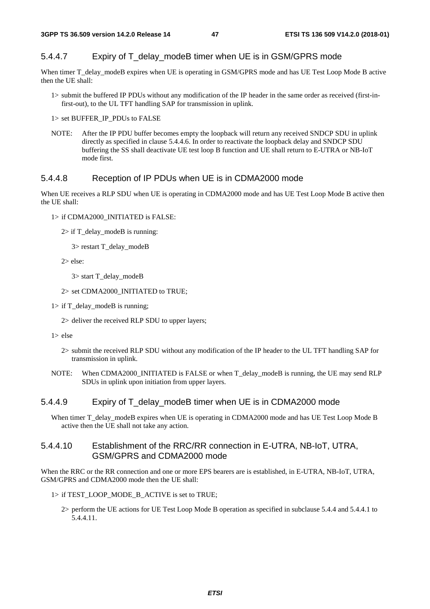### 5.4.4.7 Expiry of T\_delay\_modeB timer when UE is in GSM/GPRS mode

When timer T\_delay\_modeB expires when UE is operating in GSM/GPRS mode and has UE Test Loop Mode B active then the UE shall:

1> submit the buffered IP PDUs without any modification of the IP header in the same order as received (first-infirst-out), to the UL TFT handling SAP for transmission in uplink.

1> set BUFFER\_IP\_PDUs to FALSE

NOTE: After the IP PDU buffer becomes empty the loopback will return any received SNDCP SDU in uplink directly as specified in clause 5.4.4.6. In order to reactivate the loopback delay and SNDCP SDU buffering the SS shall deactivate UE test loop B function and UE shall return to E-UTRA or NB-IoT mode first.

#### 5.4.4.8 Reception of IP PDUs when UE is in CDMA2000 mode

When UE receives a RLP SDU when UE is operating in CDMA2000 mode and has UE Test Loop Mode B active then the UE shall:

1> if CDMA2000\_INITIATED is FALSE:

2> if T\_delay\_modeB is running:

3> restart T\_delay\_modeB

2> else:

3> start T\_delay\_modeB

2> set CDMA2000\_INITIATED to TRUE;

1> if T\_delay\_modeB is running;

2> deliver the received RLP SDU to upper layers;

1> else

2> submit the received RLP SDU without any modification of the IP header to the UL TFT handling SAP for transmission in uplink.

NOTE: When CDMA2000\_INITIATED is FALSE or when T\_delay\_modeB is running, the UE may send RLP SDUs in uplink upon initiation from upper layers.

#### 5.4.4.9 Expiry of T\_delay\_modeB timer when UE is in CDMA2000 mode

When timer T\_delay\_modeB expires when UE is operating in CDMA2000 mode and has UE Test Loop Mode B active then the UE shall not take any action.

#### 5.4.4.10 Establishment of the RRC/RR connection in E-UTRA, NB-IoT, UTRA, GSM/GPRS and CDMA2000 mode

When the RRC or the RR connection and one or more EPS bearers are is established, in E-UTRA, NB-IoT, UTRA, GSM/GPRS and CDMA2000 mode then the UE shall:

1> if TEST\_LOOP\_MODE\_B\_ACTIVE is set to TRUE;

2> perform the UE actions for UE Test Loop Mode B operation as specified in subclause 5.4.4 and 5.4.4.1 to 5.4.4.11.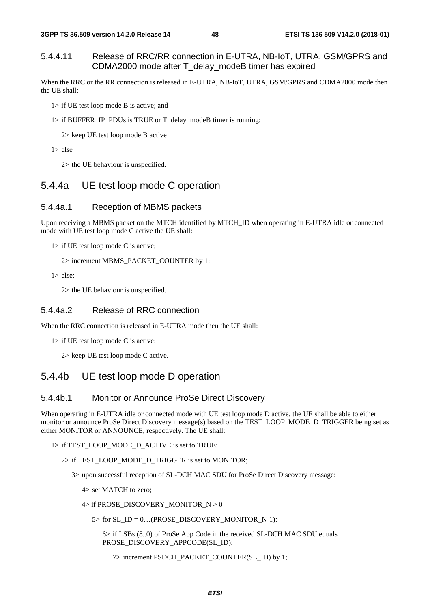#### 5.4.4.11 Release of RRC/RR connection in E-UTRA, NB-IoT, UTRA, GSM/GPRS and CDMA2000 mode after T\_delay\_modeB timer has expired

When the RRC or the RR connection is released in E-UTRA, NB-IoT, UTRA, GSM/GPRS and CDMA2000 mode then the UE shall:

- 1> if UE test loop mode B is active; and
- 1> if BUFFER\_IP\_PDUs is TRUE or T\_delay\_modeB timer is running:

2> keep UE test loop mode B active

1> else

2> the UE behaviour is unspecified.

## 5.4.4a UE test loop mode C operation

#### 5.4.4a.1 Reception of MBMS packets

Upon receiving a MBMS packet on the MTCH identified by MTCH\_ID when operating in E-UTRA idle or connected mode with UE test loop mode C active the UE shall:

1> if UE test loop mode C is active;

2> increment MBMS\_PACKET\_COUNTER by 1:

1> else:

2> the UE behaviour is unspecified.

#### 5.4.4a.2 Release of RRC connection

When the RRC connection is released in E-UTRA mode then the UE shall:

1> if UE test loop mode C is active:

2> keep UE test loop mode C active.

## 5.4.4b UE test loop mode D operation

#### 5.4.4b.1 Monitor or Announce ProSe Direct Discovery

When operating in E-UTRA idle or connected mode with UE test loop mode D active, the UE shall be able to either monitor or announce ProSe Direct Discovery message(s) based on the TEST\_LOOP\_MODE\_D\_TRIGGER being set as either MONITOR or ANNOUNCE, respectively. The UE shall:

#### 1> if TEST\_LOOP\_MODE\_D\_ACTIVE is set to TRUE:

2> if TEST\_LOOP\_MODE\_D\_TRIGGER is set to MONITOR;

3> upon successful reception of SL-DCH MAC SDU for ProSe Direct Discovery message:

- 4> set MATCH to zero;
- 4> if PROSE\_DISCOVERY\_MONITOR\_N > 0
	- $5>$  for SL\_ID = 0...(PROSE\_DISCOVERY\_MONITOR\_N-1):

 6> if LSBs (8..0) of ProSe App Code in the received SL-DCH MAC SDU equals PROSE\_DISCOVERY\_APPCODE(SL\_ID):

7> increment PSDCH\_PACKET\_COUNTER(SL\_ID) by 1;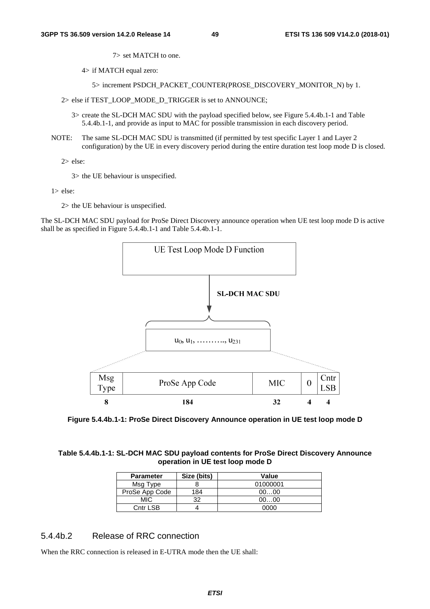7> set MATCH to one.

4> if MATCH equal zero:

5> increment PSDCH\_PACKET\_COUNTER(PROSE\_DISCOVERY\_MONITOR\_N) by 1.

2> else if TEST\_LOOP\_MODE\_D\_TRIGGER is set to ANNOUNCE;

- 3> create the SL-DCH MAC SDU with the payload specified below, see Figure 5.4.4b.1-1 and Table 5.4.4b.1-1, and provide as input to MAC for possible transmission in each discovery period.
- NOTE: The same SL-DCH MAC SDU is transmitted (if permitted by test specific Layer 1 and Layer 2 configuration) by the UE in every discovery period during the entire duration test loop mode D is closed.

2> else:

3> the UE behaviour is unspecified.

1> else:

2> the UE behaviour is unspecified.

The SL-DCH MAC SDU payload for ProSe Direct Discovery announce operation when UE test loop mode D is active shall be as specified in Figure 5.4.4b.1-1 and Table 5.4.4b.1-1.



**Figure 5.4.4b.1-1: ProSe Direct Discovery Announce operation in UE test loop mode D** 

#### **Table 5.4.4b.1-1: SL-DCH MAC SDU payload contents for ProSe Direct Discovery Announce operation in UE test loop mode D**

| <b>Parameter</b> | Size (bits) | Value    |
|------------------|-------------|----------|
| Msg Type         |             | 01000001 |
| ProSe App Code   | 184         | 0000     |
| MIC.             | າາ          | 0000     |
| Cntr LSB         |             | იიიი     |

## 5.4.4b.2 Release of RRC connection

When the RRC connection is released in E-UTRA mode then the UE shall: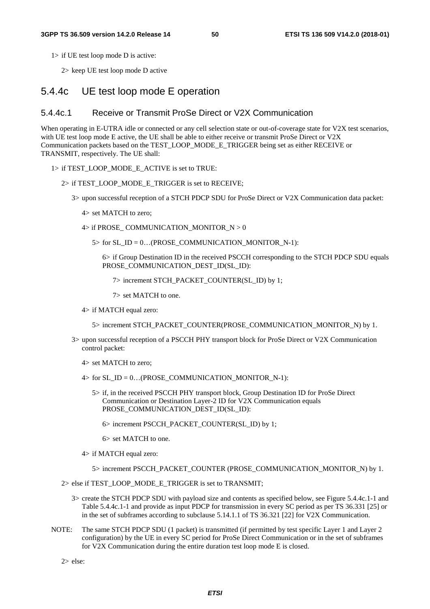1> if UE test loop mode D is active:

2> keep UE test loop mode D active

### 5.4.4c UE test loop mode E operation

#### 5.4.4c.1 Receive or Transmit ProSe Direct or V2X Communication

When operating in E-UTRA idle or connected or any cell selection state or out-of-coverage state for V2X test scenarios, with UE test loop mode E active, the UE shall be able to either receive or transmit ProSe Direct or V2X Communication packets based on the TEST\_LOOP\_MODE\_E\_TRIGGER being set as either RECEIVE or TRANSMIT, respectively. The UE shall:

#### 1> if TEST\_LOOP\_MODE\_E\_ACTIVE is set to TRUE:

#### 2> if TEST\_LOOP\_MODE\_E\_TRIGGER is set to RECEIVE;

- 3> upon successful reception of a STCH PDCP SDU for ProSe Direct or V2X Communication data packet:
	- 4> set MATCH to zero;
	- $4>$  if PROSE\_COMMUNICATION\_MONITOR\_N  $> 0$ 
		- $5>$  for SL\_ID = 0...(PROSE\_COMMUNICATION\_MONITOR\_N-1):

 6> if Group Destination ID in the received PSCCH corresponding to the STCH PDCP SDU equals PROSE\_COMMUNICATION\_DEST\_ID(SL\_ID):

7> increment STCH\_PACKET\_COUNTER(SL\_ID) by 1;

7> set MATCH to one.

4> if MATCH equal zero:

5> increment STCH\_PACKET\_COUNTER(PROSE\_COMMUNICATION\_MONITOR\_N) by 1.

- 3> upon successful reception of a PSCCH PHY transport block for ProSe Direct or V2X Communication control packet:
	- 4> set MATCH to zero;
	- $4>$  for SL\_ID = 0...(PROSE\_COMMUNICATION\_MONITOR\_N-1):
		- 5> if, in the received PSCCH PHY transport block, Group Destination ID for ProSe Direct Communication or Destination Layer-2 ID for V2X Communication equals PROSE\_COMMUNICATION\_DEST\_ID(SL\_ID):
			- 6> increment PSCCH\_PACKET\_COUNTER(SL\_ID) by 1;
			- 6> set MATCH to one.
	- 4> if MATCH equal zero:
		- 5> increment PSCCH\_PACKET\_COUNTER (PROSE\_COMMUNICATION\_MONITOR\_N) by 1.
- 2> else if TEST\_LOOP\_MODE\_E\_TRIGGER is set to TRANSMIT;
	- 3> create the STCH PDCP SDU with payload size and contents as specified below, see Figure 5.4.4c.1-1 and Table 5.4.4c.1-1 and provide as input PDCP for transmission in every SC period as per TS 36.331 [25] or in the set of subframes according to subclause 5.14.1.1 of TS 36.321 [22] for V2X Communication.
- NOTE: The same STCH PDCP SDU (1 packet) is transmitted (if permitted by test specific Layer 1 and Layer 2 configuration) by the UE in every SC period for ProSe Direct Communication or in the set of subframes for V2X Communication during the entire duration test loop mode E is closed.

2> else: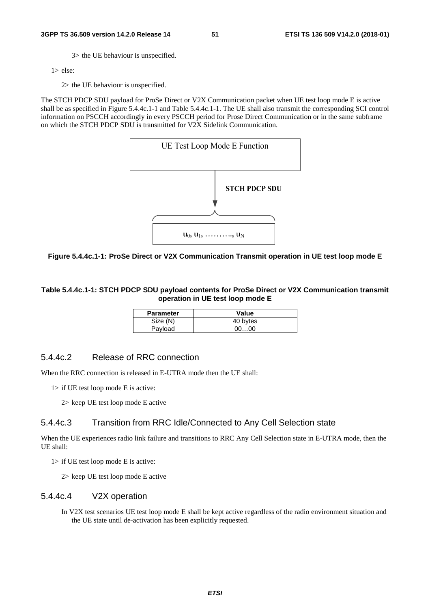3> the UE behaviour is unspecified.

 $1$  else:

2> the UE behaviour is unspecified.

The STCH PDCP SDU payload for ProSe Direct or V2X Communication packet when UE test loop mode E is active shall be as specified in Figure 5.4.4c.1-1 and Table 5.4.4c.1-1. The UE shall also transmit the corresponding SCI control information on PSCCH accordingly in every PSCCH period for Prose Direct Communication or in the same subframe on which the STCH PDCP SDU is transmitted for V2X Sidelink Communication.



**Figure 5.4.4c.1-1: ProSe Direct or V2X Communication Transmit operation in UE test loop mode E** 

**Table 5.4.4c.1-1: STCH PDCP SDU payload contents for ProSe Direct or V2X Communication transmit operation in UE test loop mode E** 

| <b>Parameter</b> | Value    |
|------------------|----------|
| Size (N)         | 40 bytes |
| Payload          | 00. 00   |

### 5.4.4c.2 Release of RRC connection

When the RRC connection is released in E-UTRA mode then the UE shall:

1> if UE test loop mode E is active:

2> keep UE test loop mode E active

### 5.4.4c.3 Transition from RRC Idle/Connected to Any Cell Selection state

When the UE experiences radio link failure and transitions to RRC Any Cell Selection state in E-UTRA mode, then the UE shall:

1> if UE test loop mode E is active:

2> keep UE test loop mode E active

#### 5.4.4c.4 V2X operation

In V2X test scenarios UE test loop mode E shall be kept active regardless of the radio environment situation and the UE state until de-activation has been explicitly requested.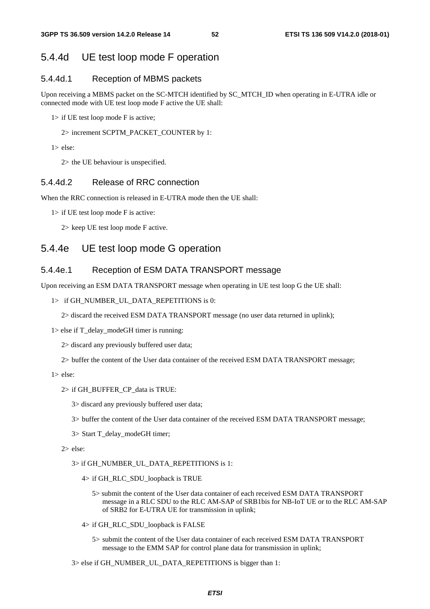## 5.4.4d UE test loop mode F operation

### 5.4.4d.1 Reception of MBMS packets

Upon receiving a MBMS packet on the SC-MTCH identified by SC\_MTCH\_ID when operating in E-UTRA idle or connected mode with UE test loop mode F active the UE shall:

1> if UE test loop mode F is active;

2> increment SCPTM\_PACKET\_COUNTER by 1:

1> else:

2> the UE behaviour is unspecified.

### 5.4.4d.2 Release of RRC connection

When the RRC connection is released in E-UTRA mode then the UE shall:

1> if UE test loop mode F is active:

2> keep UE test loop mode F active.

## 5.4.4e UE test loop mode G operation

### 5.4.4e.1 Reception of ESM DATA TRANSPORT message

Upon receiving an ESM DATA TRANSPORT message when operating in UE test loop G the UE shall:

#### 1> if GH\_NUMBER\_UL\_DATA\_REPETITIONS is 0:

2> discard the received ESM DATA TRANSPORT message (no user data returned in uplink);

 $1$  > else if T\_delay\_modeGH timer is running:

2> discard any previously buffered user data;

2> buffer the content of the User data container of the received ESM DATA TRANSPORT message;

1> else:

#### 2> if GH\_BUFFER\_CP\_data is TRUE:

3> discard any previously buffered user data;

3> buffer the content of the User data container of the received ESM DATA TRANSPORT message;

3> Start T\_delay\_modeGH timer;

2> else:

#### 3> if GH\_NUMBER\_UL\_DATA\_REPETITIONS is 1:

- 4> if GH\_RLC\_SDU\_loopback is TRUE
	- 5> submit the content of the User data container of each received ESM DATA TRANSPORT message in a RLC SDU to the RLC AM-SAP of SRB1bis for NB-IoT UE or to the RLC AM-SAP of SRB2 for E-UTRA UE for transmission in uplink;
- 4> if GH\_RLC\_SDU\_loopback is FALSE
	- 5> submit the content of the User data container of each received ESM DATA TRANSPORT message to the EMM SAP for control plane data for transmission in uplink;

3> else if GH\_NUMBER\_UL\_DATA\_REPETITIONS is bigger than 1: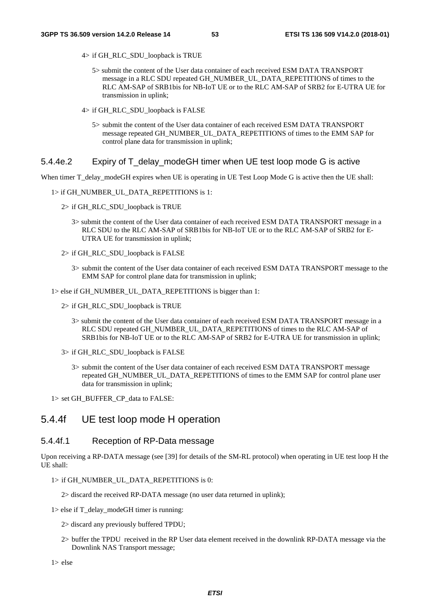- 4> if GH\_RLC\_SDU\_loopback is TRUE
	- 5> submit the content of the User data container of each received ESM DATA TRANSPORT message in a RLC SDU repeated GH\_NUMBER\_UL\_DATA\_REPETITIONS of times to the RLC AM-SAP of SRB1bis for NB-IoT UE or to the RLC AM-SAP of SRB2 for E-UTRA UE for transmission in uplink;
- 4> if GH\_RLC\_SDU\_loopback is FALSE
	- 5> submit the content of the User data container of each received ESM DATA TRANSPORT message repeated GH\_NUMBER\_UL\_DATA\_REPETITIONS of times to the EMM SAP for control plane data for transmission in uplink;

#### 5.4.4e.2 Expiry of T\_delay\_modeGH timer when UE test loop mode G is active

When timer T\_delay\_modeGH expires when UE is operating in UE Test Loop Mode G is active then the UE shall:

- 1> if GH\_NUMBER\_UL\_DATA\_REPETITIONS is 1:
	- 2> if GH\_RLC\_SDU\_loopback is TRUE
		- 3> submit the content of the User data container of each received ESM DATA TRANSPORT message in a RLC SDU to the RLC AM-SAP of SRB1bis for NB-IoT UE or to the RLC AM-SAP of SRB2 for E-UTRA UE for transmission in uplink;
	- 2> if GH\_RLC\_SDU\_loopback is FALSE
		- 3> submit the content of the User data container of each received ESM DATA TRANSPORT message to the EMM SAP for control plane data for transmission in uplink;

1> else if GH\_NUMBER\_UL\_DATA\_REPETITIONS is bigger than 1:

- 2> if GH\_RLC\_SDU\_loopback is TRUE
	- 3> submit the content of the User data container of each received ESM DATA TRANSPORT message in a RLC SDU repeated GH\_NUMBER\_UL\_DATA\_REPETITIONS of times to the RLC AM-SAP of SRB1bis for NB-IoT UE or to the RLC AM-SAP of SRB2 for E-UTRA UE for transmission in uplink;
- 3> if GH\_RLC\_SDU\_loopback is FALSE
	- 3> submit the content of the User data container of each received ESM DATA TRANSPORT message repeated GH\_NUMBER\_UL\_DATA\_REPETITIONS of times to the EMM SAP for control plane user data for transmission in uplink;

1> set GH\_BUFFER\_CP\_data to FALSE:

### 5.4.4f UE test loop mode H operation

#### 5.4.4f.1 Reception of RP-Data message

Upon receiving a RP-DATA message (see [39] for details of the SM-RL protocol) when operating in UE test loop H the UE shall:

- 1> if GH\_NUMBER\_UL\_DATA\_REPETITIONS is 0:
	- 2> discard the received RP-DATA message (no user data returned in uplink);
- 1> else if T\_delay\_modeGH timer is running:
	- 2> discard any previously buffered TPDU;
	- 2> buffer the TPDU received in the RP User data element received in the downlink RP-DATA message via the Downlink NAS Transport message;
- 1> else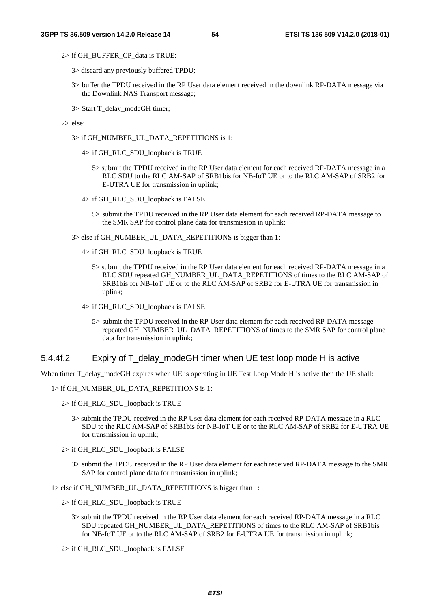2> if GH\_BUFFER\_CP\_data is TRUE:

- 3> discard any previously buffered TPDU;
- 3> buffer the TPDU received in the RP User data element received in the downlink RP-DATA message via the Downlink NAS Transport message;
- 3> Start T\_delay\_modeGH timer;
- 2> else:
	- 3> if GH\_NUMBER\_UL\_DATA\_REPETITIONS is 1:
		- 4> if GH\_RLC\_SDU\_loopback is TRUE
			- 5> submit the TPDU received in the RP User data element for each received RP-DATA message in a RLC SDU to the RLC AM-SAP of SRB1bis for NB-IoT UE or to the RLC AM-SAP of SRB2 for E-UTRA UE for transmission in uplink;
		- 4> if GH\_RLC\_SDU\_loopback is FALSE
			- 5> submit the TPDU received in the RP User data element for each received RP-DATA message to the SMR SAP for control plane data for transmission in uplink;
	- 3> else if GH\_NUMBER\_UL\_DATA\_REPETITIONS is bigger than 1:
		- 4> if GH\_RLC\_SDU\_loopback is TRUE
			- 5> submit the TPDU received in the RP User data element for each received RP-DATA message in a RLC SDU repeated GH\_NUMBER\_UL\_DATA\_REPETITIONS of times to the RLC AM-SAP of SRB1bis for NB-IoT UE or to the RLC AM-SAP of SRB2 for E-UTRA UE for transmission in uplink;
		- 4> if GH\_RLC\_SDU\_loopback is FALSE
			- 5> submit the TPDU received in the RP User data element for each received RP-DATA message repeated GH\_NUMBER\_UL\_DATA\_REPETITIONS of times to the SMR SAP for control plane data for transmission in uplink;

#### 5.4.4f.2 Expiry of T\_delay\_modeGH timer when UE test loop mode H is active

When timer T\_delay\_modeGH expires when UE is operating in UE Test Loop Mode H is active then the UE shall:

1> if GH\_NUMBER\_UL\_DATA\_REPETITIONS is 1:

2> if GH\_RLC\_SDU\_loopback is TRUE

- 3> submit the TPDU received in the RP User data element for each received RP-DATA message in a RLC SDU to the RLC AM-SAP of SRB1bis for NB-IoT UE or to the RLC AM-SAP of SRB2 for E-UTRA UE for transmission in uplink;
- 2> if GH\_RLC\_SDU\_loopback is FALSE
	- 3> submit the TPDU received in the RP User data element for each received RP-DATA message to the SMR SAP for control plane data for transmission in uplink:

1> else if GH\_NUMBER\_UL\_DATA\_REPETITIONS is bigger than 1:

- 2> if GH\_RLC\_SDU\_loopback is TRUE
	- 3> submit the TPDU received in the RP User data element for each received RP-DATA message in a RLC SDU repeated GH\_NUMBER\_UL\_DATA\_REPETITIONS of times to the RLC AM-SAP of SRB1bis for NB-IoT UE or to the RLC AM-SAP of SRB2 for E-UTRA UE for transmission in uplink;
- 2> if GH\_RLC\_SDU\_loopback is FALSE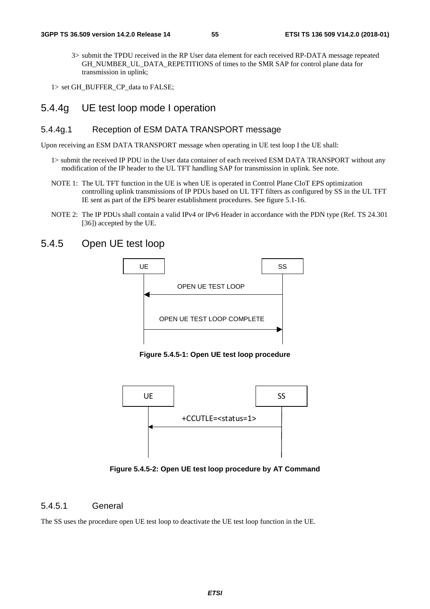3> submit the TPDU received in the RP User data element for each received RP-DATA message repeated GH\_NUMBER\_UL\_DATA\_REPETITIONS of times to the SMR SAP for control plane data for transmission in uplink;

1> set GH\_BUFFER\_CP\_data to FALSE;

### 5.4.4g UE test loop mode I operation

#### 5.4.4g.1 Reception of ESM DATA TRANSPORT message

Upon receiving an ESM DATA TRANSPORT message when operating in UE test loop I the UE shall:

- 1> submit the received IP PDU in the User data container of each received ESM DATA TRANSPORT without any modification of the IP header to the UL TFT handling SAP for transmission in uplink. See note.
- NOTE 1: The UL TFT function in the UE is when UE is operated in Control Plane CIoT EPS optimization controlling uplink transmissions of IP PDUs based on UL TFT filters as configured by SS in the UL TFT IE sent as part of the EPS bearer establishment procedures. See figure 5.1-16.
- NOTE 2: The IP PDUs shall contain a valid IPv4 or IPv6 Header in accordance with the PDN type (Ref. TS 24.301 [36]) accepted by the UE.

## 5.4.5 Open UE test loop



**Figure 5.4.5-1: Open UE test loop procedure** 



**Figure 5.4.5-2: Open UE test loop procedure by AT Command** 

#### 5.4.5.1 General

The SS uses the procedure open UE test loop to deactivate the UE test loop function in the UE.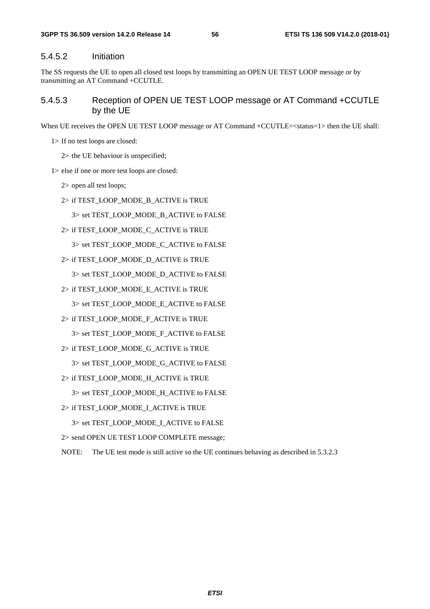#### 5.4.5.2 Initiation

The SS requests the UE to open all closed test loops by transmitting an OPEN UE TEST LOOP message or by transmitting an AT Command +CCUTLE.

#### 5.4.5.3 Reception of OPEN UE TEST LOOP message or AT Command +CCUTLE by the UE

When UE receives the OPEN UE TEST LOOP message or AT Command +CCUTLE= $\lt$ status=1 $>$  then the UE shall:

- 1> If no test loops are closed:
	- 2> the UE behaviour is unspecified;
- 1> else if one or more test loops are closed:
	- 2> open all test loops;
	- 2> if TEST\_LOOP\_MODE\_B\_ACTIVE is TRUE
		- 3> set TEST\_LOOP\_MODE\_B\_ACTIVE to FALSE
	- 2> if TEST\_LOOP\_MODE\_C\_ACTIVE is TRUE

3> set TEST\_LOOP\_MODE\_C\_ACTIVE to FALSE

2> if TEST\_LOOP\_MODE\_D\_ACTIVE is TRUE

3> set TEST\_LOOP\_MODE\_D\_ACTIVE to FALSE

- 2> if TEST\_LOOP\_MODE\_E\_ACTIVE is TRUE
	- 3> set TEST\_LOOP\_MODE\_E\_ACTIVE to FALSE
- 2> if TEST\_LOOP\_MODE\_F\_ACTIVE is TRUE
	- 3> set TEST\_LOOP\_MODE\_F\_ACTIVE to FALSE
- 2> if TEST\_LOOP\_MODE\_G\_ACTIVE is TRUE
	- 3> set TEST\_LOOP\_MODE\_G\_ACTIVE to FALSE
- 2> if TEST\_LOOP\_MODE\_H\_ACTIVE is TRUE

3> set TEST\_LOOP\_MODE\_H\_ACTIVE to FALSE

2> if TEST\_LOOP\_MODE\_I\_ACTIVE is TRUE

3> set TEST\_LOOP\_MODE\_I\_ACTIVE to FALSE

2> send OPEN UE TEST LOOP COMPLETE message;

NOTE: The UE test mode is still active so the UE continues behaving as described in 5.3.2.3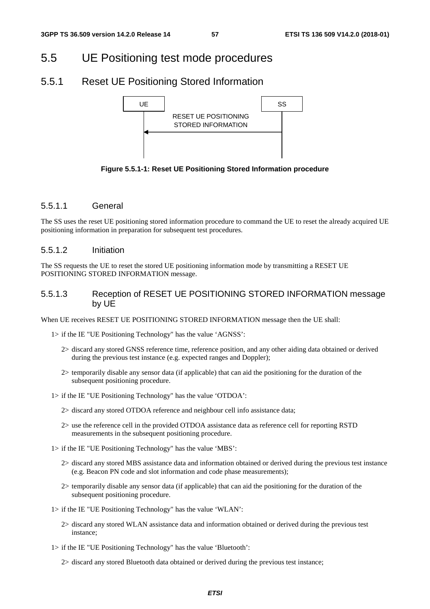# 5.5 UE Positioning test mode procedures

## 5.5.1 Reset UE Positioning Stored Information



**Figure 5.5.1-1: Reset UE Positioning Stored Information procedure** 

#### 5.5.1.1 General

The SS uses the reset UE positioning stored information procedure to command the UE to reset the already acquired UE positioning information in preparation for subsequent test procedures.

#### 5.5.1.2 Initiation

The SS requests the UE to reset the stored UE positioning information mode by transmitting a RESET UE POSITIONING STORED INFORMATION message.

### 5.5.1.3 Reception of RESET UE POSITIONING STORED INFORMATION message by UE

When UE receives RESET UE POSITIONING STORED INFORMATION message then the UE shall:

1> if the IE "UE Positioning Technology" has the value 'AGNSS':

- 2> discard any stored GNSS reference time, reference position, and any other aiding data obtained or derived during the previous test instance (e.g. expected ranges and Doppler);
- 2> temporarily disable any sensor data (if applicable) that can aid the positioning for the duration of the subsequent positioning procedure.
- 1> if the IE "UE Positioning Technology" has the value 'OTDOA':
	- 2> discard any stored OTDOA reference and neighbour cell info assistance data;
	- 2> use the reference cell in the provided OTDOA assistance data as reference cell for reporting RSTD measurements in the subsequent positioning procedure.
- 1> if the IE "UE Positioning Technology" has the value 'MBS':
	- 2> discard any stored MBS assistance data and information obtained or derived during the previous test instance (e.g. Beacon PN code and slot information and code phase measurements);
	- 2> temporarily disable any sensor data (if applicable) that can aid the positioning for the duration of the subsequent positioning procedure.
- 1> if the IE "UE Positioning Technology" has the value 'WLAN':
	- 2> discard any stored WLAN assistance data and information obtained or derived during the previous test instance;
- 1> if the IE "UE Positioning Technology" has the value 'Bluetooth':

2> discard any stored Bluetooth data obtained or derived during the previous test instance;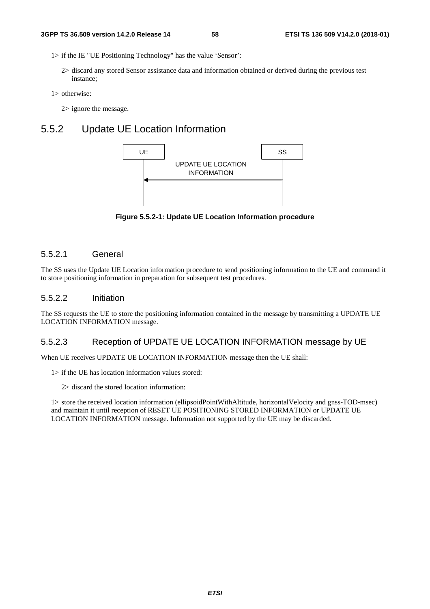- 1> if the IE "UE Positioning Technology" has the value 'Sensor':
	- 2> discard any stored Sensor assistance data and information obtained or derived during the previous test instance;
- 1> otherwise:
	- 2> ignore the message.

## 5.5.2 Update UE Location Information



**Figure 5.5.2-1: Update UE Location Information procedure** 

#### 5.5.2.1 General

The SS uses the Update UE Location information procedure to send positioning information to the UE and command it to store positioning information in preparation for subsequent test procedures.

#### 5.5.2.2 Initiation

The SS requests the UE to store the positioning information contained in the message by transmitting a UPDATE UE LOCATION INFORMATION message.

## 5.5.2.3 Reception of UPDATE UE LOCATION INFORMATION message by UE

When UE receives UPDATE UE LOCATION INFORMATION message then the UE shall:

- 1> if the UE has location information values stored:
	- 2> discard the stored location information:

1> store the received location information (ellipsoidPointWithAltitude, horizontalVelocity and gnss-TOD-msec) and maintain it until reception of RESET UE POSITIONING STORED INFORMATION or UPDATE UE LOCATION INFORMATION message. Information not supported by the UE may be discarded.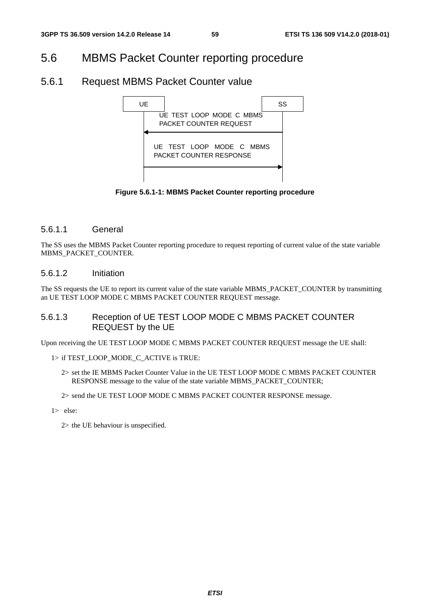## 5.6 MBMS Packet Counter reporting procedure

## 5.6.1 Request MBMS Packet Counter value



**Figure 5.6.1-1: MBMS Packet Counter reporting procedure** 

### 5.6.1.1 General

The SS uses the MBMS Packet Counter reporting procedure to request reporting of current value of the state variable MBMS\_PACKET\_COUNTER.

### 5.6.1.2 Initiation

The SS requests the UE to report its current value of the state variable MBMS\_PACKET\_COUNTER by transmitting an UE TEST LOOP MODE C MBMS PACKET COUNTER REQUEST message.

### 5.6.1.3 Reception of UE TEST LOOP MODE C MBMS PACKET COUNTER REQUEST by the UE

Upon receiving the UE TEST LOOP MODE C MBMS PACKET COUNTER REQUEST message the UE shall:

#### 1> if TEST\_LOOP\_MODE\_C\_ACTIVE is TRUE:

- 2> set the IE MBMS Packet Counter Value in the UE TEST LOOP MODE C MBMS PACKET COUNTER RESPONSE message to the value of the state variable MBMS\_PACKET\_COUNTER;
- 2> send the UE TEST LOOP MODE C MBMS PACKET COUNTER RESPONSE message.
- 1> else:

2> the UE behaviour is unspecified.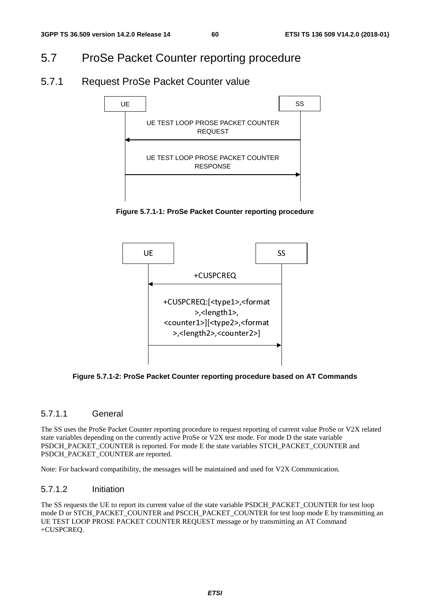## 5.7 ProSe Packet Counter reporting procedure

## 5.7.1 Request ProSe Packet Counter value



**Figure 5.7.1-1: ProSe Packet Counter reporting procedure** 



**Figure 5.7.1-2: ProSe Packet Counter reporting procedure based on AT Commands** 

### 5.7.1.1 General

The SS uses the ProSe Packet Counter reporting procedure to request reporting of current value ProSe or V2X related state variables depending on the currently active ProSe or V2X test mode. For mode D the state variable PSDCH\_PACKET\_COUNTER is reported. For mode E the state variables STCH\_PACKET\_COUNTER and PSDCH\_PACKET\_COUNTER are reported.

Note: For backward compatibility, the messages will be maintained and used for V2X Communication.

### 5.7.1.2 Initiation

The SS requests the UE to report its current value of the state variable PSDCH\_PACKET\_COUNTER for test loop mode D or STCH\_PACKET\_COUNTER and PSCCH\_PACKET\_COUNTER for test loop mode E by transmitting an UE TEST LOOP PROSE PACKET COUNTER REQUEST message or by transmitting an AT Command +CUSPCREQ.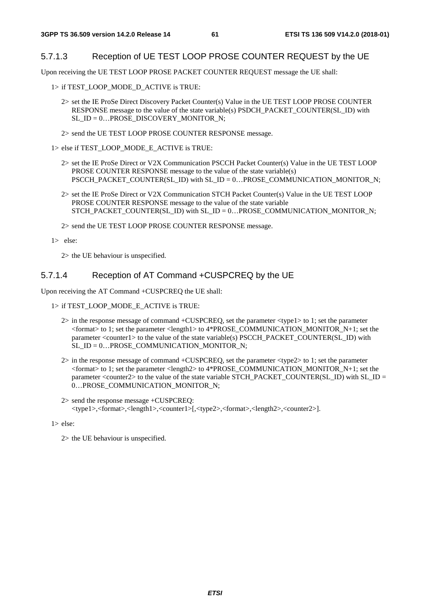#### 5.7.1.3 Reception of UE TEST LOOP PROSE COUNTER REQUEST by the UE

Upon receiving the UE TEST LOOP PROSE PACKET COUNTER REQUEST message the UE shall:

1> if TEST\_LOOP\_MODE\_D\_ACTIVE is TRUE:

- 2> set the IE ProSe Direct Discovery Packet Counter(s) Value in the UE TEST LOOP PROSE COUNTER RESPONSE message to the value of the state variable(s) PSDCH\_PACKET\_COUNTER(SL\_ID) with SL\_ID =  $0...$ PROSE\_DISCOVERY\_MONITOR\_N;
- 2> send the UE TEST LOOP PROSE COUNTER RESPONSE message.

1> else if TEST\_LOOP\_MODE\_E\_ACTIVE is TRUE:

- 2> set the IE ProSe Direct or V2X Communication PSCCH Packet Counter(s) Value in the UE TEST LOOP PROSE COUNTER RESPONSE message to the value of the state variable(s) PSCCH\_PACKET\_COUNTER(SL\_ID) with SL\_ID = 0…PROSE\_COMMUNICATION\_MONITOR\_N;
- 2> set the IE ProSe Direct or V2X Communication STCH Packet Counter(s) Value in the UE TEST LOOP PROSE COUNTER RESPONSE message to the value of the state variable STCH\_PACKET\_COUNTER(SL\_ID) with SL\_ID =  $0...$ PROSE\_COMMUNICATION\_MONITOR\_N;

2> send the UE TEST LOOP PROSE COUNTER RESPONSE message.

1> else:

2> the UE behaviour is unspecified.

#### 5.7.1.4 Reception of AT Command +CUSPCREQ by the UE

Upon receiving the AT Command +CUSPCREQ the UE shall:

- 1> if TEST\_LOOP\_MODE\_E\_ACTIVE is TRUE:
	- 2> in the response message of command +CUSPCREQ, set the parameter <type1> to 1; set the parameter  $\epsilon$  =  $\epsilon$  to 1; set the parameter  $\epsilon$  length1> to 4\*PROSE\_COMMUNICATION\_MONITOR\_N+1; set the parameter <counter1> to the value of the state variable(s) PSCCH\_PACKET\_COUNTER(SL\_ID) with SL  $ID = 0...PROSE$  COMMUNICATION MONITOR N;
	- 2> in the response message of command +CUSPCREQ, set the parameter <type2> to 1; set the parameter  $\epsilon$  =  $\epsilon$  to 1; set the parameter  $\epsilon$  length2> to 4\*PROSE\_COMMUNICATION\_MONITOR\_N+1; set the parameter <counter2> to the value of the state variable STCH\_PACKET\_COUNTER(SL\_ID) with SL\_ID = 0...PROSE\_COMMUNICATION\_MONITOR\_N:
	- 2> send the response message +CUSPCREQ: <type1>,<format>,<length1>,<counter1>[,<type2>,<format>,<length2>,<counter2>].

1> else:

2> the UE behaviour is unspecified.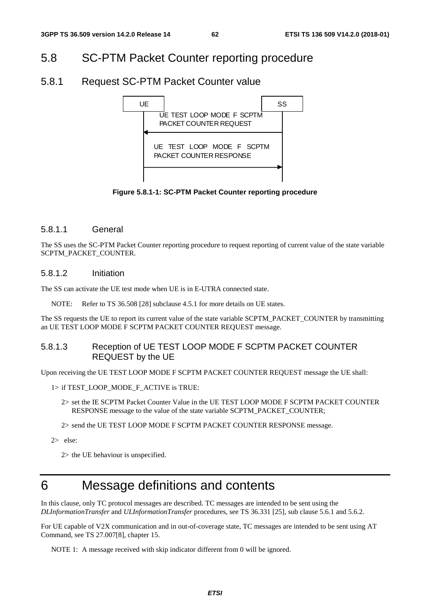## 5.8 SC-PTM Packet Counter reporting procedure

### 5.8.1 Request SC-PTM Packet Counter value



**Figure 5.8.1-1: SC-PTM Packet Counter reporting procedure** 

#### 5.8.1.1 General

The SS uses the SC-PTM Packet Counter reporting procedure to request reporting of current value of the state variable SCPTM\_PACKET\_COUNTER.

#### 5.8.1.2 Initiation

The SS can activate the UE test mode when UE is in E-UTRA connected state.

NOTE: Refer to TS 36.508 [28] subclause 4.5.1 for more details on UE states.

The SS requests the UE to report its current value of the state variable SCPTM\_PACKET\_COUNTER by transmitting an UE TEST LOOP MODE F SCPTM PACKET COUNTER REQUEST message.

### 5.8.1.3 Reception of UE TEST LOOP MODE F SCPTM PACKET COUNTER REQUEST by the UE

Upon receiving the UE TEST LOOP MODE F SCPTM PACKET COUNTER REQUEST message the UE shall:

- 1> if TEST\_LOOP\_MODE\_F\_ACTIVE is TRUE:
	- 2> set the IE SCPTM Packet Counter Value in the UE TEST LOOP MODE F SCPTM PACKET COUNTER RESPONSE message to the value of the state variable SCPTM\_PACKET\_COUNTER;
	- 2> send the UE TEST LOOP MODE F SCPTM PACKET COUNTER RESPONSE message.
- 2> else:

2> the UE behaviour is unspecified.

# 6 Message definitions and contents

In this clause, only TC protocol messages are described. TC messages are intended to be sent using the *DLInformationTransfer* and *ULInformationTransfer* procedures, see TS 36.331 [25], sub clause 5.6.1 and 5.6.2.

For UE capable of V2X communication and in out-of-coverage state, TC messages are intended to be sent using AT Command, see TS 27.007[8], chapter 15.

NOTE 1: A message received with skip indicator different from 0 will be ignored.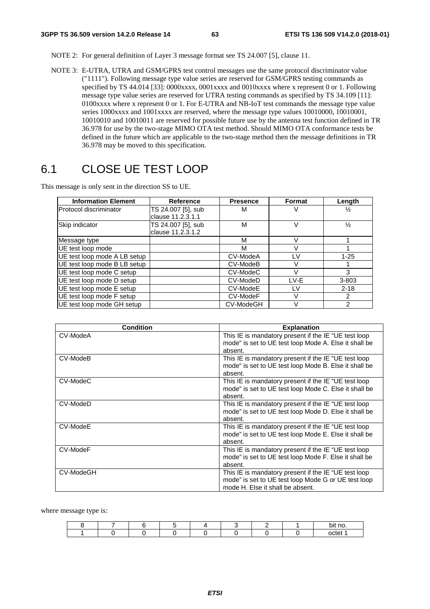- NOTE 2: For general definition of Layer 3 message format see TS 24.007 [5], clause 11.
- NOTE 3: E-UTRA, UTRA and GSM/GPRS test control messages use the same protocol discriminator value ("1111"). Following message type value series are reserved for GSM/GPRS testing commands as specified by TS 44.014 [33]: 0000xxxx, 0001xxxx and 0010xxxx where x represent 0 or 1. Following message type value series are reserved for UTRA testing commands as specified by TS 34.109 [11]: 0100xxxx where x represent 0 or 1. For E-UTRA and NB-IoT test commands the message type value series 1000xxxx and 1001xxxx are reserved, where the message type values 10010000, 10010001, 10010010 and 10010011 are reserved for possible future use by the antenna test function defined in TR 36.978 for use by the two-stage MIMO OTA test method. Should MIMO OTA conformance tests be defined in the future which are applicable to the two-stage method then the message definitions in TR 36.978 may be moved to this specification.

# 6.1 CLOSE UE TEST LOOP

This message is only sent in the direction SS to UE.

| <b>Information Element</b>   | Reference          | <b>Presence</b> | <b>Format</b> | Length        |
|------------------------------|--------------------|-----------------|---------------|---------------|
| Protocol discriminator       | TS 24.007 [5], sub | M               |               | $\frac{1}{2}$ |
|                              | clause 11.2.3.1.1  |                 |               |               |
| Skip indicator               | TS 24.007 [5], sub | M               | V             | $\frac{1}{2}$ |
|                              | clause 11.2.3.1.2  |                 |               |               |
| Message type                 |                    | М               | V             |               |
| UE test loop mode            |                    | м               | V             |               |
| UE test loop mode A LB setup |                    | CV-ModeA        | ١V            | $1 - 25$      |
| UE test loop mode B LB setup |                    | CV-ModeB        | V             |               |
| UE test loop mode C setup    |                    | CV-ModeC        | V             | 3             |
| UE test loop mode D setup    |                    | CV-ModeD        | I V-F         | 3-803         |
| UE test loop mode E setup    |                    | CV-ModeE        | LV            | $2 - 18$      |
| UE test loop mode F setup    |                    | CV-ModeF        | V             | $\mathcal{P}$ |
| UE test loop mode GH setup   |                    | CV-ModeGH       | V             | 2             |

| <b>Condition</b> | <b>Explanation</b>                                                                                                                              |
|------------------|-------------------------------------------------------------------------------------------------------------------------------------------------|
| CV-ModeA         | This IE is mandatory present if the IE "UE test loop<br>mode" is set to UE test loop Mode A. Else it shall be<br>absent.                        |
| CV-ModeB         | This IE is mandatory present if the IE "UE test loop<br>mode" is set to UE test loop Mode B. Else it shall be<br>absent.                        |
| CV-ModeC         | This IE is mandatory present if the IE "UE test loop<br>mode" is set to UE test loop Mode C. Else it shall be<br>absent.                        |
| CV-ModeD         | This IE is mandatory present if the IE "UE test loop<br>mode" is set to UE test loop Mode D. Else it shall be<br>absent.                        |
| CV-ModeE         | This IE is mandatory present if the IE "UE test loop<br>mode" is set to UE test loop Mode E. Else it shall be<br>absent.                        |
| CV-ModeF         | This IE is mandatory present if the IE "UE test loop<br>mode" is set to UE test loop Mode F. Else it shall be<br>absent.                        |
| CV-ModeGH        | This IE is mandatory present if the IE "UE test loop<br>mode" is set to UE test loop Mode G or UE test loop<br>mode H. Else it shall be absent. |

where message type is:

|  |  |  |  | no<br>. .<br>ור<br>~ |
|--|--|--|--|----------------------|
|  |  |  |  | ∩∩tet                |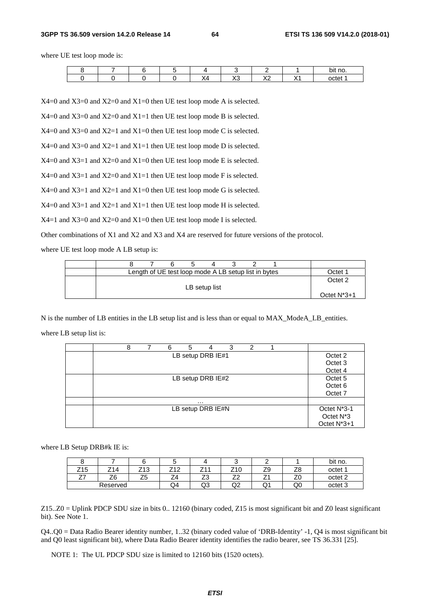#### **3GPP TS 36.509 version 14.2.0 Release 14 64 ETSI TS 136 509 V14.2.0 (2018-01)**

where UE test loop mode is:

|  |  |                  |                          |                 | bit no. |
|--|--|------------------|--------------------------|-----------------|---------|
|  |  | $\sqrt{2}$<br>ハー | $\sqrt{2}$<br>$\sqrt{2}$ | $\sqrt{ }$<br>. | octet 1 |

X4=0 and X3=0 and X2=0 and X1=0 then UE test loop mode A is selected.

X4=0 and X3=0 and X2=0 and X1=1 then UE test loop mode B is selected.

X4=0 and X3=0 and X2=1 and X1=0 then UE test loop mode C is selected.

X4=0 and X3=0 and X2=1 and X1=1 then UE test loop mode D is selected.

X4=0 and X3=1 and X2=0 and X1=0 then UE test loop mode E is selected.

 $X4=0$  and  $X3=1$  and  $X2=0$  and  $X1=1$  then UE test loop mode F is selected.

 $X4=0$  and  $X3=1$  and  $X2=1$  and  $X1=0$  then UE test loop mode G is selected.

 $X4=0$  and  $X3=1$  and  $X2=1$  and  $X1=1$  then UE test loop mode H is selected.

 $X4=1$  and  $X3=0$  and  $X2=0$  and  $X1=0$  then UE test loop mode I is selected.

Other combinations of X1 and X2 and X3 and X4 are reserved for future versions of the protocol.

where UE test loop mode A LB setup is:

|  |  | Length of UE test loop mode A LB setup list in bytes |  |  | )ctet          |
|--|--|------------------------------------------------------|--|--|----------------|
|  |  | LB setup list                                        |  |  | Octet 2        |
|  |  |                                                      |  |  | Octet $N^*3+1$ |

N is the number of LB entities in the LB setup list and is less than or equal to MAX\_ModeA\_LB\_entities.

where LB setup list is:

| 8 | 6 | 5 | 4                 | 3 | 2 |  |                          |
|---|---|---|-------------------|---|---|--|--------------------------|
|   |   |   | LB setup DRB IE#1 |   |   |  | Octet 2                  |
|   |   |   |                   |   |   |  | Octet 3                  |
|   |   |   |                   |   |   |  | Octet 4                  |
|   |   |   | LB setup DRB IE#2 |   |   |  | Octet 5                  |
|   |   |   |                   |   |   |  | Octet <sub>6</sub>       |
|   |   |   |                   |   |   |  | Octet 7                  |
|   |   |   | .                 |   |   |  |                          |
|   |   |   | LB setup DRB IE#N |   |   |  | Octet N <sup>*</sup> 3-1 |
|   |   |   |                   |   |   |  | Octet N <sup>*</sup> 3   |
|   |   |   |                   |   |   |  | Octet N*3+1              |

where LB Setup DRB#k IE is:

|                 |          |                                     |                 |    |                                |                                |          | bit no.            |
|-----------------|----------|-------------------------------------|-----------------|----|--------------------------------|--------------------------------|----------|--------------------|
| Z <sub>15</sub> | 714      | Z13                                 | フィヘ<br>ے ا<br>- | -  | Z10                            | $\overline{\phantom{a}}$<br>∠ວ | 70<br>∠⊂ | octet 1            |
| --<br>- '       | Z6       | $\overline{\phantom{a}}$<br>ъ<br>ںے | $\Delta$<br>_ . | ںے | $\overline{\phantom{a}}$<br>__ | -<br><u>.</u>                  | --<br>∠⊾ | octet <sub>2</sub> |
|                 | Reserved |                                     | Q4              | ಀು | ∩ว<br>◡                        | $\tilde{}$                     | Q0       | octet 3            |

Z15..Z0 = Uplink PDCP SDU size in bits 0.. 12160 (binary coded, Z15 is most significant bit and Z0 least significant bit). See Note 1.

Q4..Q0 = Data Radio Bearer identity number, 1..32 (binary coded value of 'DRB-Identity' -1, Q4 is most significant bit and Q0 least significant bit), where Data Radio Bearer identity identifies the radio bearer, see TS 36.331 [25].

NOTE 1: The UL PDCP SDU size is limited to 12160 bits (1520 octets).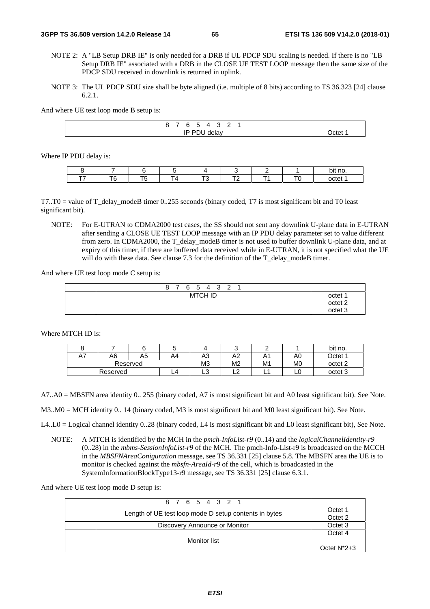- NOTE 2: A "LB Setup DRB IE" is only needed for a DRB if UL PDCP SDU scaling is needed. If there is no "LB Setup DRB IE" associated with a DRB in the CLOSE UE TEST LOOP message then the same size of the PDCP SDU received in downlink is returned in uplink.
- NOTE 3: The UL PDCP SDU size shall be byte aligned (i.e. multiple of 8 bits) according to TS 36.323 [24] clause 6.2.1.

And where UE test loop mode B setup is:

| -<br>-<br>ື<br>. .<br>- |       |
|-------------------------|-------|
| D<br><br>. .            | )ctet |

Where IP PDU delay is:

|  |  |        |    | bit no                                |
|--|--|--------|----|---------------------------------------|
|  |  | $\sim$ | -- | $\sim$ $\sim$ $\sim$ $\sim$<br>-<br>- |

 $T7.70$  = value of T\_delay\_modeB timer 0..255 seconds (binary coded, T7 is most significant bit and T0 least significant bit).

NOTE: For E-UTRAN to CDMA2000 test cases, the SS should not sent any downlink U-plane data in E-UTRAN after sending a CLOSE UE TEST LOOP message with an IP PDU delay parameter set to value different from zero. In CDMA2000, the T\_delay\_modeB timer is not used to buffer downlink U-plane data, and at expiry of this timer, if there are buffered data received while in E-UTRAN, it is not specified what the UE will do with these data. See clause 7.3 for the definition of the T\_delay\_modeB timer.

And where UE test loop mode C setup is:

| 8 7 6 5 4 3 2 1 |                                                     |
|-----------------|-----------------------------------------------------|
| <b>MTCH ID</b>  | octet 1<br>octet <sub>2</sub><br>octet <sub>3</sub> |

Where MTCH ID is:

|                      |    |    |    |                | ∼              |                 |                    | bit no.            |
|----------------------|----|----|----|----------------|----------------|-----------------|--------------------|--------------------|
| $\overline{a}$<br>A۱ | A6 | A5 | Α4 | . r<br>A3      | A2             | $\cdot$ $\cdot$ | A0                 | Jctet <sup>1</sup> |
| Reserved             |    |    |    | M <sub>3</sub> | M <sub>2</sub> | M1              | M0                 | octet <sub>2</sub> |
| Reserved<br>L4       |    |    | ◡  | --             | . .            | ∟ບ              | octet <sub>3</sub> |                    |

A7..A0 = MBSFN area identity 0.. 255 (binary coded, A7 is most significant bit and A0 least significant bit). See Note.

M3..M0 = MCH identity 0.. 14 (binary coded, M3 is most significant bit and M0 least significant bit). See Note.

- L4..L0 = Logical channel identity 0..28 (binary coded, L4 is most significant bit and L0 least significant bit), See Note.
	- NOTE: A MTCH is identified by the MCH in the *pmch-InfoList-r9* (0..14) and the *logicalChannelIdentity-r9* (0..28) in the *mbms-SessionInfoList-r9* of the MCH. The pmch-Info-List-r9 is broadcasted on the MCCH in the *MBSFNAreaConiguration* message, see TS 36.331 [25] clause 5.8. The MBSFN area the UE is to monitor is checked against the *mbsfn-AreaId-r9* of the cell, which is broadcasted in the SystemInformationBlockType13-r9 message, see TS 36.331 [25] clause 6.3.1.

And where UE test loop mode D setup is:

| 8 7 6 5 4 3 2 1                                       |                    |
|-------------------------------------------------------|--------------------|
| Length of UE test loop mode D setup contents in bytes | Octet 1<br>Octet 2 |
| Discovery Announce or Monitor                         | Octet 3            |
| Monitor list                                          | Octet 4            |
|                                                       | Octet $N^*2+3$     |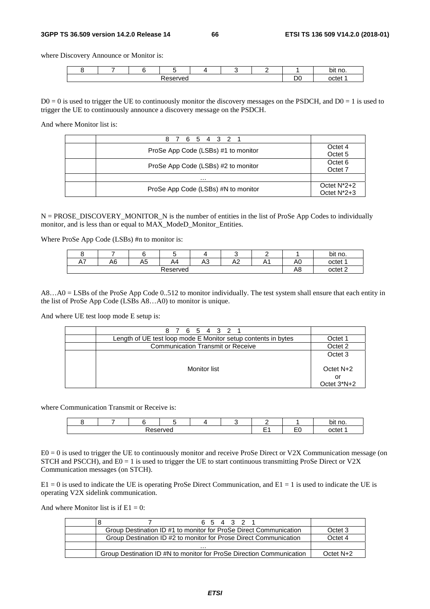#### **3GPP TS 36.509 version 14.2.0 Release 14 66 ETSI TS 136 509 V14.2.0 (2018-01)**

where Discovery Announce or Monitor is:

|                    |  |  |  |  |  |  | no.<br>bit |
|--------------------|--|--|--|--|--|--|------------|
| -<br>$\sim$<br>"c⊾ |  |  |  |  |  |  | nctet      |

 $D0 = 0$  is used to trigger the UE to continuously monitor the discovery messages on the PSDCH, and  $D0 = 1$  is used to trigger the UE to continuously announce a discovery message on the PSDCH.

And where Monitor list is:

| 6 5 4 3 2 1                         |                                  |
|-------------------------------------|----------------------------------|
| ProSe App Code (LSBs) #1 to monitor | Octet 4<br>Octet <sub>5</sub>    |
| ProSe App Code (LSBs) #2 to monitor | Octet <sub>6</sub><br>Octet 7    |
| .                                   |                                  |
| ProSe App Code (LSBs) #N to monitor | Octet $N^*2+2$<br>Octet $N^*2+3$ |

N = PROSE\_DISCOVERY\_MONITOR\_N is the number of entities in the list of ProSe App Codes to individually monitor, and is less than or equal to MAX\_ModeD\_Monitor\_Entities.

Where ProSe App Code (LSBs) #n to monitor is:

|                     |    |    |                    |                        |         |                       |                | bit no. |
|---------------------|----|----|--------------------|------------------------|---------|-----------------------|----------------|---------|
| $\sim$<br><u>ы </u> | A6 | A5 | A4                 | $\Lambda$ $\sim$<br>rν | ハつ<br>∼ | $\Delta$<br><u>гч</u> | A <sub>0</sub> | octet 1 |
|                     |    | A8 | octet <sub>2</sub> |                        |         |                       |                |         |

A8…A0 = LSBs of the ProSe App Code 0..512 to monitor individually. The test system shall ensure that each entity in the list of ProSe App Code (LSBs A8…A0) to monitor is unique.

And where UE test loop mode E setup is:

| 8 7 6 5 4 3 2 1                                               |                 |
|---------------------------------------------------------------|-----------------|
| Length of UE test loop mode E Monitor setup contents in bytes | Octet 1         |
| <b>Communication Transmit or Receive</b>                      | Octet 2         |
|                                                               | Octet 3         |
| Monitor list                                                  | Octet N+2<br>or |
|                                                               | Octet $3*N+2$   |

where Communication Transmit or Receive is:

|         |  |  |  |  |  |  |           | bit no. |
|---------|--|--|--|--|--|--|-----------|---------|
| eserved |  |  |  |  |  |  | - -<br>-- | octel   |

E0 = 0 is used to trigger the UE to continuously monitor and receive ProSe Direct or V2X Communication message (on STCH and PSCCH), and  $E0 = 1$  is used to trigger the UE to start continuous transmitting ProSe Direct or V2X Communication messages (on STCH).

 $E1 = 0$  is used to indicate the UE is operating ProSe Direct Communication, and  $E1 = 1$  is used to indicate the UE is operating V2X sidelink communication.

And where Monitor list is if  $E1 = 0$ :

| 6 5 4 3 2 1                                                          |           |
|----------------------------------------------------------------------|-----------|
| Group Destination ID #1 to monitor for ProSe Direct Communication    | Octet 3   |
| Group Destination ID #2 to monitor for Prose Direct Communication    | Octet 4   |
| .                                                                    |           |
| Group Destination ID #N to monitor for ProSe Direction Communication | Octet N+2 |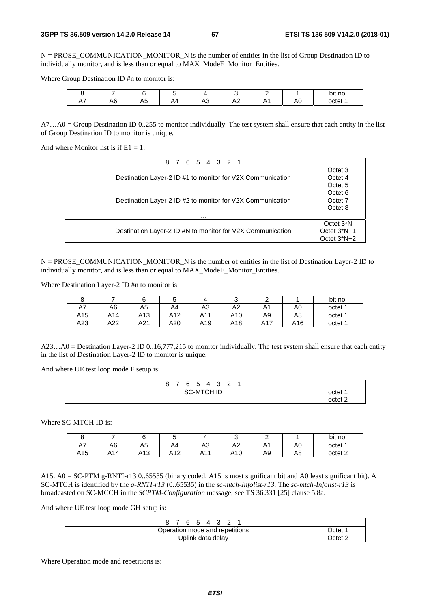N = PROSE\_COMMUNICATION\_MONITOR\_N is the number of entities in the list of Group Destination ID to individually monitor, and is less than or equal to MAX\_ModeE\_Monitor\_Entities.

Where Group Destination ID #n to monitor is:

|                    |            |              |     |          |                                   |          |    | bit no. |
|--------------------|------------|--------------|-----|----------|-----------------------------------|----------|----|---------|
| $\sim$<br>. .<br>. | 11 L<br>טר | -<br>Λ,<br>∾ | . . | . .<br>∼ | л.<br>-<br>$\sim$<br>. <b>. .</b> | . .<br>. | Aυ | octet 1 |

 $A7...A0 = Group$  Destination ID 0..255 to monitor individually. The test system shall ensure that each entity in the list of Group Destination ID to monitor is unique.

And where Monitor list is if  $E1 = 1$ :

| 4 3 2 1<br>5 <sup>5</sup><br>6<br>8.                       |                        |  |  |  |  |
|------------------------------------------------------------|------------------------|--|--|--|--|
|                                                            | Octet 3                |  |  |  |  |
| Destination Layer-2 ID #1 to monitor for V2X Communication | Octet 4                |  |  |  |  |
|                                                            |                        |  |  |  |  |
|                                                            | Octet <sub>6</sub>     |  |  |  |  |
| Destination Layer-2 ID #2 to monitor for V2X Communication |                        |  |  |  |  |
|                                                            | Octet 8                |  |  |  |  |
| .                                                          |                        |  |  |  |  |
|                                                            | Octet 3 <sup>*</sup> N |  |  |  |  |
| Destination Layer-2 ID #N to monitor for V2X Communication | Octet $3*N+1$          |  |  |  |  |
|                                                            | Octet 3*N+2            |  |  |  |  |

 $N = PROSE$  COMMUNICATION MONITOR N is the number of entities in the list of Destination Layer-2 ID to individually monitor, and is less than or equal to MAX\_ModeE\_Monitor\_Entities.

Where Destination Layer-2 ID #n to monitor is:

|     |     |     |     |     |                 | ∽   |     | bit no. |
|-----|-----|-----|-----|-----|-----------------|-----|-----|---------|
| A7  | A6  | A5  | A4  | A3  | A2              | A1  | A0  | octet 1 |
| A15 | A14 | A13 | A12 | A11 | A <sub>10</sub> | A9  | A8  | octet 1 |
| A23 | A22 | A21 | A20 | A19 | A18             | A17 | A16 | octet 1 |

A23…A0 = Destination Layer-2 ID 0..16,777,215 to monitor individually. The test system shall ensure that each entity in the list of Destination Layer-2 ID to monitor is unique.

And where UE test loop mode F setup is:

|  | 8                 |  |  | 6 5 4 |  | 3 2 |         |  |                    |
|--|-------------------|--|--|-------|--|-----|---------|--|--------------------|
|  | <b>SC-MTCH ID</b> |  |  |       |  |     | octet 1 |  |                    |
|  |                   |  |  |       |  |     |         |  | nctet <sup>n</sup> |

Where SC-MTCH ID is:

|                    |         |     |                     |    |                |                       |    | bit<br>* no.       |
|--------------------|---------|-----|---------------------|----|----------------|-----------------------|----|--------------------|
| Δ7<br>$\mathbf{u}$ | A6      | A5  | A4                  | A3 | A <sub>2</sub> | $\lambda$<br>$\cdots$ | A0 | octet 1            |
| A15                | 14<br>▵ | A13 | $\Lambda$ 12<br>AIZ | ▵  | A10            | A9                    | A8 | octet <sub>2</sub> |

A15..A0 = SC-PTM g-RNTI-r13 0..65535 (binary coded, A15 is most significant bit and A0 least significant bit). A SC-MTCH is identified by the *g-RNTI-r13* (0..65535) in the *sc-mtch-Infolist-r13.* The *sc-mtch-Infolist-r13* is broadcasted on SC-MCCH in the *SCPTM-Configuration* message, see TS 36.331 [25] clause 5.8a.

And where UE test loop mode GH setup is:

| 6 5 4 3 2                      |           |
|--------------------------------|-----------|
| Operation mode and repetitions | )ctet     |
| Jplink data delay              | . )ctet 1 |

Where Operation mode and repetitions is: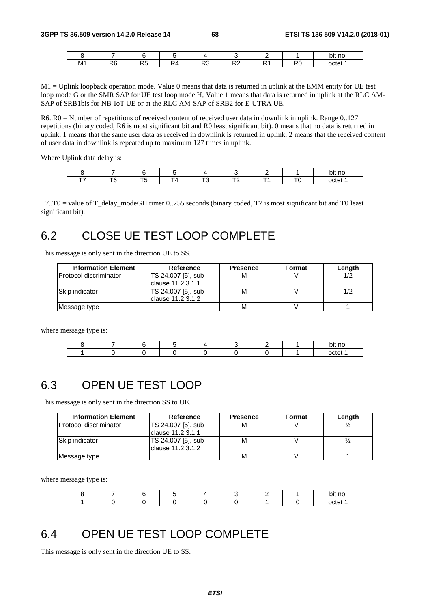|    |          |              |               |           |           |         |                      | bit no. |
|----|----------|--------------|---------------|-----------|-----------|---------|----------------------|---------|
| M1 | DC<br>ΛU | n.<br>$\sim$ | -<br>╌<br>¬ 4 | D.<br>ט ו | DC.<br>π∠ | D.<br>. | D <sub>O</sub><br>πv | octet   |

M1 = Uplink loopback operation mode. Value 0 means that data is returned in uplink at the EMM entity for UE test loop mode G or the SMR SAP for UE test loop mode H, Value 1 means that data is returned in uplink at the RLC AM-SAP of SRB1bis for NB-IoT UE or at the RLC AM-SAP of SRB2 for E-UTRA UE.

R6..R0 = Number of repetitions of received content of received user data in downlink in uplink. Range 0..127 repetitions (binary coded, R6 is most significant bit and R0 least significant bit). 0 means that no data is returned in uplink, 1 means that the same user data as received in downlink is returned in uplink, 2 means that the received content of user data in downlink is repeated up to maximum 127 times in uplink.

Where Uplink data delay is:

|        |   |  |  | ` no.<br>bit |
|--------|---|--|--|--------------|
| $\sim$ | P |  |  | octet        |

T7..T0 = value of T\_delay\_modeGH timer 0..255 seconds (binary coded, T7 is most significant bit and T0 least significant bit).

# 6.2 CLOSE UE TEST LOOP COMPLETE

This message is only sent in the direction UE to SS.

| <b>Information Element</b>    | <b>Reference</b>   | <b>Presence</b> | <b>Format</b> | Lenath |
|-------------------------------|--------------------|-----------------|---------------|--------|
| <b>Protocol discriminator</b> | TS 24.007 [5], sub | м               |               | 1/2    |
|                               | Iclause 11.2.3.1.1 |                 |               |        |
| <b>Skip indicator</b>         | TS 24.007 [5], sub | м               |               | 1/2    |
|                               | lclause 11.2.3.1.2 |                 |               |        |
| Message type                  |                    | M               |               |        |

where message type is:

|  |  |  |  | . .<br>bit no. |
|--|--|--|--|----------------|
|  |  |  |  | octet          |

## 6.3 OPEN UE TEST LOOP

This message is only sent in the direction SS to UE.

| <b>Information Element</b>    | Reference          | <b>Presence</b> | Format | Length |
|-------------------------------|--------------------|-----------------|--------|--------|
| <b>Protocol discriminator</b> | TS 24.007 [5], sub | м               |        |        |
|                               | Iclause 11.2.3.1.1 |                 |        |        |
| Skip indicator                | TS 24.007 [5], sub | М               |        |        |
|                               | Iclause 11.2.3.1.2 |                 |        |        |
| Message type                  |                    | м               |        |        |

where message type is:

|  |  |  |  | hit no |
|--|--|--|--|--------|
|  |  |  |  | .      |

## 6.4 OPEN UE TEST LOOP COMPLETE

This message is only sent in the direction UE to SS.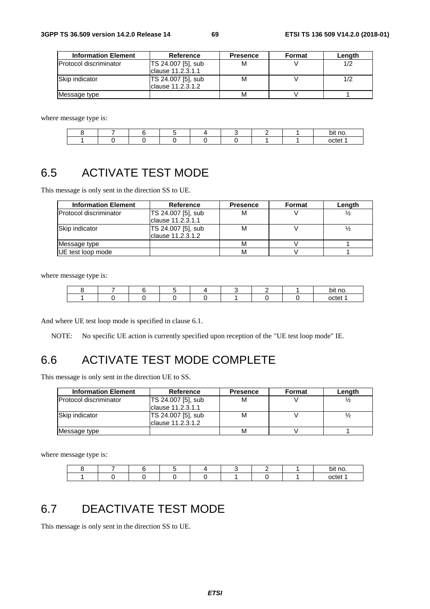| <b>Information Element</b> | Reference          | <b>Presence</b> | Format | Length |
|----------------------------|--------------------|-----------------|--------|--------|
| Protocol discriminator     | TS 24.007 [5], sub | М               |        | 1/2    |
|                            | Iclause 11.2.3.1.1 |                 |        |        |
| Skip indicator             | TS 24.007 [5], sub | м               |        | 1/2    |
|                            | lclause 11.2.3.1.2 |                 |        |        |
| Message type               |                    | м               |        |        |

where message type is:

|  |  |  |  | bit no |
|--|--|--|--|--------|
|  |  |  |  | neto.  |

# 6.5 ACTIVATE TEST MODE

This message is only sent in the direction SS to UE.

| <b>Information Element</b>    | <b>Reference</b>                        | <b>Presence</b> | Format | Length |
|-------------------------------|-----------------------------------------|-----------------|--------|--------|
| <b>Protocol discriminator</b> | TS 24.007 [5], sub<br>clause 11.2.3.1.1 | м               |        |        |
| Skip indicator                | TS 24.007 [5], sub<br>clause 11.2.3.1.2 | м               |        |        |
| Message type                  |                                         | м               |        |        |
| UE test loop mode             |                                         | м               |        |        |

where message type is:

|  |  |  |  | no<br>ונ |
|--|--|--|--|----------|
|  |  |  |  | nctet    |

And where UE test loop mode is specified in clause 6.1.

NOTE: No specific UE action is currently specified upon reception of the "UE test loop mode" IE.

## 6.6 ACTIVATE TEST MODE COMPLETE

This message is only sent in the direction UE to SS.

| <b>Information Element</b>    | Reference          | <b>Presence</b> | Format | Lenath |
|-------------------------------|--------------------|-----------------|--------|--------|
| <b>Protocol discriminator</b> | TS 24.007 [5], sub | М               |        |        |
|                               | Iclause 11.2.3.1.1 |                 |        |        |
| <b>Skip indicator</b>         | TS 24.007 [5], sub | М               |        |        |
|                               | Iclause 11.2.3.1.2 |                 |        |        |
| Message type                  |                    | M               |        |        |

where message type is:

|  |  |  |  | bit no. |
|--|--|--|--|---------|
|  |  |  |  | octet   |

# 6.7 DEACTIVATE TEST MODE

This message is only sent in the direction SS to UE.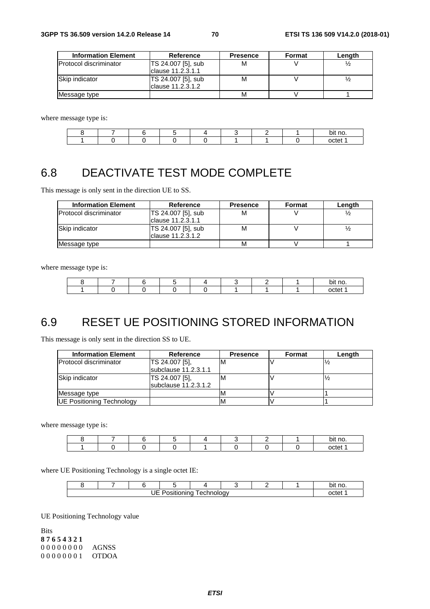| <b>Information Element</b> | Reference          | <b>Presence</b> | <b>Format</b> | Length |
|----------------------------|--------------------|-----------------|---------------|--------|
| Protocol discriminator     | TS 24.007 [5], sub | м               |               |        |
|                            | clause 11.2.3.1.1  |                 |               |        |
| Skip indicator             | TS 24.007 [5], sub | М               |               |        |
|                            | Iclause 11.2.3.1.2 |                 |               |        |
| Message type               |                    | М               |               |        |

where message type is:

|  |  |  |  | bit no. |
|--|--|--|--|---------|
|  |  |  |  | . ш.    |

# 6.8 DEACTIVATE TEST MODE COMPLETE

This message is only sent in the direction UE to SS.

| <b>Information Element</b>    | Reference                                | <b>Presence</b> | Format | Length |
|-------------------------------|------------------------------------------|-----------------|--------|--------|
| <b>Protocol discriminator</b> | TS 24.007 [5], sub<br>Iclause 11.2.3.1.1 | M               |        |        |
| <b>Skip indicator</b>         | TS 24.007 [5], sub<br>Iclause 11.2.3.1.2 | м               |        |        |
| Message type                  |                                          | М               |        |        |

where message type is:

|  |  |  |  | bit no |
|--|--|--|--|--------|
|  |  |  |  | ∩∩tet  |

## 6.9 RESET UE POSITIONING STORED INFORMATION

This message is only sent in the direction SS to UE.

| <b>Information Element</b> | <b>Reference</b>     | <b>Presence</b> | Format | Length |
|----------------------------|----------------------|-----------------|--------|--------|
| Protocol discriminator     | TS 24.007 [5],       | M               |        |        |
|                            | subclause 11.2.3.1.1 |                 |        |        |
| Skip indicator             | TS 24.007 [5],       | м               |        |        |
|                            | subclause 11.2.3.1.2 |                 |        |        |
| Message type               |                      |                 |        |        |
| UE Positioning Technology  |                      |                 |        |        |

where message type is:

|  |  |  |  | bit no. |
|--|--|--|--|---------|
|  |  |  |  | nctet   |

where UE Positioning Technology is a single octet IE:

|                       |  |  |  |  |  |  |  | no.<br>bit |
|-----------------------|--|--|--|--|--|--|--|------------|
| TЕ.<br>echnology<br>ັ |  |  |  |  |  |  |  | octet      |

UE Positioning Technology value

Bits **8 7 6 5 4 3 2 1** 0 0 0 0 0 0 0 0 AGNSS 0 0 0 0 0 0 0 1 OTDOA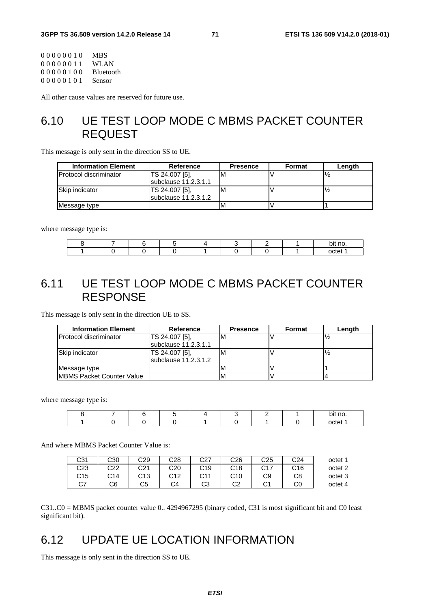| 00000010 | <b>MBS</b>  |
|----------|-------------|
| 00000011 | <b>WLAN</b> |
| 00000100 | Bluetooth   |
| 00000101 | Sensor      |
|          |             |

All other cause values are reserved for future use.

## 6.10 UE TEST LOOP MODE C MBMS PACKET COUNTER REQUEST

This message is only sent in the direction SS to UE.

| <b>Information Element</b>    | Reference            | <b>Presence</b> | <b>Format</b> | Length |
|-------------------------------|----------------------|-----------------|---------------|--------|
| <b>Protocol discriminator</b> | TS 24.007 [5].       | м               |               |        |
|                               | subclause 11.2.3.1.1 |                 |               |        |
| Skip indicator                | TS 24.007 [5],       | M               |               |        |
|                               | subclause 11.2.3.1.2 |                 |               |        |
| Message type                  |                      | M               |               |        |

where message type is:

|  |  |  |  | bit no. |
|--|--|--|--|---------|
|  |  |  |  | nctet   |

# 6.11 UE TEST LOOP MODE C MBMS PACKET COUNTER RESPONSE

This message is only sent in the direction UE to SS.

| <b>Information Element</b>        | Reference             | <b>Presence</b> | Format | Length |  |
|-----------------------------------|-----------------------|-----------------|--------|--------|--|
| <b>Protocol discriminator</b>     | TS 24.007 [5],        | M               |        |        |  |
|                                   | lsubclause 11.2.3.1.1 |                 |        |        |  |
| Skip indicator                    | TS 24.007 [5],        | M               |        |        |  |
|                                   | subclause 11.2.3.1.2  |                 |        |        |  |
| Message type                      |                       | M               |        |        |  |
| <b>IMBMS Packet Counter Value</b> |                       |                 |        |        |  |

where message type is:

|  |  |  |  | bit no. |
|--|--|--|--|---------|
|  |  |  |  | nctet   |

And where MBMS Packet Counter Value is:

| octet 1 | C <sub>24</sub> | C25            | C <sub>26</sub> | <b>rn7</b><br>ا∠ب | C28 | C29 | C30 | C31     |
|---------|-----------------|----------------|-----------------|-------------------|-----|-----|-----|---------|
| octet 2 | C16             | $\sim$ 17<br>◡ | C <sub>18</sub> | C19               | C20 | C21 | C22 | C23     |
| octet 3 | C8              | C9             | C10             | r 11<br>◡⊤        | r12 | C13 | C14 | C15     |
| octet 4 | C0              | ◡              | റാ<br>◡∠        | CЗ                | C4  | C5  | C6  | ~-<br>◡ |

C31..C0 = MBMS packet counter value 0.. 4294967295 (binary coded, C31 is most significant bit and C0 least significant bit).

# 6.12 UPDATE UE LOCATION INFORMATION

This message is only sent in the direction SS to UE.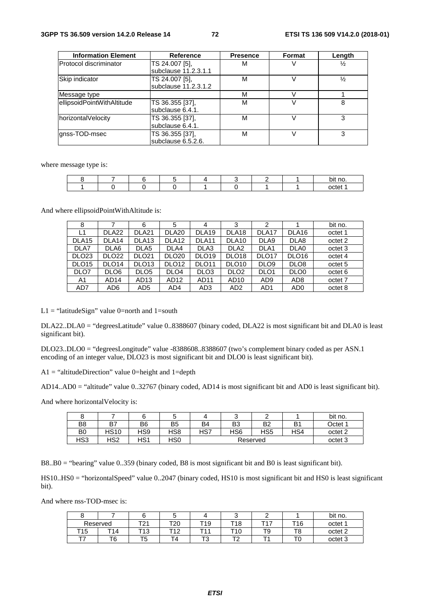| <b>Information Element</b> | <b>Reference</b>     | <b>Presence</b> | <b>Format</b> | Length        |
|----------------------------|----------------------|-----------------|---------------|---------------|
| Protocol discriminator     | TS 24.007 [5],       | м               |               | $\frac{1}{2}$ |
|                            | subclause 11.2.3.1.1 |                 |               |               |
| Skip indicator             | TS 24.007 [5],       | М               |               | $\frac{1}{2}$ |
|                            | subclause 11.2.3.1.2 |                 |               |               |
| Message type               |                      | м               |               |               |
| ellipsoidPointWithAltitude | TS 36.355 [37],      | М               |               | 8             |
|                            | subclause 6.4.1.     |                 |               |               |
| horizontalVelocity         | TS 36.355 [37],      | М               |               |               |
|                            | subclause 6.4.1.     |                 |               |               |
| anss-TOD-msec              | TS 36.355 [37],      | М               |               | 3             |
|                            | subclause 6.5.2.6.   |                 |               |               |

where message type is:

|  |  |  |  | no.<br>bit |
|--|--|--|--|------------|
|  |  |  |  | netet      |

And where ellipsoidPointWithAltitude is:

| 8                 |                   | 6                 | 5                 | 4                 | 3                 | 2                 |                   | bit no.            |
|-------------------|-------------------|-------------------|-------------------|-------------------|-------------------|-------------------|-------------------|--------------------|
| L1                | DLA <sub>22</sub> | DLA <sub>21</sub> | DLA <sub>20</sub> | DLA <sub>19</sub> | DLA <sub>18</sub> | DLA <sub>17</sub> | DLA <sub>16</sub> | octet 1            |
| DLA <sub>15</sub> | DLA <sub>14</sub> | DLA <sub>13</sub> | DLA <sub>12</sub> | DLA <sub>11</sub> | DLA <sub>10</sub> | DLA9              | DLA8              | octet 2            |
| DLA7              | DLA6              | DLA <sub>5</sub>  | DLA4              | DLA3              | DLA <sub>2</sub>  | DLA <sub>1</sub>  | DLA0              | octet 3            |
| DLO <sub>23</sub> | DLO <sub>22</sub> | <b>DLO21</b>      | <b>DLO20</b>      | DLO <sub>19</sub> | DLO <sub>18</sub> | DLO <sub>17</sub> | DLO <sub>16</sub> | octet 4            |
| DLO <sub>15</sub> | DLO <sub>14</sub> | DLO <sub>13</sub> | DLO <sub>12</sub> | DLO <sub>11</sub> | DLO <sub>10</sub> | DLO <sub>9</sub>  | DLO <sub>8</sub>  | octet <sub>5</sub> |
| DLO7              | DLO <sub>6</sub>  | DLO <sub>5</sub>  | DLO <sub>4</sub>  | DLO <sub>3</sub>  | DLO <sub>2</sub>  | DLO <sub>1</sub>  | DLO <sub>0</sub>  | octet 6            |
| A <sub>1</sub>    | AD <sub>14</sub>  | AD <sub>13</sub>  | AD12              | AD11              | AD <sub>10</sub>  | AD <sub>9</sub>   | AD <sub>8</sub>   | octet 7            |
| AD7               | AD6               | AD <sub>5</sub>   | AD4               | AD3               | AD <sub>2</sub>   | AD1               | AD <sub>0</sub>   | octet 8            |

L1 = "latitudeSign" value 0=north and 1=south

DLA22..DLA0 = "degreesLatitude" value 0..8388607 (binary coded, DLA22 is most significant bit and DLA0 is least significant bit).

DLO23..DLO0 = "degreesLongitude" value -8388608..8388607 (two's complement binary coded as per ASN.1 encoding of an integer value, DLO23 is most significant bit and DLO0 is least significant bit).

A1 = "altitudeDirection" value 0=height and 1=depth

AD14..AD0 = "altitude" value 0..32767 (binary coded, AD14 is most significant bit and AD0 is least significant bit).

And where horizontalVelocity is:

|                |      |     |                |          |                 |     |     | bit no.            |
|----------------|------|-----|----------------|----------|-----------------|-----|-----|--------------------|
| B <sub>8</sub> | B7   | B6  | B <sub>5</sub> | B4       | B <sub>3</sub>  | B2  | B1  | Octet 1            |
| B <sub>0</sub> | HS10 | HS9 | HS8            | HS7      | HS <sub>6</sub> | HS5 | HS4 | octet <sub>2</sub> |
| HS3            | HS2  | HS1 | HS0            | Reserved |                 |     |     | octet 3            |

B8..B0 = "bearing" value 0..359 (binary coded, B8 is most significant bit and B0 is least significant bit).

HS10..HS0 = "horizontalSpeed" value 0..2047 (binary coded, HS10 is most significant bit and HS0 is least significant bit).

And where nss-TOD-msec is:

|     |            |                   |                   |     |                  |     |     | bit no.            |
|-----|------------|-------------------|-------------------|-----|------------------|-----|-----|--------------------|
|     | Reserved   | T21<br>. $\sim$ 1 | T20               | T19 | T18              | ᅲᆀ  | T16 | octet 1            |
| T15 | T14        | T13               | <b>T</b> 40<br>ı∠ | ᅮ   | T10              | . . | T8  | octet 2            |
|     | ┳ ⌒<br>. O | тқ<br>ن،          | -<br>Δ            | ີ   | ┯╭<br>. <u>.</u> | -   |     | octet <sub>3</sub> |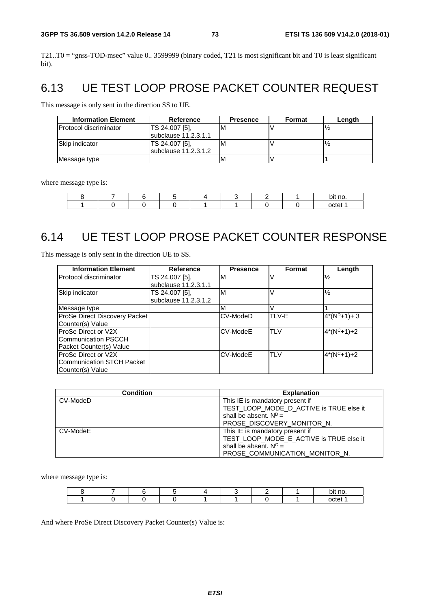T21..T0 = "gnss-TOD-msec" value 0.. 3599999 (binary coded, T21 is most significant bit and T0 is least significant bit).

## 6.13 UE TEST LOOP PROSE PACKET COUNTER REQUEST

This message is only sent in the direction SS to UE.

| <b>Information Element</b>     | Reference              | <b>Presence</b> | Format | Length |
|--------------------------------|------------------------|-----------------|--------|--------|
| <b>IProtocol discriminator</b> | TS 24.007 [5].         | M               |        |        |
|                                | subclause 11.2.3.1.1   |                 |        |        |
| <b>ISkip indicator</b>         | TS 24.007 [5],         | M               |        |        |
|                                | subclause $11.2.3.1.2$ |                 |        |        |
| Message type                   |                        | M               |        |        |

where message type is:

|  |  |  |  | bit no. |
|--|--|--|--|---------|
|  |  |  |  | ∩∩t≏'   |

## 6.14 UE TEST LOOP PROSE PACKET COUNTER RESPONSE

This message is only sent in the direction UE to SS.

| <b>Information Element</b>    | Reference            | <b>Presence</b> | <b>Format</b> | Length        |
|-------------------------------|----------------------|-----------------|---------------|---------------|
| Protocol discriminator        | TS 24.007 [5].       | ıм              |               | $\frac{1}{2}$ |
|                               | subclause 11.2.3.1.1 |                 |               |               |
| Skip indicator                | TS 24.007 [5].       | ΙM              |               | $\frac{1}{2}$ |
|                               | subclause 11.2.3.1.2 |                 |               |               |
| Message type                  |                      | M               |               |               |
| ProSe Direct Discovery Packet |                      | CV-ModeD        | TLV-E         | $4*(N^D+1)+3$ |
| Counter(s) Value              |                      |                 |               |               |
| ProSe Direct or V2X           |                      | CV-ModeE        | <b>TLV</b>    | $4*(N^C+1)+2$ |
| Communication PSCCH           |                      |                 |               |               |
| Packet Counter(s) Value       |                      |                 |               |               |
| <b>IProSe Direct or V2X</b>   |                      | CV-ModeE        | <b>TLV</b>    | $4*(N^C+1)+2$ |
| Communication STCH Packet     |                      |                 |               |               |
| Counter(s) Value              |                      |                 |               |               |

| <b>Condition</b> | <b>Explanation</b>                      |
|------------------|-----------------------------------------|
| CV-ModeD         | This IE is mandatory present if         |
|                  | TEST_LOOP_MODE_D_ACTIVE is TRUE else it |
|                  | shall be absent. $N^D =$                |
|                  | PROSE DISCOVERY MONITOR N.              |
| CV-ModeE         | This IE is mandatory present if         |
|                  | TEST_LOOP_MODE_E_ACTIVE is TRUE else it |
|                  | shall be absent. $N^C =$                |
|                  | PROSE COMMUNICATION MONITOR N.          |

where message type is:

|  |  |  |  | no<br>יומ<br>~ |
|--|--|--|--|----------------|
|  |  |  |  | nctet          |

And where ProSe Direct Discovery Packet Counter(s) Value is: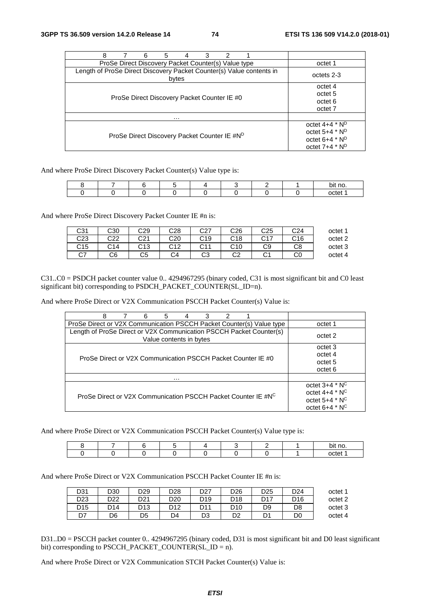| з<br>2<br>8<br>6<br>5                                                         |                                                                                                        |
|-------------------------------------------------------------------------------|--------------------------------------------------------------------------------------------------------|
| ProSe Direct Discovery Packet Counter(s) Value type                           | octet 1                                                                                                |
| Length of ProSe Direct Discovery Packet Counter(s) Value contents in<br>bytes | octets 2-3                                                                                             |
| ProSe Direct Discovery Packet Counter IE #0                                   | octet 4<br>octet 5<br>octet 6<br>octet 7                                                               |
| .                                                                             |                                                                                                        |
| ProSe Direct Discovery Packet Counter IE #N <sup>D</sup>                      | octet $4+4$ * $N^D$<br>octet 5+4 * N <sup>D</sup><br>octet 6+4 * N <sup>D</sup><br>octet $7+4$ * $N^D$ |

And where ProSe Direct Discovery Packet Counter(s) Value type is:

|  |  |  |  | no<br>bit |
|--|--|--|--|-----------|
|  |  |  |  | octet     |

And where ProSe Direct Discovery Packet Counter IE #n is:

| C31 | C30 | C29 | C28             | C27 | C26      | C25                 | ⌒າ<br>-24 | octet 1 |
|-----|-----|-----|-----------------|-----|----------|---------------------|-----------|---------|
| C23 | C22 | C21 | C20             | C19 | C18      | $\sim$ $\sim$<br>◡⊥ | C16       | octet 2 |
| C15 | C14 | C13 | C <sub>12</sub> | C11 | C10      | C9                  | C8        | octet 3 |
| C7  | C6  | C5  | C4              | CЗ  | ററ<br>◡∠ | ົ<br>U.             |           | octet 4 |

C31..C0 = PSDCH packet counter value 0.. 4294967295 (binary coded, C31 is most significant bit and C0 least significant bit) corresponding to PSDCH\_PACKET\_COUNTER(SL\_ID=n).

And where ProSe Direct or V2X Communication PSCCH Packet Counter(s) Value is:

| 8<br>6<br>3<br>2<br>5<br>4                                                                     |                     |
|------------------------------------------------------------------------------------------------|---------------------|
| ProSe Direct or V2X Communication PSCCH Packet Counter(s) Value type                           | octet 1             |
| Length of ProSe Direct or V2X Communication PSCCH Packet Counter(s)<br>Value contents in bytes | octet 2             |
|                                                                                                | octet 3             |
| ProSe Direct or V2X Communication PSCCH Packet Counter IE #0                                   | octet 4             |
|                                                                                                | octet 5             |
|                                                                                                | octet 6             |
| .                                                                                              |                     |
|                                                                                                | octet $3+4$ * $N^C$ |
| ProSe Direct or V2X Communication PSCCH Packet Counter IE #NC                                  | octet $4+4$ * $N^C$ |
|                                                                                                | octet $5+4$ * $N^C$ |
|                                                                                                | octet $6+4$ * $N^C$ |

And where ProSe Direct or V2X Communication PSCCH Packet Counter(s) Value type is:

|  |  |  |  | bit no                        |
|--|--|--|--|-------------------------------|
|  |  |  |  | $\overline{\phantom{a}}$<br>_ |

And where ProSe Direct or V2X Communication PSCCH Packet Counter IE #n is:

| D31             | D30 | D29 | D <sub>28</sub> | D <sub>27</sub> | D <sub>26</sub> | D <sub>25</sub> | D <sub>24</sub> | octet <sup>1</sup> |
|-----------------|-----|-----|-----------------|-----------------|-----------------|-----------------|-----------------|--------------------|
| D <sub>23</sub> | D22 | D21 | D <sub>20</sub> | D <sub>19</sub> | D18             | D17             | D16             | octet 2            |
| D <sub>15</sub> | D14 | D13 | D <sub>12</sub> | D11             | D10             | D9              | D <sub>8</sub>  | octet 3            |
| D7              | D6  | D5  | D4              | D3              | D <sub>2</sub>  |                 | D0              | octet 4            |

D31..D0 = PSCCH packet counter 0.. 4294967295 (binary coded, D31 is most significant bit and D0 least significant bit) corresponding to PSCCH\_PACKET\_COUNTER(SL\_ID = n).

And where ProSe Direct or V2X Communication STCH Packet Counter(s) Value is: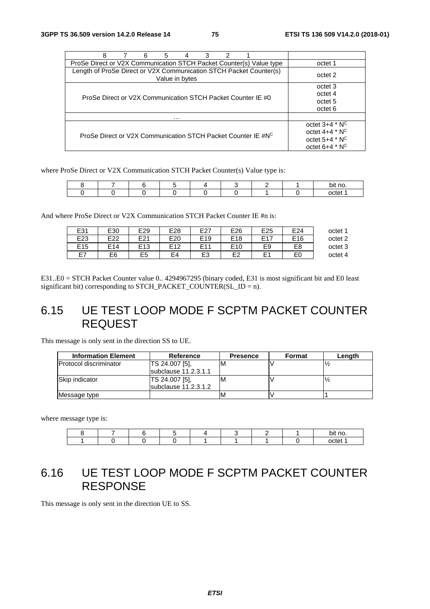| 3<br>6<br>2<br>8<br>5<br>4                                                           |                     |
|--------------------------------------------------------------------------------------|---------------------|
| ProSe Direct or V2X Communication STCH Packet Counter(s) Value type                  | octet 1             |
| Length of ProSe Direct or V2X Communication STCH Packet Counter(s)<br>Value in bytes | octet 2             |
|                                                                                      | octet 3             |
| ProSe Direct or V2X Communication STCH Packet Counter IE #0                          | octet 4             |
|                                                                                      | octet 5             |
|                                                                                      | octet 6             |
| .                                                                                    |                     |
|                                                                                      | octet $3+4$ * $N^C$ |
| ProSe Direct or V2X Communication STCH Packet Counter IE #NC                         | octet $4+4$ * $N^C$ |
|                                                                                      | octet $5+4$ * $N^C$ |
|                                                                                      | octet $6+4$ * $N^C$ |

where ProSe Direct or V2X Communication STCH Packet Counter(s) Value type is:

|  |  |  |  | no<br>bi1 |
|--|--|--|--|-----------|
|  |  |  |  | nctet     |

And where ProSe Direct or V2X Communication STCH Packet Counter IE #n is:

| octet 1 | E24             | E <sub>25</sub> | E26             | E27             | E28            | E29             | E30             | E31             |
|---------|-----------------|-----------------|-----------------|-----------------|----------------|-----------------|-----------------|-----------------|
|         |                 |                 |                 |                 |                |                 |                 |                 |
| octet 2 | E <sub>16</sub> | E17             | E <sub>18</sub> | E <sub>19</sub> | E20            | E21             | E22             | E <sub>23</sub> |
| octet 3 | E <sub>8</sub>  | E9              | E <sub>10</sub> | E11             | F12            | E <sub>13</sub> | E <sub>14</sub> | E <sub>15</sub> |
| octet 4 | EΟ              |                 | F2              | E <sub>3</sub>  | E <sub>4</sub> | E5              | E <sub>6</sub>  | E7              |

E31..E0 = STCH Packet Counter value 0.. 4294967295 (binary coded, E31 is most significant bit and E0 least significant bit) corresponding to STCH\_PACKET\_COUNTER(SL\_ID = n).

## 6.15 UE TEST LOOP MODE F SCPTM PACKET COUNTER REQUEST

This message is only sent in the direction SS to UE.

| <b>Information Element</b> | Reference              | <b>Presence</b> | Format | Length |
|----------------------------|------------------------|-----------------|--------|--------|
| IProtocol discriminator    | TS 24.007 [5].         |                 |        |        |
|                            | subclause 11.2.3.1.1   |                 |        |        |
| Skip indicator             | <b>TS 24.007 [5].</b>  |                 |        |        |
|                            | subclause $11.2.3.1.2$ |                 |        |        |
| Message type               |                        | M               |        |        |

where message type is:

|  |  |  |  | bit no     |
|--|--|--|--|------------|
|  |  |  |  | $-1$<br>™≏ |

## 6.16 UE TEST LOOP MODE F SCPTM PACKET COUNTER RESPONSE

This message is only sent in the direction UE to SS.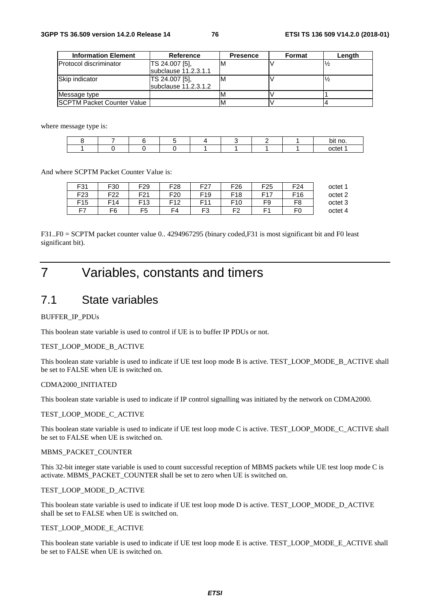| <b>Information Element</b> | Reference             | <b>Presence</b> | Format | Lenath |
|----------------------------|-----------------------|-----------------|--------|--------|
| Protocol discriminator     | TS 24.007 [5].        | ιM              |        |        |
|                            | Isubclause 11.2.3.1.1 |                 |        |        |
| Skip indicator             | TS 24.007 [5],        | M               |        |        |
|                            | subclause 11.2.3.1.2  |                 |        |        |
| Message type               |                       |                 |        |        |
| SCPTM Packet Counter Value |                       |                 |        |        |

where message type is:

|  |  |  |  | bit no.          |
|--|--|--|--|------------------|
|  |  |  |  | nrtet.<br>ונם וי |

And where SCPTM Packet Counter Value is:

| F31             | F30             | F <sub>29</sub>             | F <sub>28</sub> | F <sub>27</sub> | F <sub>26</sub> | F <sub>25</sub> | F <sub>24</sub> | octet 1 |
|-----------------|-----------------|-----------------------------|-----------------|-----------------|-----------------|-----------------|-----------------|---------|
| F <sub>23</sub> | F <sub>22</sub> | F <sub>21</sub><br><u>L</u> | F <sub>20</sub> | F <sub>19</sub> | F <sub>18</sub> | E17             | F <sub>16</sub> | octet 2 |
| F <sub>15</sub> | F14             | F <sub>13</sub>             | F12             | E <sub>11</sub> | F <sub>10</sub> | F9              | F8              | octet 3 |
| F7              | F6              | F <sub>5</sub>              | F4              | F3              | 口つ              | E٠              | FО              | octet 4 |

F31..F0 = SCPTM packet counter value 0.. 4294967295 (binary coded,F31 is most significant bit and F0 least significant bit).

## 7 Variables, constants and timers

## 7.1 State variables

### BUFFER\_IP\_PDUs

This boolean state variable is used to control if UE is to buffer IP PDUs or not.

#### TEST\_LOOP\_MODE\_B\_ACTIVE

This boolean state variable is used to indicate if UE test loop mode B is active. TEST\_LOOP\_MODE\_B\_ACTIVE shall be set to FALSE when UE is switched on.

#### CDMA2000\_INITIATED

This boolean state variable is used to indicate if IP control signalling was initiated by the network on CDMA2000.

#### TEST\_LOOP\_MODE\_C\_ACTIVE

This boolean state variable is used to indicate if UE test loop mode C is active. TEST\_LOOP\_MODE\_C\_ACTIVE shall be set to FALSE when UE is switched on.

#### MBMS\_PACKET\_COUNTER

This 32-bit integer state variable is used to count successful reception of MBMS packets while UE test loop mode C is activate. MBMS\_PACKET\_COUNTER shall be set to zero when UE is switched on.

#### TEST\_LOOP\_MODE\_D\_ACTIVE

This boolean state variable is used to indicate if UE test loop mode D is active. TEST\_LOOP\_MODE\_D\_ACTIVE shall be set to FALSE when UE is switched on.

### TEST\_LOOP\_MODE\_E\_ACTIVE

This boolean state variable is used to indicate if UE test loop mode E is active. TEST\_LOOP\_MODE\_E\_ACTIVE shall be set to FALSE when UE is switched on.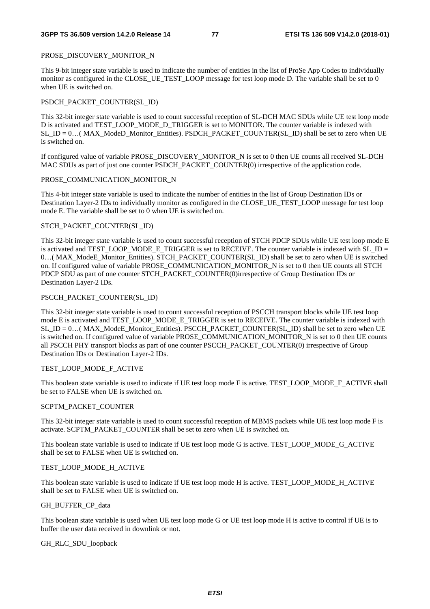### PROSE\_DISCOVERY\_MONITOR\_N

This 9-bit integer state variable is used to indicate the number of entities in the list of ProSe App Codes to individually monitor as configured in the CLOSE\_UE\_TEST\_LOOP message for test loop mode D. The variable shall be set to 0 when UE is switched on.

### PSDCH\_PACKET\_COUNTER(SL\_ID)

This 32-bit integer state variable is used to count successful reception of SL-DCH MAC SDUs while UE test loop mode D is activated and TEST\_LOOP\_MODE\_D\_TRIGGER is set to MONITOR. The counter variable is indexed with SL ID =  $0...$ ( MAX ModeD Monitor Entities). PSDCH PACKET COUNTER(SL ID) shall be set to zero when UE is switched on.

If configured value of variable PROSE\_DISCOVERY\_MONITOR\_N is set to 0 then UE counts all received SL-DCH MAC SDUs as part of just one counter PSDCH\_PACKET\_COUNTER(0) irrespective of the application code.

### PROSE\_COMMUNICATION\_MONITOR\_N

This 4-bit integer state variable is used to indicate the number of entities in the list of Group Destination IDs or Destination Layer-2 IDs to individually monitor as configured in the CLOSE\_UE\_TEST\_LOOP message for test loop mode E. The variable shall be set to 0 when UE is switched on.

### STCH\_PACKET\_COUNTER(SL\_ID)

This 32-bit integer state variable is used to count successful reception of STCH PDCP SDUs while UE test loop mode E is activated and TEST\_LOOP\_MODE\_E\_TRIGGER is set to RECEIVE. The counter variable is indexed with SL\_ID = 0…( MAX\_ModeE\_Monitor\_Entities). STCH\_PACKET\_COUNTER(SL\_ID) shall be set to zero when UE is switched on. If configured value of variable PROSE\_COMMUNICATION\_MONITOR\_N is set to 0 then UE counts all STCH PDCP SDU as part of one counter STCH\_PACKET\_COUNTER(0)irrespective of Group Destination IDs or Destination Layer-2 IDs.

## PSCCH\_PACKET\_COUNTER(SL\_ID)

This 32-bit integer state variable is used to count successful reception of PSCCH transport blocks while UE test loop mode E is activated and TEST\_LOOP\_MODE\_E\_TRIGGER is set to RECEIVE. The counter variable is indexed with SL ID =  $0...$  (MAX ModeE Monitor Entities). PSCCH PACKET COUNTER(SL ID) shall be set to zero when UE is switched on. If configured value of variable PROSE\_COMMUNICATION\_MONITOR\_N is set to 0 then UE counts all PSCCH PHY transport blocks as part of one counter PSCCH\_PACKET\_COUNTER(0) irrespective of Group Destination IDs or Destination Layer-2 IDs.

## TEST\_LOOP\_MODE\_F\_ACTIVE

This boolean state variable is used to indicate if UE test loop mode F is active. TEST\_LOOP\_MODE\_F\_ACTIVE shall be set to FALSE when UE is switched on.

## SCPTM\_PACKET\_COUNTER

This 32-bit integer state variable is used to count successful reception of MBMS packets while UE test loop mode F is activate. SCPTM\_PACKET\_COUNTER shall be set to zero when UE is switched on.

This boolean state variable is used to indicate if UE test loop mode G is active. TEST\_LOOP\_MODE\_G\_ACTIVE shall be set to FALSE when UE is switched on.

## TEST\_LOOP\_MODE\_H\_ACTIVE

This boolean state variable is used to indicate if UE test loop mode H is active. TEST\_LOOP\_MODE\_H\_ACTIVE shall be set to FALSE when UE is switched on.

## GH\_BUFFER\_CP\_data

This boolean state variable is used when UE test loop mode G or UE test loop mode H is active to control if UE is to buffer the user data received in downlink or not.

## GH\_RLC\_SDU\_loopback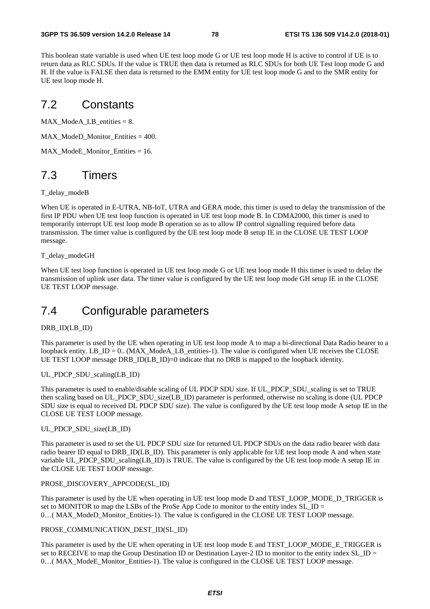This boolean state variable is used when UE test loop mode G or UE test loop mode H is active to control if UE is to return data as RLC SDUs. If the value is TRUE then data is returned as RLC SDUs for both UE Test loop mode G and H. If the value is FALSE then data is returned to the EMM entity for UE test loop mode G and to the SMR entity for UE test loop mode H.

## 7.2 Constants

MAX\_ModeA\_LB\_entities = 8.

MAX ModeD Monitor Entities  $= 400$ .

MAX\_ModeE\_Monitor\_Entities = 16.

## 7.3 Timers

T\_delay\_modeB

When UE is operated in E-UTRA, NB-IoT, UTRA and GERA mode, this timer is used to delay the transmission of the first IP PDU when UE test loop function is operated in UE test loop mode B. In CDMA2000, this timer is used to temporarily interrupt UE test loop mode B operation so as to allow IP control signalling required before data transmission. The timer value is configured by the UE test loop mode B setup IE in the CLOSE UE TEST LOOP message.

T\_delay\_modeGH

When UE test loop function is operated in UE test loop mode G or UE test loop mode H this timer is used to delay the transmission of uplink user data. The timer value is configured by the UE test loop mode GH setup IE in the CLOSE UE TEST LOOP message.

## 7.4 Configurable parameters

### DRB\_ID(LB\_ID)

This parameter is used by the UE when operating in UE test loop mode A to map a bi-directional Data Radio bearer to a loopback entity. LB  $ID = 0$ . (MAX ModeA LB entities-1). The value is configured when UE receives the CLOSE UE TEST LOOP message DRB ID(LB ID)=0 indicate that no DRB is mapped to the loopback identity.

### UL\_PDCP\_SDU\_scaling(LB\_ID)

This parameter is used to enable/disable scaling of UL PDCP SDU size. If UL\_PDCP\_SDU\_scaling is set to TRUE then scaling based on UL\_PDCP\_SDU\_size(LB\_ID) parameter is performed, otherwise no scaling is done (UL PDCP SDU size is equal to received DL PDCP SDU size). The value is configured by the UE test loop mode A setup IE in the CLOSE UE TEST LOOP message.

### UL\_PDCP\_SDU\_size(LB\_ID)

This parameter is used to set the UL PDCP SDU size for returned UL PDCP SDUs on the data radio bearer with data radio bearer ID equal to DRB\_ID(LB\_ID). This parameter is only applicable for UE test loop mode A and when state variable UL\_PDCP\_SDU\_scaling(LB\_ID) is TRUE. The value is configured by the UE test loop mode A setup IE in the CLOSE UE TEST LOOP message.

### PROSE\_DISCOVERY\_APPCODE(SL\_ID)

This parameter is used by the UE when operating in UE test loop mode D and TEST\_LOOP\_MODE\_D\_TRIGGER is set to MONITOR to map the LSBs of the ProSe App Code to monitor to the entity index SL\_ID = 0…( MAX\_ModeD\_Monitor\_Entities-1). The value is configured in the CLOSE UE TEST LOOP message.

#### PROSE\_COMMUNICATION\_DEST\_ID(SL\_ID)

This parameter is used by the UE when operating in UE test loop mode E and TEST\_LOOP\_MODE\_E\_TRIGGER is set to RECEIVE to map the Group Destination ID or Destination Layer-2 ID to monitor to the entity index SL\_ID = 0…( MAX\_ModeE\_Monitor\_Entities-1). The value is configured in the CLOSE UE TEST LOOP message.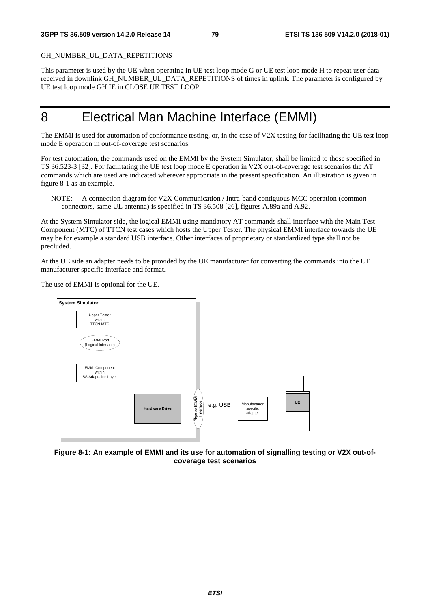#### GH\_NUMBER\_UL\_DATA\_REPETITIONS

This parameter is used by the UE when operating in UE test loop mode G or UE test loop mode H to repeat user data received in downlink GH\_NUMBER\_UL\_DATA\_REPETITIONS of times in uplink. The parameter is configured by UE test loop mode GH IE in CLOSE UE TEST LOOP.

## 8 Electrical Man Machine Interface (EMMI)

The EMMI is used for automation of conformance testing, or, in the case of V2X testing for facilitating the UE test loop mode E operation in out-of-coverage test scenarios.

For test automation, the commands used on the EMMI by the System Simulator, shall be limited to those specified in TS 36.523-3 [32]. For facilitating the UE test loop mode E operation in V2X out-of-coverage test scenarios the AT commands which are used are indicated wherever appropriate in the present specification. An illustration is given in figure 8-1 as an example.

NOTE: A connection diagram for V2X Communication / Intra-band contiguous MCC operation (common connectors, same UL antenna) is specified in TS 36.508 [26], figures A.89a and A.92.

At the System Simulator side, the logical EMMI using mandatory AT commands shall interface with the Main Test Component (MTC) of TTCN test cases which hosts the Upper Tester. The physical EMMI interface towards the UE may be for example a standard USB interface. Other interfaces of proprietary or standardized type shall not be precluded.

At the UE side an adapter needs to be provided by the UE manufacturer for converting the commands into the UE manufacturer specific interface and format.

The use of EMMI is optional for the UE.



**Figure 8-1: An example of EMMI and its use for automation of signalling testing or V2X out-ofcoverage test scenarios**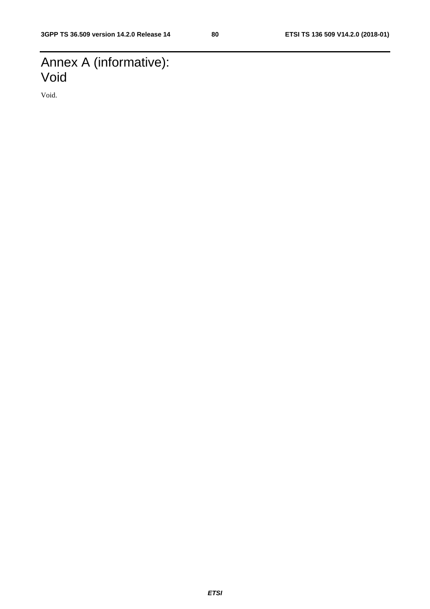## Annex A (informative): Void

Void.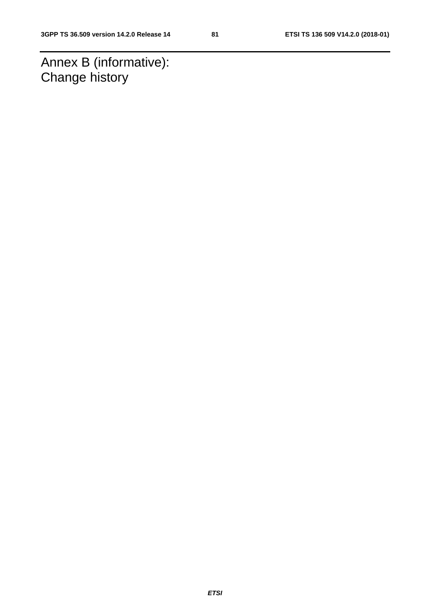Annex B (informative): Change history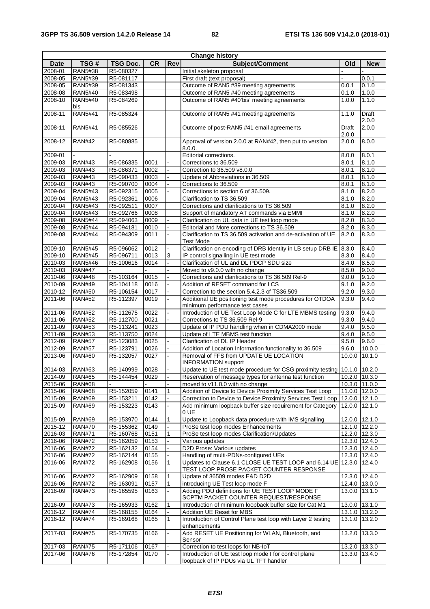| <b>Change history</b>     |                |                 |           |                |                                                                          |                 |            |
|---------------------------|----------------|-----------------|-----------|----------------|--------------------------------------------------------------------------|-----------------|------------|
| <b>Date</b>               | TSG#           | <b>TSG Doc.</b> | <b>CR</b> | <b>Rev</b>     | Subject/Comment                                                          | <b>Old</b>      | <b>New</b> |
| 2008-01                   | <b>RAN5#38</b> | R5-080327       |           |                | Initial skeleton proposal                                                |                 |            |
| $2008 - 05$               | RAN5#39        | R5-081117       |           |                | First draft (text proposal)                                              |                 | 0.0.1      |
| 2008-05                   | RAN5#39        | R5-081343       |           |                | Outcome of RAN5 #39 meeting agreements                                   | 0.0.1           | 0.1.0      |
| $2008 - 08$               | <b>RAN5#40</b> | R5-083498       |           |                | Outcome of RAN5 #40 meeting agreements                                   | 0.1.0           | 1.0.0      |
| 2008-10                   | <b>RAN5#40</b> | R5-084269       |           |                | Outcome of RAN5 #40'bis' meeting agreements                              | 1.0.0           | 1.1.0      |
|                           | bis            |                 |           |                |                                                                          |                 |            |
| 2008-11                   | <b>RAN5#41</b> | R5-085324       |           |                | Outcome of RAN5 #41 meeting agreements                                   | 1.1.0           | Draft      |
|                           |                |                 |           |                |                                                                          |                 | 2.0.0      |
| 2008-11                   | <b>RAN5#41</b> | R5-085526       |           |                | Outcome of post-RAN5 #41 email agreements                                | Draft           | 2.0.0      |
|                           |                |                 |           |                |                                                                          | 2.0.0           |            |
| 2008-12                   | <b>RAN#42</b>  | R5-080885       |           |                | Approval of version 2.0.0 at RAN#42, then put to version                 | 2.0.0           | 8.0.0      |
|                           |                |                 |           |                | 8.0.0.                                                                   |                 |            |
| 2009-01                   |                |                 |           |                | Editorial corrections.                                                   | 8.0.0           | 8.0.1      |
| 2009-03                   | <b>RAN#43</b>  | R5-086335       | 0001      |                | Corrections to 36.509                                                    | 8.0.1           | 8.1.0      |
| 2009-03                   | <b>RAN#43</b>  | R5-086371       | 0002      |                | Correction to 36.509 v8.0.0                                              | 8.0.1           | 8.1.0      |
| 2009-03                   | <b>RAN#43</b>  | R5-090433       | 0003      |                | Update of Abbreviations in 36.509                                        | 8.0.1           | 8.1.0      |
| 2009-03                   |                |                 | 0004      |                |                                                                          |                 |            |
|                           | <b>RAN#43</b>  | R5-090700       |           |                | Corrections to 36.509                                                    | 8.0.1           | 8.1.0      |
| 2009-04                   | RAN5#43        | R5-092315       | 0005      |                | Corrections to section 6 of 36.509.                                      | 8.1.0           | 8.2.0      |
| 2009-04                   | <b>RAN5#43</b> | R5-092361       | 0006      |                | Clarification to TS 36.509                                               | 8.1.0           | 8.2.0      |
| 2009-04                   | RAN5#43        | R5-092511       | 0007      |                | Corrections and clarifications to TS 36.509                              | 8.1.0           | 8.2.0      |
| 2009-04                   | <b>RAN5#43</b> | R5-092766       | 0008      |                | Support of mandatory AT commands via EMMI                                | 8.1.0           | 8.2.0      |
| 2009-08                   | <b>RAN5#44</b> | R5-094063       | 0009      |                | Clarification on UL data in UE test loop mode                            | 8.2.0           | 8.3.0      |
| 2009-08                   | <b>RAN5#44</b> | R5-094181       | 0010      |                | Editorial and More corrections to TS 36.509                              | 8.2.0           | 8.3.0      |
| 2009-08                   | <b>RAN5#44</b> | R5-094309       | 0011      |                | Clarification to TS 36.509 activation and de-activation of UE            | 8.2.0           | 8.3.0      |
|                           |                |                 |           |                | <b>Test Mode</b>                                                         |                 |            |
| 2009-10                   | <b>RAN5#45</b> | R5-096062       | 0012      |                | Clarification on encoding of DRB Identity in LB setup DRB IE 8.3.0       |                 | 8.4.0      |
| 2009-10                   | <b>RAN5#45</b> | R5-096711       | 0013      | 3              | IP control signalling in UE test mode                                    | 8.3.0           | 8.4.0      |
| 2010-03                   | <b>RAN5#46</b> | R5-100616       | 0014      |                | Clarification of UL and DL PDCP SDU size                                 | 8.4.0           | 8.5.0      |
| 2010-03                   | <b>RAN#47</b>  | $\overline{a}$  |           |                | Moved to v9.0.0 with no change                                           | 8.5.0           | 9.0.0      |
| 2010-06                   | <b>RAN#48</b>  | R5-103164       | 0015      |                | Corrections and clarifications to TS 36.509 Rel-9                        | 9.0.0           | 9.1.0      |
| 2010-09                   | <b>RAN#49</b>  | R5-104118       | 0016      |                | Addition of RESET command for LCS                                        | 9.1.0           | 9.2.0      |
| 2010-12                   | <b>RAN#50</b>  | R5-106154       | 0017      |                | Correction to the section 5.4.2.3 of TS36.509                            | 9.2.0           | 9.3.0      |
| 2011-06                   | <b>RAN#52</b>  | R5-112397       | 0019      |                | Additional UE positioning test mode procedures for OTDOA                 | 9.3.0           | 9.4.0      |
|                           |                |                 |           |                | minimum performance test cases                                           |                 |            |
| 2011-06                   | <b>RAN#52</b>  | R5-112675       | 0022      |                | Introduction of UE Test Loop Mode C for LTE MBMS testing                 | 9.3.0           | 9.4.0      |
| 2011-06                   | <b>RAN#52</b>  | R5-112700       | 0021      | $\blacksquare$ | Corrections to TS 36.509 Rel-9                                           | 9.3.0           | 9.4.0      |
| 2011-09                   | <b>RAN#53</b>  | R5-113241       | 0023      |                | Update of IP PDU handling when in CDMA2000 mode                          | 9.4.0           | 9.5.0      |
| 2011-09                   | <b>RAN#53</b>  | R5-113750       | 0024      |                | Update of LTE MBMS test function                                         | 9.4.0           | 9.5.0      |
| 2012-09                   | <b>RAN#57</b>  | R5-123083       | 0025      | ÷.             | Clarification of DL IP Header                                            | 9.5.0           | 9.6.0      |
| 2012-09                   | <b>RAN#57</b>  | R5-123791       | 0026      |                | Addition of Location Information functionality to 36.509                 | 9.6.0           | 10.0.0     |
| 2013-06                   | <b>RAN#60</b>  | R5-132057       | 0027      |                | Removal of FFS from UPDATE UE LOCATION                                   | 10.0.0 10.1.0   |            |
|                           |                |                 |           |                |                                                                          |                 |            |
|                           |                |                 |           |                | <b>INFORMATION</b> support                                               |                 |            |
| 2014-03<br>2014-09 RAN#65 | <b>RAN#63</b>  | R5-140999       | 0028      |                | Update to UE test mode procedure for CSG proximity testing 10.1.0 10.2.0 |                 |            |
|                           |                | R5-144454       | 0029      |                | Reservation of message types for antenna test function   10.2.0   10.3.0 |                 |            |
| 2015-06                   | <b>RAN#68</b>  |                 |           |                | moved to v11.0.0 with no change                                          | 10.3.0 11.0.0   |            |
| 2015-06                   | <b>RAN#68</b>  | R5-152059       | 0141      | 1              | Addition of Device to Device Proximity Services Test Loop                | 11.0.0 12.0.0   |            |
| 2015-09                   | <b>RAN#69</b>  | R5-153211       | 0142      |                | Correction to Device to Device Proximity Services Test Loop              | 12.0.0 12.1.0   |            |
| 2015-09                   | <b>RAN#69</b>  | R5-153223       | 0143      |                | Add minimum loopback buffer size requirement for Category                | 12.0.0 12.1.0   |            |
|                           |                |                 |           |                | 0 UE                                                                     |                 |            |
| 2015-09                   | <b>RAN#69</b>  | R5-153970       | 0144      | 1              | Update to Loopback data procedure with IMS signalling                    | 12.0.0 12.1.0   |            |
| 2015-12                   | <b>RAN#70</b>  | R5-155362       | 0149      |                | ProSe test loop modes Enhancements                                       | 12.1.0 12.2.0   |            |
| 2016-03                   | <b>RAN#71</b>  | R5-160768       | 0151      | 1              | ProSe test loop modes Clarification\Updates                              | 12.2.0 12.3.0   |            |
| 2016-06                   | <b>RAN#72</b>  | R5-162059       | 0153      |                | Various updates                                                          | 12.3.0 12.4.0   |            |
| 2016-06                   | <b>RAN#72</b>  | R5-162132       | 0154      |                | D2D Prose: Various updates                                               | 12.3.0 12.4.0   |            |
| 2016-06                   | <b>RAN#72</b>  | R5-162144       | 0155      |                | Handling of multi-PDNs-configured UEs                                    | 12.3.0 12.4.0   |            |
| 2016-06                   | <b>RAN#72</b>  | R5-162908       | 0156      | $\mathbf{1}$   | Updates to Clause 6.1 CLOSE UE TEST LOOP and 6.14 UE 12.3.0 12.4.0       |                 |            |
|                           |                |                 |           |                | TEST LOOP PROSE PACKET COUNTER RESPONSE                                  |                 |            |
| 2016-06                   | <b>RAN#72</b>  | R5-162909       | 0158      | $\mathbf{1}$   | Update of 36509 modes E&D D2D                                            | 12.3.0 12.4.0   |            |
| 2016-06                   | <b>RAN#72</b>  | R5-163091       | 0157      | $\mathbf{1}$   | introducing UE Test loop mode F                                          | 12.4.0 13.0.0   |            |
| 2016-09                   | <b>RAN#73</b>  | R5-165595       | 0163      |                | Adding PDU definitions for UE TEST LOOP MODE F                           | 13.0.0   13.1.0 |            |
|                           |                |                 |           |                | SCPTM PACKET COUNTER REQUEST/RESPONSE                                    |                 |            |
| 2016-09                   | <b>RAN#73</b>  | R5-165933       | 0162      | 1              | Introduction of minimum loopback buffer size for Cat M1                  | 13.0.0 13.1.0   |            |
| 2016-12                   | <b>RAN#74</b>  | R5-168155       | 0164      |                | Addition UE Reset for MBS                                                | 13.1.0 13.2.0   |            |
| 2016-12                   | <b>RAN#74</b>  | R5-169168       | 0165      | $\mathbf{1}$   | Introduction of Control Plane test loop with Layer 2 testing             | 13.1.0 13.2.0   |            |
|                           |                |                 |           |                | enhancements                                                             |                 |            |
| 2017-03                   | <b>RAN#75</b>  | R5-170735       | 0166      |                | Add RESET UE Positioning for WLAN, Bluetooth, and                        | 13.2.0 13.3.0   |            |
|                           |                |                 |           |                | Sensor                                                                   |                 |            |
| 2017-03                   | <b>RAN#75</b>  | R5-171106       | 0167      |                | Correction to test loops for NB-IoT                                      | 13.2.0 13.3.0   |            |
| 2017-06                   | <b>RAN#76</b>  | R5-172854       | 0170      | $\blacksquare$ | Introduction of UE test loop mode I for control plane                    | 13.3.0 13.4.0   |            |
|                           |                |                 |           |                | loopback of IP PDUs via UL TFT handler                                   |                 |            |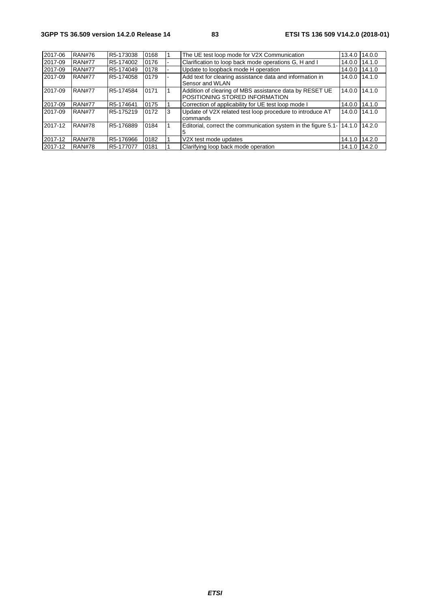| 2017-06 | <b>RAN#76</b> | R5-173038 | 0168 |   | The UE test loop mode for V2X Communication                                               | 13.4.0        | 14.0.0 |
|---------|---------------|-----------|------|---|-------------------------------------------------------------------------------------------|---------------|--------|
| 2017-09 | <b>RAN#77</b> | R5-174002 | 0176 |   | Clarification to loop back mode operations G, H and I                                     | 14.0.0        | 14.1.0 |
| 2017-09 | <b>RAN#77</b> | R5-174049 | 0178 |   | Update to loopback mode H operation                                                       | 14.0.0        | 14.1.0 |
| 2017-09 | <b>RAN#77</b> | R5-174058 | 0179 |   | Add text for clearing assistance data and information in<br>Sensor and WLAN               | 14.0.0        | 14.1.0 |
| 2017-09 | <b>RAN#77</b> | R5-174584 | 0171 |   | Addition of clearing of MBS assistance data by RESET UE<br>POSITIONING STORED INFORMATION | 14.0.0        | 14.1.0 |
| 2017-09 | <b>RAN#77</b> | R5-174641 | 0175 |   | Correction of applicability for UE test loop mode I                                       | 14.0.0        | 14.1.0 |
| 2017-09 | <b>RAN#77</b> | R5-175219 | 0172 | 3 | Update of V2X related test loop procedure to introduce AT<br>commands                     | 14.0.0 14.1.0 |        |
| 2017-12 | <b>RAN#78</b> | R5-176889 | 0184 |   | Editorial, correct the communication system in the figure $5.1 - 14.1.0 + 14.2.0$         |               |        |
| 2017-12 | <b>RAN#78</b> | R5-176966 | 0182 |   | V2X test mode updates                                                                     | 14.1.0        | 14.2.0 |
| 2017-12 | <b>RAN#78</b> | R5-177077 | 0181 |   | Clarifying loop back mode operation                                                       | 14.1.0        | 14.2.0 |